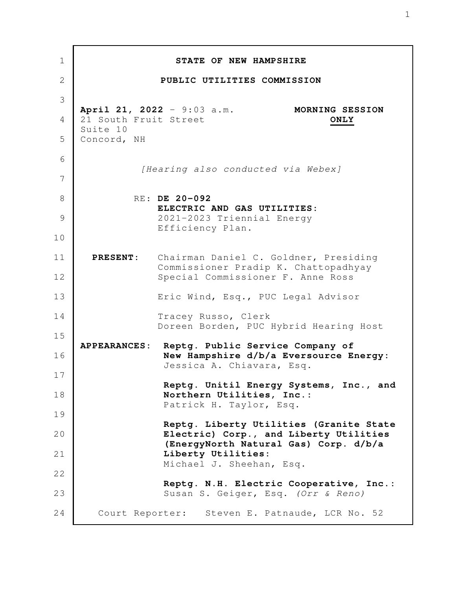| $\mathbf 1$ |                         | STATE OF NEW HAMPSHIRE                                                                  |
|-------------|-------------------------|-----------------------------------------------------------------------------------------|
| 2           |                         | PUBLIC UTILITIES COMMISSION                                                             |
| 3           |                         |                                                                                         |
| 4           | 21 South Fruit Street   | April 21, 2022 - 9:03 a.m.<br>MORNING SESSION<br>ONLY                                   |
| 5           | Suite 10<br>Concord, NH |                                                                                         |
| 6           |                         |                                                                                         |
| 7           |                         | [Hearing also conducted via Webex]                                                      |
| 8           |                         | RE: DE 20-092                                                                           |
| 9           |                         | ELECTRIC AND GAS UTILITIES:<br>2021-2023 Triennial Energy                               |
| 10          |                         | Efficiency Plan.                                                                        |
| 11          | <b>PRESENT:</b>         | Chairman Daniel C. Goldner, Presiding                                                   |
| 12          |                         | Commissioner Pradip K. Chattopadhyay<br>Special Commissioner F. Anne Ross               |
| 13          |                         | Eric Wind, Esq., PUC Legal Advisor                                                      |
| 14          |                         | Tracey Russo, Clerk                                                                     |
| 15          |                         | Doreen Borden, PUC Hybrid Hearing Host                                                  |
| 16          |                         | APPEARANCES: Reptg. Public Service Company of<br>New Hampshire d/b/a Eversource Energy: |
| 17          |                         | Jessica A. Chiavara, Esq.                                                               |
| 18          |                         | Reptg. Unitil Energy Systems, Inc., and<br>Northern Utilities, Inc.:                    |
| 19          |                         | Patrick H. Taylor, Esq.                                                                 |
| 20          |                         | Reptg. Liberty Utilities (Granite State<br>Electric) Corp., and Liberty Utilities       |
| 21          |                         | (EnergyNorth Natural Gas) Corp. d/b/a<br>Liberty Utilities:                             |
| 22          |                         | Michael J. Sheehan, Esq.                                                                |
| 23          |                         | Reptg. N.H. Electric Cooperative, Inc.:<br>Susan S. Geiger, Esq. (Orr & Reno)           |
| 24          |                         | Court Reporter: Steven E. Patnaude, LCR No. 52                                          |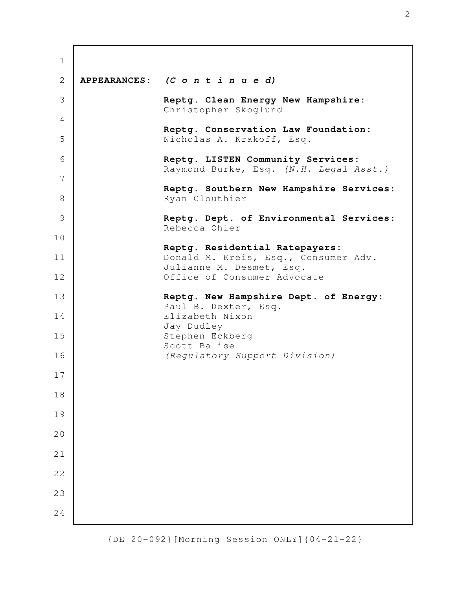| $\mathbf 1$  |                                                                             |
|--------------|-----------------------------------------------------------------------------|
| $\mathbf{2}$ | APPEARANCES: (C o n t i n u e d)                                            |
| 3            | Reptg. Clean Energy New Hampshire:<br>Christopher Skoglund                  |
| 4            | Reptg. Conservation Law Foundation:                                         |
| 5            | Nicholas A. Krakoff, Esq.                                                   |
| 6            | Reptg. LISTEN Community Services:<br>Raymond Burke, Esq. (N.H. Legal Asst.) |
| 7            | Reptg. Southern New Hampshire Services:                                     |
| 8            | Ryan Clouthier                                                              |
| 9            | Reptg. Dept. of Environmental Services:<br>Rebecca Ohler                    |
| 10           | Reptg. Residential Ratepayers:                                              |
| 11           | Donald M. Kreis, Esq., Consumer Adv.<br>Julianne M. Desmet, Esq.            |
| 12           | Office of Consumer Advocate                                                 |
| 13           | Reptg. New Hampshire Dept. of Energy:<br>Paul B. Dexter, Esq.               |
| 14           | Elizabeth Nixon<br>Jay Dudley                                               |
| 15           | Stephen Eckberg<br>Scott Balise                                             |
| 16           | (Regulatory Support Division)                                               |
| $17$         |                                                                             |
| 18           |                                                                             |
| 19           |                                                                             |
| 20           |                                                                             |
| 21           |                                                                             |
| 22           |                                                                             |
| 23           |                                                                             |
| 24           |                                                                             |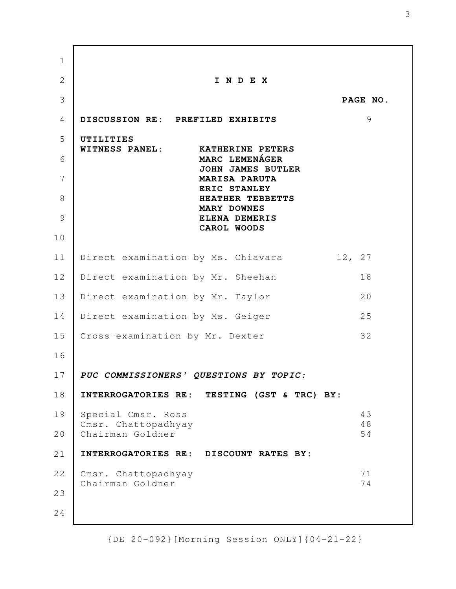**I N D E X PAGE NO. DISCUSSION RE: PREFILED EXHIBITS** 9 **UTILITIES WITNESS PANEL: KATHERINE PETERS MARC LEMENÁGER JOHN JAMES BUTLER MARISA PARUTA ERIC STANLEY HEATHER TEBBETTS MARY DOWNES ELENA DEMERIS CAROL WOODS** Direct examination by Ms. Chiavara 12, 27 Direct examination by Mr. Sheehan 18 Direct examination by Mr. Taylor 20 Direct examination by Ms. Geiger 25 Cross-examination by Mr. Dexter 32 **PUC COMMISSIONERS' QUESTIONS BY TOPIC: INTERROGATORIES RE: TESTING (GST & TRC) BY:** Special Cmsr. Ross 43 Cmsr. Chattopadhyay 48 Chairman Goldner 54 **INTERROGATORIES RE: DISCOUNT RATES BY:** Cmsr. Chattopadhyay 71 Chairman Goldner 74 1 2 3 4 5 6 7 8 9 10 11 12 13 14 15 16 17 18 19 20 21 22 23 24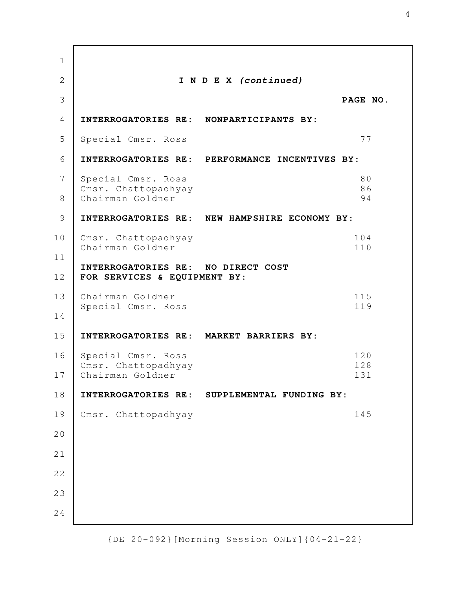**I N D E X (continued) PAGE NO. INTERROGATORIES RE: NONPARTICIPANTS BY:** Special Cmsr. Ross 77 **INTERROGATORIES RE: PERFORMANCE INCENTIVES BY:** Special Cmsr. Ross 80 Cmsr. Chattopadhyay 86 Chairman Goldner 94 **INTERROGATORIES RE: NEW HAMPSHIRE ECONOMY BY:** Cmsr. Chattopadhyay 104 Chairman Goldner 110 **INTERROGATORIES RE: NO DIRECT COST FOR SERVICES & EQUIPMENT BY:** Chairman Goldner 115 Special Cmsr. Ross 119 **INTERROGATORIES RE: MARKET BARRIERS BY:** Special Cmsr. Ross 120 Cmsr. Chattopadhyay 128 Chairman Goldner 131 **INTERROGATORIES RE: SUPPLEMENTAL FUNDING BY:** Cmsr. Chattopadhyay 145 1 2 3 4 5 6 7 8 9 10 11 12 13 14 15 16 17 18 19 20 21 22 23 24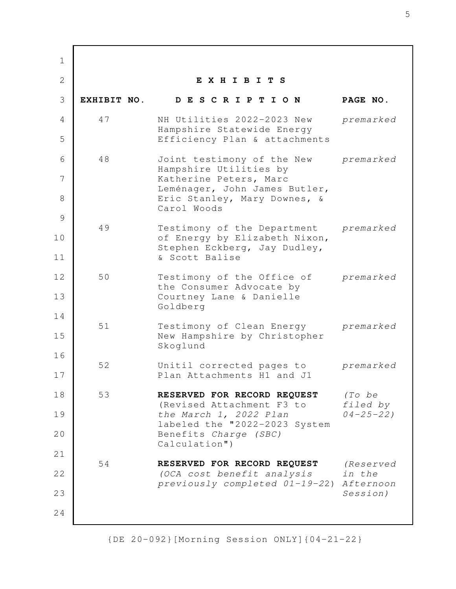**E X H I B I T S EXHIBIT NO. D E S C R I P T I O N PAGE NO.** 47 NH Utilities 2022-2023 New *premarked* Hampshire Statewide Energy Efficiency Plan & attachments 48 Joint testimony of the New *premarked* Hampshire Utilities by Katherine Peters, Marc Leménager, John James Butler, Eric Stanley, Mary Downes, & Carol Woods 49 Testimony of the Department *premarked* of Energy by Elizabeth Nixon, Stephen Eckberg, Jay Dudley, & Scott Balise 50 Testimony of the Office of *premarked* the Consumer Advocate by Courtney Lane & Danielle Goldberg 51 Testimony of Clean Energy *premarked* New Hampshire by Christopher Skoglund 52 Unitil corrected pages to *premarked* Plan Attachments H1 and J1 53 **RESERVED FOR RECORD REQUEST** *(To be* (Revised Attachment F3 to *filed by the March 1, 2022 Plan 04-25-22)* labeled the "2022-2023 System Benefits *Charge (SBC)*  Calculation") 54 **RESERVED FOR RECORD REQUEST** *(Reserved (OCA cost benefit analysis in the previously completed 01-19-2*2) *Afternoon Session)* 1 2 3 4 5 6 7 8 9 10 11 12 13 14 15 16 17 18 19 20 21 22 23 24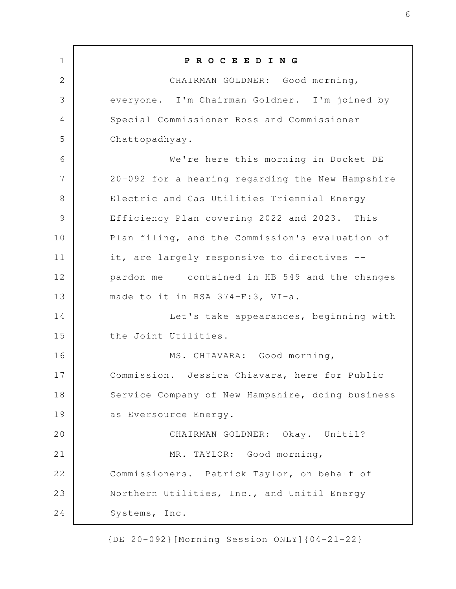| $\mathbf 1$    | PROCEEDING                                       |
|----------------|--------------------------------------------------|
| $\mathbf{2}$   | CHAIRMAN GOLDNER: Good morning,                  |
| 3              | everyone. I'm Chairman Goldner. I'm joined by    |
| $\overline{4}$ | Special Commissioner Ross and Commissioner       |
| 5              | Chattopadhyay.                                   |
| 6              | We're here this morning in Docket DE             |
| 7              | 20-092 for a hearing regarding the New Hampshire |
| 8              | Electric and Gas Utilities Triennial Energy      |
| $\mathcal{G}$  | Efficiency Plan covering 2022 and 2023. This     |
| 10             | Plan filing, and the Commission's evaluation of  |
| 11             | it, are largely responsive to directives --      |
| 12             | pardon me -- contained in HB 549 and the changes |
| 13             | made to it in RSA 374-F:3, VI-a.                 |
| 14             | Let's take appearances, beginning with           |
| 15             | the Joint Utilities.                             |
| 16             | MS. CHIAVARA: Good morning,                      |
| 17             | Commission. Jessica Chiavara, here for Public    |
| 18             | Service Company of New Hampshire, doing business |
| 19             | as Eversource Energy.                            |
| 20             | CHAIRMAN GOLDNER: Okay. Unitil?                  |
| 21             | MR. TAYLOR: Good morning,                        |
| 22             | Commissioners. Patrick Taylor, on behalf of      |
| 23             | Northern Utilities, Inc., and Unitil Energy      |
| 24             | Systems, Inc.                                    |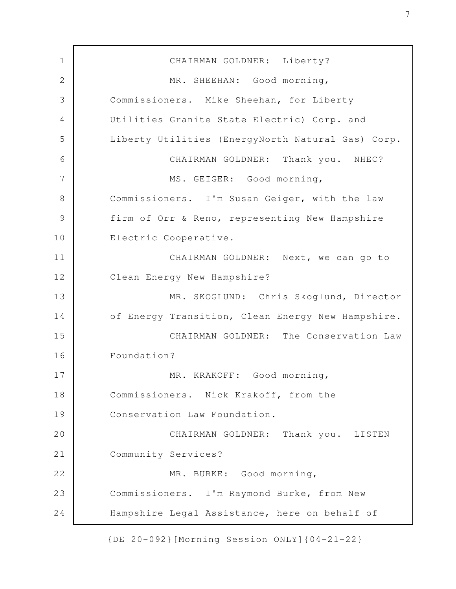CHAIRMAN GOLDNER: Liberty? MR. SHEEHAN: Good morning, Commissioners. Mike Sheehan, for Liberty Utilities Granite State Electric) Corp. and Liberty Utilities (EnergyNorth Natural Gas) Corp. CHAIRMAN GOLDNER: Thank you. NHEC? MS. GEIGER: Good morning, Commissioners. I'm Susan Geiger, with the law firm of Orr & Reno, representing New Hampshire Electric Cooperative. CHAIRMAN GOLDNER: Next, we can go to Clean Energy New Hampshire? MR. SKOGLUND: Chris Skoglund, Director of Energy Transition, Clean Energy New Hampshire. CHAIRMAN GOLDNER: The Conservation Law Foundation? MR. KRAKOFF: Good morning, Commissioners. Nick Krakoff, from the Conservation Law Foundation. CHAIRMAN GOLDNER: Thank you. LISTEN Community Services? MR. BURKE: Good morning, Commissioners. I'm Raymond Burke, from New Hampshire Legal Assistance, here on behalf of 1 2 3 4 5 6 7 8 9 10 11 12 13 14 15 16 17 18 19 20 21 22 23 24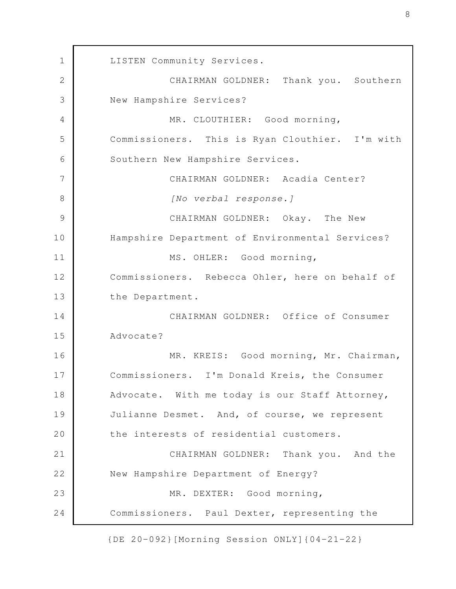LISTEN Community Services. CHAIRMAN GOLDNER: Thank you. Southern New Hampshire Services? MR. CLOUTHIER: Good morning, Commissioners. This is Ryan Clouthier. I'm with Southern New Hampshire Services. CHAIRMAN GOLDNER: Acadia Center? *[No verbal response.]* CHAIRMAN GOLDNER: Okay. The New Hampshire Department of Environmental Services? MS. OHLER: Good morning, Commissioners. Rebecca Ohler, here on behalf of the Department. CHAIRMAN GOLDNER: Office of Consumer Advocate? MR. KREIS: Good morning, Mr. Chairman, Commissioners. I'm Donald Kreis, the Consumer Advocate. With me today is our Staff Attorney, Julianne Desmet. And, of course, we represent the interests of residential customers. CHAIRMAN GOLDNER: Thank you. And the New Hampshire Department of Energy? MR. DEXTER: Good morning, Commissioners. Paul Dexter, representing the 1 2 3 4 5 6 7 8 9 10 11 12 13 14 15 16 17 18 19 20 21 22 23 24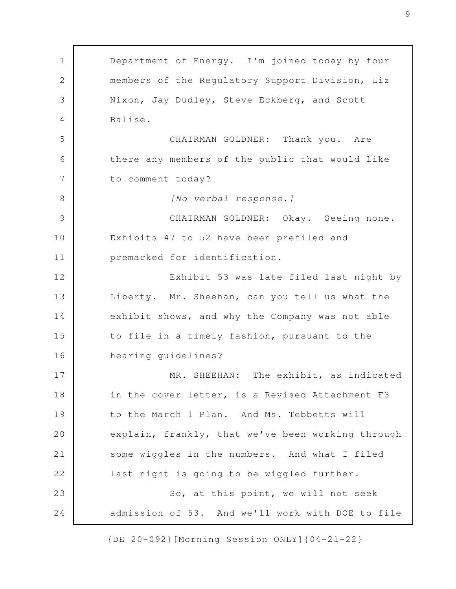Department of Energy. I'm joined today by four members of the Regulatory Support Division, Liz Nixon, Jay Dudley, Steve Eckberg, and Scott Balise. CHAIRMAN GOLDNER: Thank you. Are there any members of the public that would like to comment today? *[No verbal response.]* CHAIRMAN GOLDNER: Okay. Seeing none. Exhibits 47 to 52 have been prefiled and premarked for identification. Exhibit 53 was late-filed last night by Liberty. Mr. Sheehan, can you tell us what the exhibit shows, and why the Company was not able to file in a timely fashion, pursuant to the hearing guidelines? MR. SHEEHAN: The exhibit, as indicated in the cover letter, is a Revised Attachment F3 to the March 1 Plan. And Ms. Tebbetts will explain, frankly, that we've been working through some wiggles in the numbers. And what I filed last night is going to be wiggled further. So, at this point, we will not seek admission of 53. And we'll work with DOE to file 1 2 3 4 5 6 7 8 9 10 11 12 13 14 15 16 17 18 19 20 21 22 23 24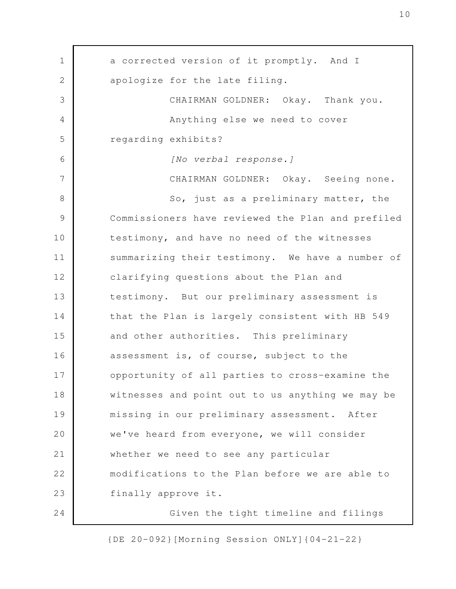a corrected version of it promptly. And I apologize for the late filing. CHAIRMAN GOLDNER: Okay. Thank you. Anything else we need to cover regarding exhibits? *[No verbal response.]* CHAIRMAN GOLDNER: Okay. Seeing none. So, just as a preliminary matter, the Commissioners have reviewed the Plan and prefiled testimony, and have no need of the witnesses summarizing their testimony. We have a number of clarifying questions about the Plan and testimony. But our preliminary assessment is that the Plan is largely consistent with HB 549 and other authorities. This preliminary assessment is, of course, subject to the opportunity of all parties to cross-examine the witnesses and point out to us anything we may be missing in our preliminary assessment. After we've heard from everyone, we will consider whether we need to see any particular modifications to the Plan before we are able to finally approve it. Given the tight timeline and filings 1 2 3 4 5 6 7 8 9 10 11 12 13 14 15 16 17 18 19 20 21 22 23 24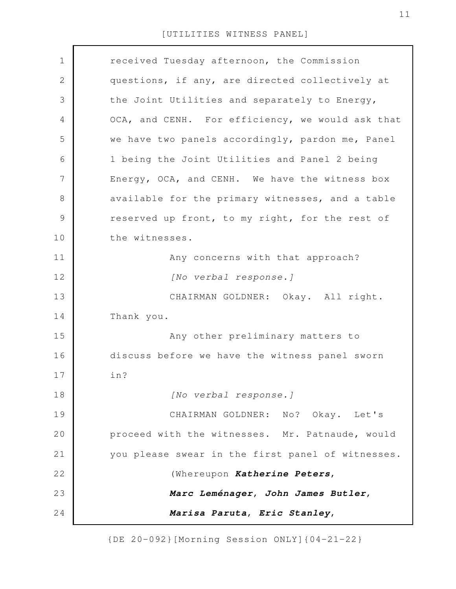| $\mathbf 1$   | received Tuesday afternoon, the Commission        |
|---------------|---------------------------------------------------|
| 2             | questions, if any, are directed collectively at   |
| 3             | the Joint Utilities and separately to Energy,     |
| 4             | OCA, and CENH. For efficiency, we would ask that  |
| 5             | we have two panels accordingly, pardon me, Panel  |
| 6             | 1 being the Joint Utilities and Panel 2 being     |
| 7             | Energy, OCA, and CENH. We have the witness box    |
| 8             | available for the primary witnesses, and a table  |
| $\mathcal{G}$ | reserved up front, to my right, for the rest of   |
| 10            | the witnesses.                                    |
| 11            | Any concerns with that approach?                  |
| 12            | [No verbal response.]                             |
| 13            | CHAIRMAN GOLDNER: Okay. All right.                |
| 14            | Thank you.                                        |
| 15            | Any other preliminary matters to                  |
| 16            | discuss before we have the witness panel sworn    |
| 17            | in?                                               |
| 18            | [No verbal response.]                             |
| 19            | CHAIRMAN GOLDNER: No? Okay. Let's                 |
| 20            | proceed with the witnesses. Mr. Patnaude, would   |
| 21            | you please swear in the first panel of witnesses. |
| 22            | (Whereupon Katherine Peters,                      |
| 23            | Marc Leménager, John James Butler,                |
| 24            | Marisa Paruta, Eric Stanley,                      |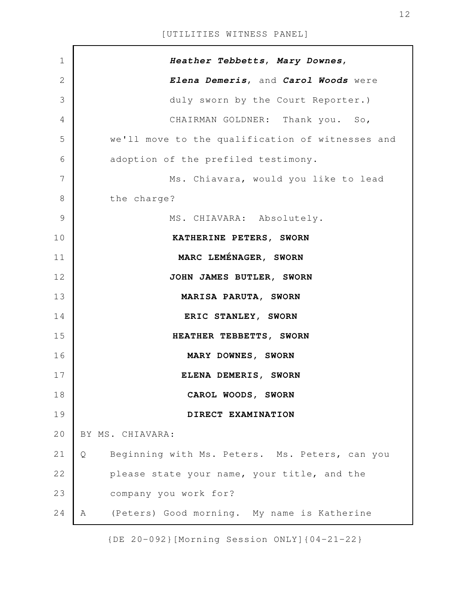| $\mathbf 1$    | Heather Tebbetts, Mary Downes,                      |
|----------------|-----------------------------------------------------|
| $\overline{2}$ | Elena Demeris, and Carol Woods were                 |
| 3              | duly sworn by the Court Reporter.)                  |
| 4              | CHAIRMAN GOLDNER: Thank you. So,                    |
| 5              | we'll move to the qualification of witnesses and    |
| 6              | adoption of the prefiled testimony.                 |
| 7              | Ms. Chiavara, would you like to lead                |
| 8              | the charge?                                         |
| $\mathcal{G}$  | MS. CHIAVARA: Absolutely.                           |
| 10             | KATHERINE PETERS, SWORN                             |
| 11             | MARC LEMÉNAGER, SWORN                               |
| 12             | JOHN JAMES BUTLER, SWORN                            |
| 13             | MARISA PARUTA, SWORN                                |
| 14             | ERIC STANLEY, SWORN                                 |
| 15             | HEATHER TEBBETTS, SWORN                             |
| 16             | MARY DOWNES, SWORN                                  |
| 17             | ELENA DEMERIS, SWORN                                |
| 18             | CAROL WOODS, SWORN                                  |
| 19             | DIRECT EXAMINATION                                  |
| 20             | BY MS. CHIAVARA:                                    |
| 21             | Beginning with Ms. Peters. Ms. Peters, can you<br>Q |
| 22             | please state your name, your title, and the         |
| 23             | company you work for?                               |
| 24             | (Peters) Good morning. My name is Katherine<br>A    |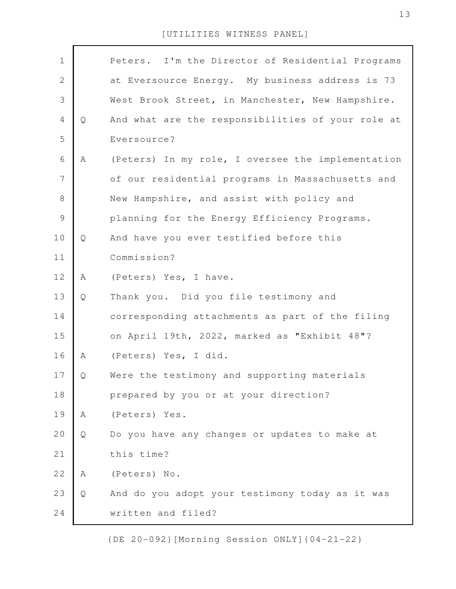| $\mathbf 1$    |   | Peters. I'm the Director of Residential Programs  |
|----------------|---|---------------------------------------------------|
| $\sqrt{2}$     |   | at Eversource Energy. My business address is 73   |
| 3              |   | West Brook Street, in Manchester, New Hampshire.  |
| $\overline{4}$ | Q | And what are the responsibilities of your role at |
| 5              |   | Eversource?                                       |
| 6              | Α | (Peters) In my role, I oversee the implementation |
| $\overline{7}$ |   | of our residential programs in Massachusetts and  |
| $\,8\,$        |   | New Hampshire, and assist with policy and         |
| $\mathcal{G}$  |   | planning for the Energy Efficiency Programs.      |
| 10             | Q | And have you ever testified before this           |
| 11             |   | Commission?                                       |
| 12             | Α | (Peters) Yes, I have.                             |
| 13             | Q | Thank you. Did you file testimony and             |
| 14             |   | corresponding attachments as part of the filing   |
| 15             |   | on April 19th, 2022, marked as "Exhibit 48"?      |
| 16             | Α | (Peters) Yes, I did.                              |
| 17             | Q | Were the testimony and supporting materials       |
| 18             |   | prepared by you or at your direction?             |
| 19             | A | (Peters) Yes.                                     |
| 20             | Q | Do you have any changes or updates to make at     |
| 21             |   | this time?                                        |
| 22             | A | (Peters) No.                                      |
| 23             | Q | And do you adopt your testimony today as it was   |
| 24             |   | written and filed?                                |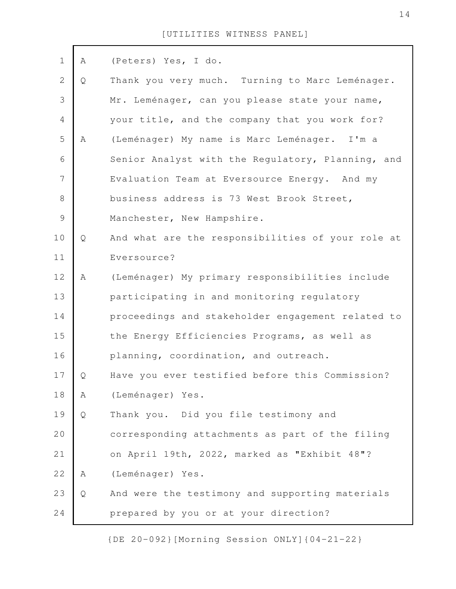| $\mathbf 1$    | Α | (Peters) Yes, I do.                               |
|----------------|---|---------------------------------------------------|
| $\overline{2}$ | Q | Thank you very much. Turning to Marc Leménager.   |
| 3              |   | Mr. Leménager, can you please state your name,    |
| $\overline{4}$ |   | your title, and the company that you work for?    |
| 5              | Α | (Leménager) My name is Marc Leménager. I'm a      |
| 6              |   | Senior Analyst with the Regulatory, Planning, and |
| 7              |   | Evaluation Team at Eversource Energy. And my      |
| 8              |   | business address is 73 West Brook Street,         |
| $\mathcal{G}$  |   | Manchester, New Hampshire.                        |
| 10             | Q | And what are the responsibilities of your role at |
| 11             |   | Eversource?                                       |
| 12             | A | (Leménager) My primary responsibilities include   |
| 13             |   | participating in and monitoring regulatory        |
| 14             |   | proceedings and stakeholder engagement related to |
| 15             |   | the Energy Efficiencies Programs, as well as      |
| 16             |   | planning, coordination, and outreach.             |
| 17             | Q | Have you ever testified before this Commission?   |
| 18             | Α | (Leménager) Yes.                                  |
| 19             | Q | Thank you. Did you file testimony and             |
| 20             |   | corresponding attachments as part of the filing   |
| 21             |   | on April 19th, 2022, marked as "Exhibit 48"?      |
| 22             | Α | (Leménager) Yes.                                  |
| 23             | Q | And were the testimony and supporting materials   |
| 24             |   | prepared by you or at your direction?             |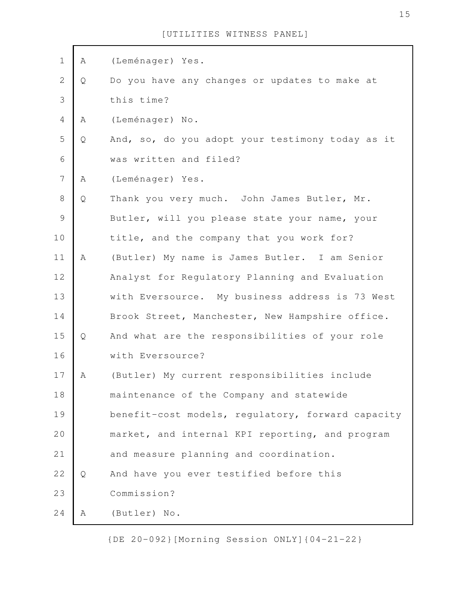| $\mathbf 1$    | Α | (Leménager) Yes.                                  |
|----------------|---|---------------------------------------------------|
| $\mathbf{2}$   | Q | Do you have any changes or updates to make at     |
| 3              |   | this time?                                        |
| 4              | Α | (Leménager) No.                                   |
| 5              | Q | And, so, do you adopt your testimony today as it  |
| 6              |   | was written and filed?                            |
| $\overline{7}$ | A | (Leménager) Yes.                                  |
| $\,8\,$        | Q | Thank you very much. John James Butler, Mr.       |
| $\mathcal{G}$  |   | Butler, will you please state your name, your     |
| 10             |   | title, and the company that you work for?         |
| 11             | Α | (Butler) My name is James Butler. I am Senior     |
| 12             |   | Analyst for Regulatory Planning and Evaluation    |
| 13             |   | with Eversource. My business address is 73 West   |
| 14             |   | Brook Street, Manchester, New Hampshire office.   |
| 15             | Q | And what are the responsibilities of your role    |
| 16             |   | with Eversource?                                  |
| 17             | А | (Butler) My current responsibilities include      |
| 18             |   | maintenance of the Company and statewide          |
| 19             |   | benefit-cost models, regulatory, forward capacity |
| 20             |   | market, and internal KPI reporting, and program   |
| 21             |   | and measure planning and coordination.            |
| 22             | Q | And have you ever testified before this           |
| 23             |   | Commission?                                       |
| 24             | A | (Butler) No.                                      |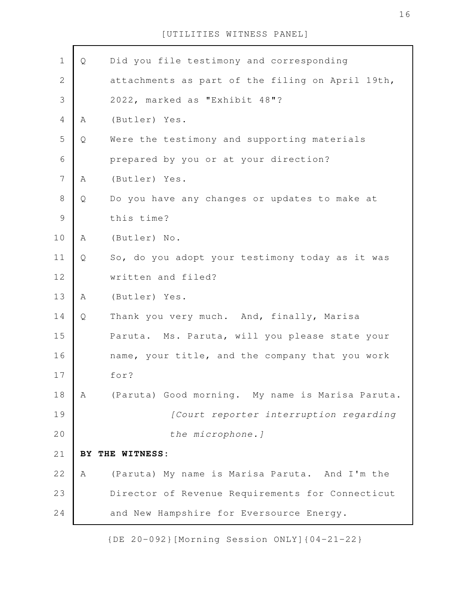| $\mathbf 1$    | Q | Did you file testimony and corresponding         |
|----------------|---|--------------------------------------------------|
| $\mathbf 2$    |   | attachments as part of the filing on April 19th, |
| 3              |   | 2022, marked as "Exhibit 48"?                    |
| 4              | Α | (Butler) Yes.                                    |
| 5              | Q | Were the testimony and supporting materials      |
| 6              |   | prepared by you or at your direction?            |
| $\overline{7}$ | Α | (Butler) Yes.                                    |
| $8\,$          | Q | Do you have any changes or updates to make at    |
| $\mathcal{G}$  |   | this time?                                       |
| 10             | Α | (Butler) No.                                     |
| 11             | Q | So, do you adopt your testimony today as it was  |
| 12             |   | written and filed?                               |
| 13             | A | (Butler) Yes.                                    |
| 14             | Q | Thank you very much. And, finally, Marisa        |
| 15             |   | Paruta. Ms. Paruta, will you please state your   |
| 16             |   | name, your title, and the company that you work  |
| 17             |   | for?                                             |
| 18             | Α | (Paruta) Good morning. My name is Marisa Paruta. |
| 19             |   | [Court reporter interruption regarding           |
| 20             |   | the microphone. ]                                |
| 21             |   | BY THE WITNESS:                                  |
| 22             | Α | (Paruta) My name is Marisa Paruta. And I'm the   |
| 23             |   | Director of Revenue Requirements for Connecticut |
| 24             |   | and New Hampshire for Eversource Energy.         |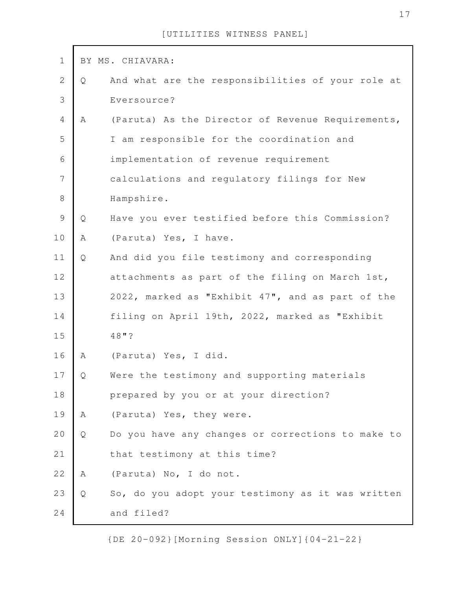| $\mathbf 1$    |   | BY MS. CHIAVARA:                                  |
|----------------|---|---------------------------------------------------|
| $\mathbf{2}$   | Q | And what are the responsibilities of your role at |
| $\mathfrak{Z}$ |   | Eversource?                                       |
| $\overline{4}$ | A | (Paruta) As the Director of Revenue Requirements, |
| 5              |   | I am responsible for the coordination and         |
| 6              |   | implementation of revenue requirement             |
| 7              |   | calculations and regulatory filings for New       |
| $\,8\,$        |   | Hampshire.                                        |
| $\mathcal{G}$  | Q | Have you ever testified before this Commission?   |
| 10             | Α | (Paruta) Yes, I have.                             |
| 11             | Q | And did you file testimony and corresponding      |
| 12             |   | attachments as part of the filing on March 1st,   |
| 13             |   | 2022, marked as "Exhibit 47", and as part of the  |
| 14             |   | filing on April 19th, 2022, marked as "Exhibit    |
| 15             |   | 48"?                                              |
| 16             | Α | (Paruta) Yes, I did.                              |
| 17             | Q | Were the testimony and supporting materials       |
| 18             |   | prepared by you or at your direction?             |
| 19             | A | (Paruta) Yes, they were.                          |
| 20             | Q | Do you have any changes or corrections to make to |
| 21             |   | that testimony at this time?                      |
| 22             | A | (Paruta) No, I do not.                            |
| 23             | Q | So, do you adopt your testimony as it was written |
| 24             |   | and filed?                                        |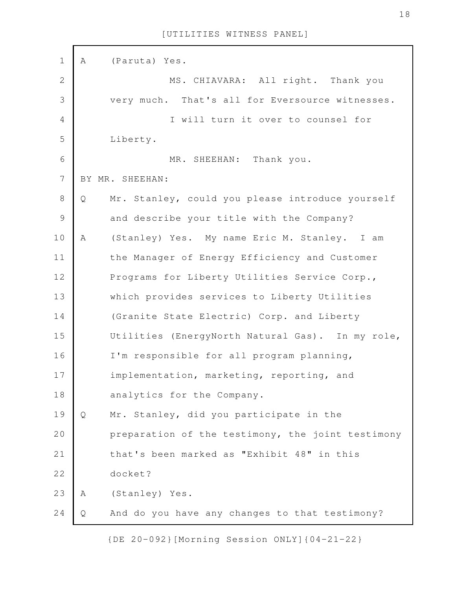| $\mathbf 1$    | A | (Paruta) Yes.                                     |
|----------------|---|---------------------------------------------------|
| $\mathbf{2}$   |   | MS. CHIAVARA: All right. Thank you                |
| 3              |   | very much. That's all for Eversource witnesses.   |
| $\overline{4}$ |   | I will turn it over to counsel for                |
| 5              |   | Liberty.                                          |
| 6              |   | MR. SHEEHAN: Thank you.                           |
| 7              |   | BY MR. SHEEHAN:                                   |
| $\,8\,$        | Q | Mr. Stanley, could you please introduce yourself  |
| $\mathcal{G}$  |   | and describe your title with the Company?         |
| 10             | Α | (Stanley) Yes. My name Eric M. Stanley. I am      |
| 11             |   | the Manager of Energy Efficiency and Customer     |
| 12             |   | Programs for Liberty Utilities Service Corp.,     |
| 13             |   | which provides services to Liberty Utilities      |
| 14             |   | (Granite State Electric) Corp. and Liberty        |
| 15             |   | Utilities (EnergyNorth Natural Gas). In my role,  |
| 16             |   | I'm responsible for all program planning,         |
| 17             |   | implementation, marketing, reporting, and         |
| 18             |   | analytics for the Company.                        |
| 19             | Q | Mr. Stanley, did you participate in the           |
| 20             |   | preparation of the testimony, the joint testimony |
| 21             |   | that's been marked as "Exhibit 48" in this        |
| 22             |   | docket?                                           |
| 23             | Α | (Stanley) Yes.                                    |
| 24             | Q | And do you have any changes to that testimony?    |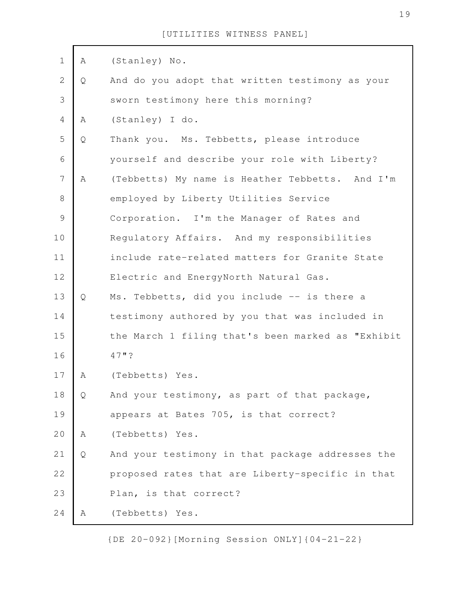| $\mathbf 1$    | Α | (Stanley) No.                                     |
|----------------|---|---------------------------------------------------|
| $\mathbf 2$    | Q | And do you adopt that written testimony as your   |
| 3              |   | sworn testimony here this morning?                |
| $\overline{4}$ | A | (Stanley) I do.                                   |
| 5              | Q | Thank you. Ms. Tebbetts, please introduce         |
| $\sqrt{6}$     |   | yourself and describe your role with Liberty?     |
| $\overline{7}$ | A | (Tebbetts) My name is Heather Tebbetts. And I'm   |
| 8              |   | employed by Liberty Utilities Service             |
| $\mathcal{G}$  |   | Corporation. I'm the Manager of Rates and         |
| 10             |   | Regulatory Affairs. And my responsibilities       |
| 11             |   | include rate-related matters for Granite State    |
| 12             |   | Electric and EnergyNorth Natural Gas.             |
| 13             | Q | Ms. Tebbetts, did you include -- is there a       |
| 14             |   | testimony authored by you that was included in    |
| 15             |   | the March 1 filing that's been marked as "Exhibit |
| 16             |   | 47"?                                              |
| 17             | A | (Tebbetts) Yes.                                   |
| 18             | Q | And your testimony, as part of that package,      |
| 19             |   | appears at Bates 705, is that correct?            |
| 20             | Α | (Tebbetts) Yes.                                   |
| 21             | Q | And your testimony in that package addresses the  |
| 22             |   | proposed rates that are Liberty-specific in that  |
| 23             |   | Plan, is that correct?                            |
| 24             | Α | (Tebbetts) Yes.                                   |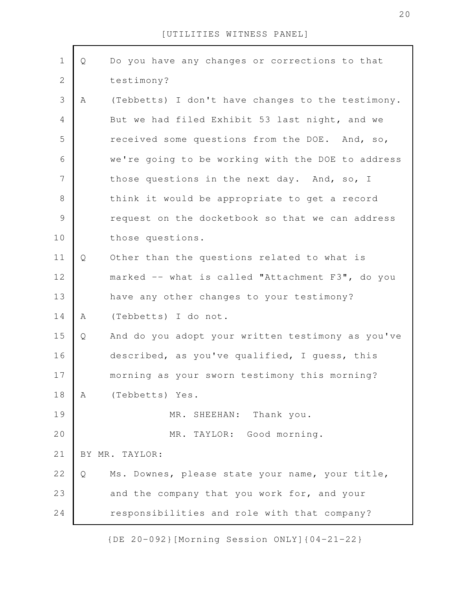| $\mathbf 1$    | Q | Do you have any changes or corrections to that    |
|----------------|---|---------------------------------------------------|
| $\overline{2}$ |   | testimony?                                        |
| $\mathfrak{Z}$ | Α | (Tebbetts) I don't have changes to the testimony. |
| $\overline{4}$ |   | But we had filed Exhibit 53 last night, and we    |
| 5              |   | received some questions from the DOE. And, so,    |
| 6              |   | we're going to be working with the DOE to address |
| 7              |   | those questions in the next day. And, so, I       |
| 8              |   | think it would be appropriate to get a record     |
| $\mathcal{G}$  |   | request on the docketbook so that we can address  |
| 10             |   | those questions.                                  |
| 11             | Q | Other than the questions related to what is       |
| 12             |   | marked -- what is called "Attachment F3", do you  |
| 13             |   | have any other changes to your testimony?         |
| 14             | A | (Tebbetts) I do not.                              |
| 15             | Q | And do you adopt your written testimony as you've |
| 16             |   | described, as you've qualified, I guess, this     |
| 17             |   | morning as your sworn testimony this morning?     |
| 18             | A | (Tebbetts) Yes.                                   |
| 19             |   | MR. SHEEHAN: Thank you.                           |
| 20             |   | MR. TAYLOR: Good morning.                         |
| 21             |   | BY MR. TAYLOR:                                    |
| 22             | Q | Ms. Downes, please state your name, your title,   |
| 23             |   | and the company that you work for, and your       |
| 24             |   | responsibilities and role with that company?      |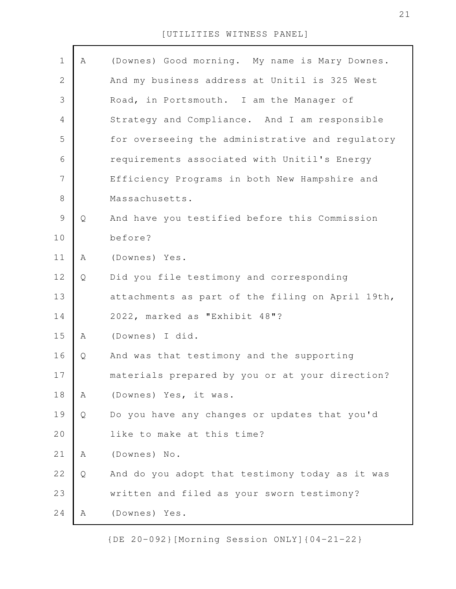| $\mathbf 1$    | Α | (Downes) Good morning. My name is Mary Downes.   |
|----------------|---|--------------------------------------------------|
| $\mathbf 2$    |   | And my business address at Unitil is 325 West    |
| 3              |   | Road, in Portsmouth. I am the Manager of         |
| $\overline{4}$ |   | Strategy and Compliance. And I am responsible    |
| 5              |   | for overseeing the administrative and regulatory |
| 6              |   | requirements associated with Unitil's Energy     |
| 7              |   | Efficiency Programs in both New Hampshire and    |
| $\,8\,$        |   | Massachusetts.                                   |
| $\mathcal{G}$  | Q | And have you testified before this Commission    |
| 10             |   | before?                                          |
| 11             | Α | (Downes) Yes.                                    |
| 12             | Q | Did you file testimony and corresponding         |
| 13             |   | attachments as part of the filing on April 19th, |
| 14             |   | 2022, marked as "Exhibit 48"?                    |
| 15             | Α | (Downes) I did.                                  |
| 16             | Q | And was that testimony and the supporting        |
| $17$           |   | materials prepared by you or at your direction?  |
| 18             | Α | (Downes) Yes, it was.                            |
| 19             | Q | Do you have any changes or updates that you'd    |
| 20             |   | like to make at this time?                       |
| 21             | Α | (Downes) No.                                     |
| 22             | Q | And do you adopt that testimony today as it was  |
| 23             |   | written and filed as your sworn testimony?       |
| 24             | Α | (Downes) Yes.                                    |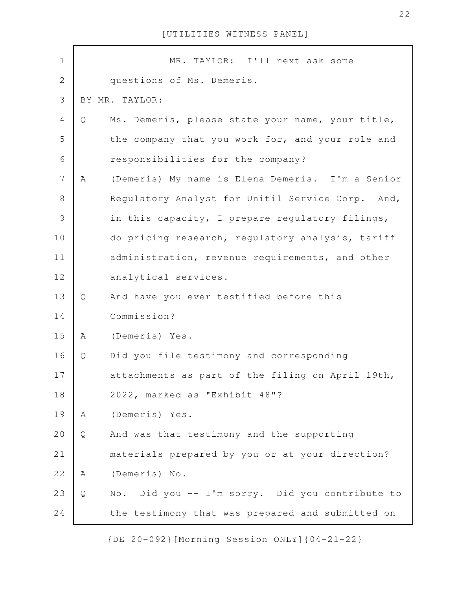| $\mathbf 1$    |   | MR. TAYLOR: I'll next ask some                   |
|----------------|---|--------------------------------------------------|
| $\overline{2}$ |   | questions of Ms. Demeris.                        |
| 3              |   | BY MR. TAYLOR:                                   |
| 4              | Q | Ms. Demeris, please state your name, your title, |
| 5              |   | the company that you work for, and your role and |
| 6              |   | responsibilities for the company?                |
| $\overline{7}$ | A | (Demeris) My name is Elena Demeris. I'm a Senior |
| $8\,$          |   | Regulatory Analyst for Unitil Service Corp. And, |
| $\mathcal{G}$  |   | in this capacity, I prepare regulatory filings,  |
| 10             |   | do pricing research, regulatory analysis, tariff |
| 11             |   | administration, revenue requirements, and other  |
| 12             |   | analytical services.                             |
| 13             | Q | And have you ever testified before this          |
| 14             |   | Commission?                                      |
| 15             | A | (Demeris) Yes.                                   |
| 16             | Q | Did you file testimony and corresponding         |
| 17             |   | attachments as part of the filing on April 19th, |
| 18             |   | 2022, marked as "Exhibit 48"?                    |
| 19             | Α | (Demeris) Yes.                                   |
| 20             | Q | And was that testimony and the supporting        |
| 21             |   | materials prepared by you or at your direction?  |
| 22             | A | (Demeris) No.                                    |
| 23             | Q | No. Did you -- I'm sorry. Did you contribute to  |
| 24             |   | the testimony that was prepared and submitted on |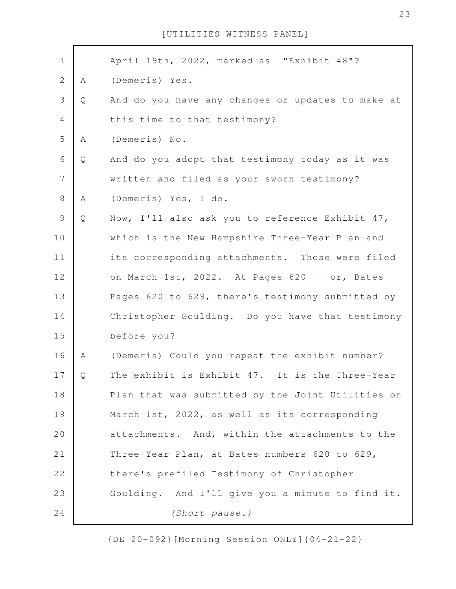| $\mathbf 1$    |   | April 19th, 2022, marked as "Exhibit 48"?         |
|----------------|---|---------------------------------------------------|
| $\mathbf{2}$   | Α | (Demeris) Yes.                                    |
| 3              | Q | And do you have any changes or updates to make at |
| 4              |   | this time to that testimony?                      |
| 5              | Α | (Demeris) No.                                     |
| 6              | Q | And do you adopt that testimony today as it was   |
| $\overline{7}$ |   | written and filed as your sworn testimony?        |
| $8\,$          | A | (Demeris) Yes, I do.                              |
| $\mathcal{G}$  | Q | Now, I'll also ask you to reference Exhibit 47,   |
| 10             |   | which is the New Hampshire Three-Year Plan and    |
| 11             |   | its corresponding attachments. Those were filed   |
| 12             |   | on March 1st, 2022. At Pages 620 -- or, Bates     |
| 13             |   | Pages 620 to 629, there's testimony submitted by  |
| 14             |   | Christopher Goulding. Do you have that testimony  |
| 15             |   | before you?                                       |
| 16             | Α | (Demeris) Could you repeat the exhibit number?    |
| 17             | Q | The exhibit is Exhibit 47. It is the Three-Year   |
| 18             |   | Plan that was submitted by the Joint Utilities on |
| 19             |   | March 1st, 2022, as well as its corresponding     |
| 20             |   | attachments. And, within the attachments to the   |
| 21             |   | Three-Year Plan, at Bates numbers 620 to 629,     |
| 22             |   | there's prefiled Testimony of Christopher         |
| 23             |   | Goulding. And I'll give you a minute to find it.  |
| 24             |   | (Short pause.)                                    |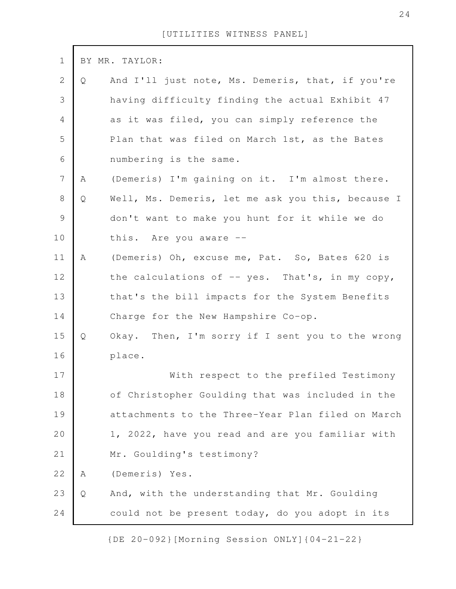| $\mathbf 1$      |   | BY MR. TAYLOR:                                    |
|------------------|---|---------------------------------------------------|
| $\mathbf{2}$     | Q | And I'll just note, Ms. Demeris, that, if you're  |
| $\mathfrak{Z}$   |   | having difficulty finding the actual Exhibit 47   |
| $\overline{4}$   |   | as it was filed, you can simply reference the     |
| 5                |   | Plan that was filed on March 1st, as the Bates    |
| 6                |   | numbering is the same.                            |
| $\boldsymbol{7}$ | Α | (Demeris) I'm gaining on it. I'm almost there.    |
| $8\,$            | Q | Well, Ms. Demeris, let me ask you this, because I |
| $\mathcal{G}$    |   | don't want to make you hunt for it while we do    |
| 10               |   | this. Are you aware --                            |
| 11               | Α | (Demeris) Oh, excuse me, Pat. So, Bates 620 is    |
| 12               |   | the calculations of $-$ yes. That's, in my copy,  |
| 13               |   | that's the bill impacts for the System Benefits   |
| 14               |   | Charge for the New Hampshire Co-op.               |
| 15               | Q | Okay. Then, I'm sorry if I sent you to the wrong  |
| 16               |   | place.                                            |
| 17               |   | With respect to the prefiled Testimony            |
| 18               |   | of Christopher Goulding that was included in the  |
| 19               |   | attachments to the Three-Year Plan filed on March |
| 20               |   | 1, 2022, have you read and are you familiar with  |
| 21               |   | Mr. Goulding's testimony?                         |
| 22               | Α | (Demeris) Yes.                                    |
| 23               | Q | And, with the understanding that Mr. Goulding     |
| 24               |   | could not be present today, do you adopt in its   |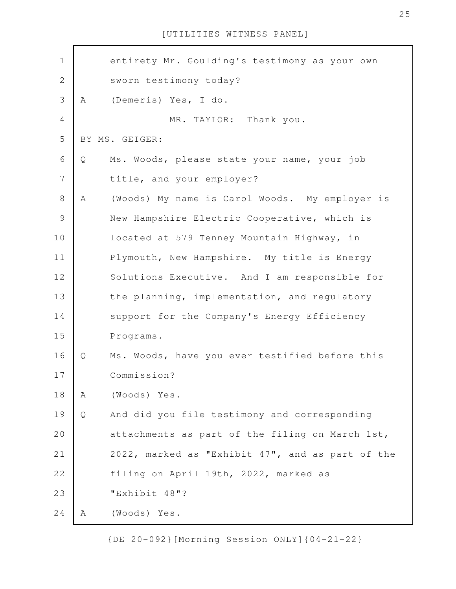entirety Mr. Goulding's testimony as your own sworn testimony today? A (Demeris) Yes, I do. MR. TAYLOR: Thank you. BY MS. GEIGER: Q Ms. Woods, please state your name, your job title, and your employer? A (Woods) My name is Carol Woods. My employer is New Hampshire Electric Cooperative, which is located at 579 Tenney Mountain Highway, in Plymouth, New Hampshire. My title is Energy Solutions Executive. And I am responsible for the planning, implementation, and regulatory support for the Company's Energy Efficiency Programs. Q Ms. Woods, have you ever testified before this Commission? A (Woods) Yes. Q And did you file testimony and corresponding attachments as part of the filing on March 1st, 2022, marked as "Exhibit 47", and as part of the filing on April 19th, 2022, marked as "Exhibit 48"? A (Woods) Yes. 1 2 3 4 5 6 7 8 9 10 11 12 13 14 15 16 17 18 19 20 21 22 23 24

[UTILITIES WITNESS PANEL]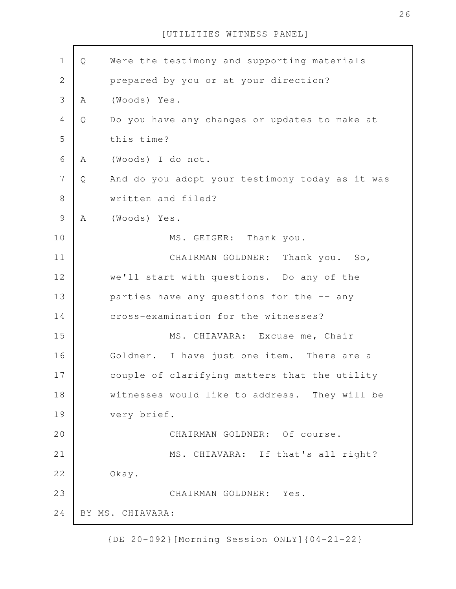| $\mathbf 1$    | Q | Were the testimony and supporting materials     |
|----------------|---|-------------------------------------------------|
| $\mathbf{2}$   |   | prepared by you or at your direction?           |
| 3              | Α | (Woods) Yes.                                    |
| $\overline{4}$ | Q | Do you have any changes or updates to make at   |
| 5              |   | this time?                                      |
| 6              | Α | (Woods) I do not.                               |
| $\overline{7}$ | Q | And do you adopt your testimony today as it was |
| $\,8\,$        |   | written and filed?                              |
| $\mathcal{G}$  | Α | (Woods) Yes.                                    |
| 10             |   | Thank you.<br>MS. GEIGER:                       |
| 11             |   | CHAIRMAN GOLDNER:<br>Thank you. So,             |
| 12             |   | we'll start with questions. Do any of the       |
| 13             |   | parties have any questions for the -- any       |
| 14             |   | cross-examination for the witnesses?            |
| 15             |   | MS. CHIAVARA: Excuse me, Chair                  |
| 16             |   | Goldner. I have just one item. There are a      |
| 17             |   | couple of clarifying matters that the utility   |
| 18             |   | witnesses would like to address. They will be   |
| 19             |   | very brief.                                     |
| 20             |   | CHAIRMAN GOLDNER: Of course.                    |
| 21             |   | MS. CHIAVARA: If that's all right?              |
| 22             |   | Okay.                                           |
| 23             |   | CHAIRMAN GOLDNER: Yes.                          |
| 24             |   | BY MS. CHIAVARA:                                |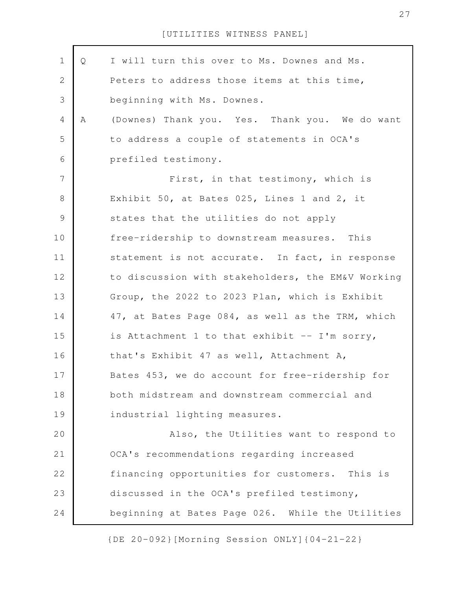| $\mathbf 1$    | Q | I will turn this over to Ms. Downes and Ms.       |
|----------------|---|---------------------------------------------------|
| $\mathbf{2}$   |   | Peters to address those items at this time,       |
| $\mathfrak{Z}$ |   | beginning with Ms. Downes.                        |
| $\overline{4}$ | Α | (Downes) Thank you. Yes. Thank you. We do want    |
| 5              |   | to address a couple of statements in OCA's        |
| 6              |   | prefiled testimony.                               |
| $\overline{7}$ |   | First, in that testimony, which is                |
| $8\,$          |   | Exhibit 50, at Bates 025, Lines 1 and 2, it       |
| $\mathcal{G}$  |   | states that the utilities do not apply            |
| 10             |   | free-ridership to downstream measures. This       |
| 11             |   | statement is not accurate. In fact, in response   |
| 12             |   | to discussion with stakeholders, the EM&V Working |
| 13             |   | Group, the 2022 to 2023 Plan, which is Exhibit    |
| 14             |   | 47, at Bates Page 084, as well as the TRM, which  |
| 15             |   | is Attachment 1 to that exhibit -- I'm sorry,     |
| 16             |   | that's Exhibit 47 as well, Attachment A,          |
| 17             |   | Bates 453, we do account for free-ridership for   |
| 18             |   | both midstream and downstream commercial and      |
| 19             |   | industrial lighting measures.                     |
| 20             |   | Also, the Utilities want to respond to            |
| 21             |   | OCA's recommendations regarding increased         |
| 22             |   | financing opportunities for customers. This is    |
| 23             |   | discussed in the OCA's prefiled testimony,        |
| 24             |   | beginning at Bates Page 026. While the Utilities  |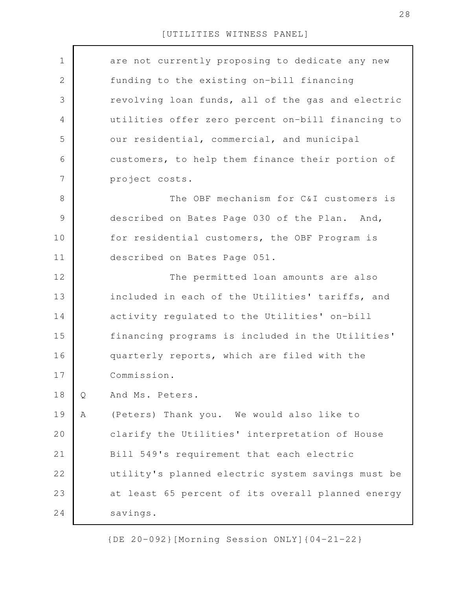| $\mathbf 1$   |   | are not currently proposing to dedicate any new   |
|---------------|---|---------------------------------------------------|
| $\mathbf{2}$  |   | funding to the existing on-bill financing         |
| 3             |   | revolving loan funds, all of the gas and electric |
| 4             |   | utilities offer zero percent on-bill financing to |
| 5             |   | our residential, commercial, and municipal        |
| 6             |   | customers, to help them finance their portion of  |
| 7             |   | project costs.                                    |
| $8\,$         |   | The OBF mechanism for C&I customers is            |
| $\mathcal{G}$ |   | described on Bates Page 030 of the Plan. And,     |
| 10            |   | for residential customers, the OBF Program is     |
| 11            |   | described on Bates Page 051.                      |
| 12            |   | The permitted loan amounts are also               |
| 13            |   | included in each of the Utilities' tariffs, and   |
| 14            |   | activity regulated to the Utilities' on-bill      |
| 15            |   | financing programs is included in the Utilities'  |
| 16            |   | quarterly reports, which are filed with the       |
| 17            |   | Commission.                                       |
| 18            | Q | And Ms. Peters.                                   |
| 19            | Α | (Peters) Thank you. We would also like to         |
| 20            |   | clarify the Utilities' interpretation of House    |
| 21            |   | Bill 549's requirement that each electric         |
| 22            |   | utility's planned electric system savings must be |
| 23            |   | at least 65 percent of its overall planned energy |
| 24            |   | savings.                                          |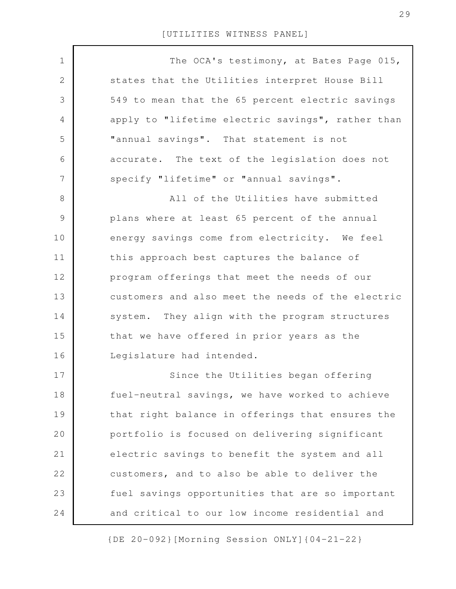| $\mathbf 1$   | The OCA's testimony, at Bates Page 015,           |
|---------------|---------------------------------------------------|
| 2             | states that the Utilities interpret House Bill    |
| 3             | 549 to mean that the 65 percent electric savings  |
| 4             | apply to "lifetime electric savings", rather than |
| 5             | "annual savings". That statement is not           |
| 6             | accurate. The text of the legislation does not    |
| 7             | specify "lifetime" or "annual savings".           |
| 8             | All of the Utilities have submitted               |
| $\mathcal{G}$ | plans where at least 65 percent of the annual     |
| 10            | energy savings come from electricity. We feel     |
| 11            | this approach best captures the balance of        |
| 12            | program offerings that meet the needs of our      |
| 13            | customers and also meet the needs of the electric |
| 14            | system. They align with the program structures    |
| 15            | that we have offered in prior years as the        |
| 16            | Legislature had intended.                         |
| 17            | Since the Utilities began offering                |
| 18            | fuel-neutral savings, we have worked to achieve   |
| 19            | that right balance in offerings that ensures the  |
| 20            | portfolio is focused on delivering significant    |
| 21            | electric savings to benefit the system and all    |
| 22            | customers, and to also be able to deliver the     |
| 23            | fuel savings opportunities that are so important  |
| 24            | and critical to our low income residential and    |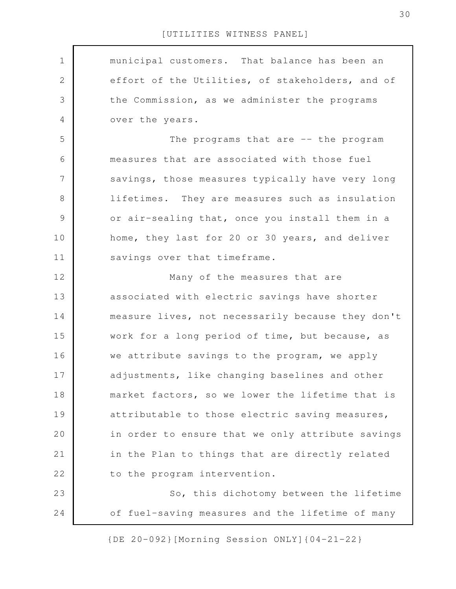municipal customers. That balance has been an effort of the Utilities, of stakeholders, and of the Commission, as we administer the programs over the years. The programs that are -- the program measures that are associated with those fuel savings, those measures typically have very long lifetimes. They are measures such as insulation or air-sealing that, once you install them in a home, they last for 20 or 30 years, and deliver savings over that timeframe. Many of the measures that are associated with electric savings have shorter measure lives, not necessarily because they don't work for a long period of time, but because, as we attribute savings to the program, we apply adjustments, like changing baselines and other market factors, so we lower the lifetime that is attributable to those electric saving measures, in order to ensure that we only attribute savings in the Plan to things that are directly related to the program intervention. So, this dichotomy between the lifetime of fuel-saving measures and the lifetime of many 1 2 3 4 5 6 7 8 9 10 11 12 13 14 15 16 17 18 19 20 21 22 23 24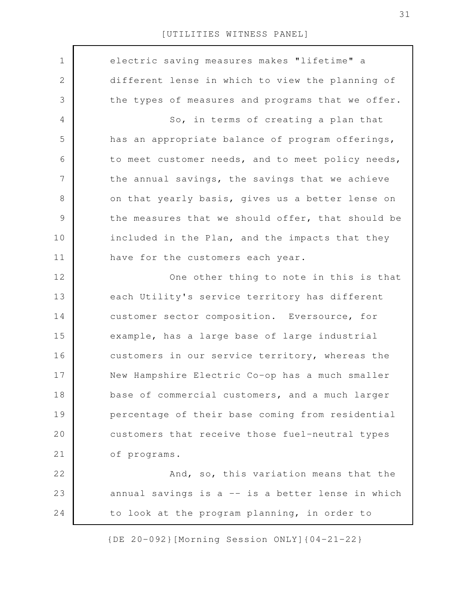| $\mathbf 1$    | electric saving measures makes "lifetime" a       |
|----------------|---------------------------------------------------|
| $\mathbf{2}$   | different lense in which to view the planning of  |
| 3              | the types of measures and programs that we offer. |
| 4              | So, in terms of creating a plan that              |
| 5              | has an appropriate balance of program offerings,  |
| 6              | to meet customer needs, and to meet policy needs, |
| $\overline{7}$ | the annual savings, the savings that we achieve   |
| 8              | on that yearly basis, gives us a better lense on  |
| $\mathcal{G}$  | the measures that we should offer, that should be |
| 10             | included in the Plan, and the impacts that they   |
| 11             | have for the customers each year.                 |
| 12             | One other thing to note in this is that           |
| 13             | each Utility's service territory has different    |
| 14             | customer sector composition. Eversource, for      |
| 15             | example, has a large base of large industrial     |
| 16             | customers in our service territory, whereas the   |
| 17             | New Hampshire Electric Co-op has a much smaller   |
| 18             | base of commercial customers, and a much larger   |
| 19             | percentage of their base coming from residential  |
| 20             | customers that receive those fuel-neutral types   |
| 21             | of programs.                                      |
| 22             | And, so, this variation means that the            |
| 23             | annual savings is a -- is a better lense in which |
| 24             | to look at the program planning, in order to      |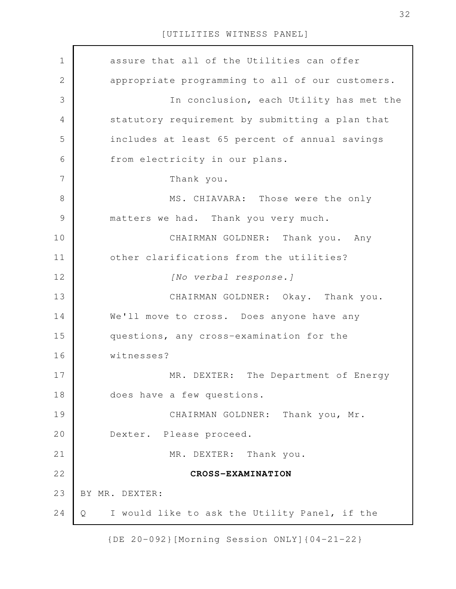| $\mathbf 1$    | assure that all of the Utilities can offer         |
|----------------|----------------------------------------------------|
| $\mathbf 2$    | appropriate programming to all of our customers.   |
| 3              | In conclusion, each Utility has met the            |
| $\overline{4}$ | statutory requirement by submitting a plan that    |
| 5              | includes at least 65 percent of annual savings     |
| 6              | from electricity in our plans.                     |
| $\overline{7}$ | Thank you.                                         |
| 8              | MS. CHIAVARA: Those were the only                  |
| $\mathcal{G}$  | matters we had. Thank you very much.               |
| 10             | CHAIRMAN GOLDNER: Thank you. Any                   |
| 11             | other clarifications from the utilities?           |
| 12             | [No verbal response.]                              |
| 13             | CHAIRMAN GOLDNER: Okay. Thank you.                 |
| 14             | We'll move to cross. Does anyone have any          |
| 15             | questions, any cross-examination for the           |
| 16             | witnesses?                                         |
| 17             | MR. DEXTER: The Department of Energy               |
| 18             | does have a few questions.                         |
| 19             | CHAIRMAN GOLDNER: Thank you, Mr.                   |
| 20             | Dexter. Please proceed.                            |
| 21             | MR. DEXTER: Thank you.                             |
| 22             | CROSS-EXAMINATION                                  |
| 23             | BY MR. DEXTER:                                     |
| 24             | I would like to ask the Utility Panel, if the<br>Q |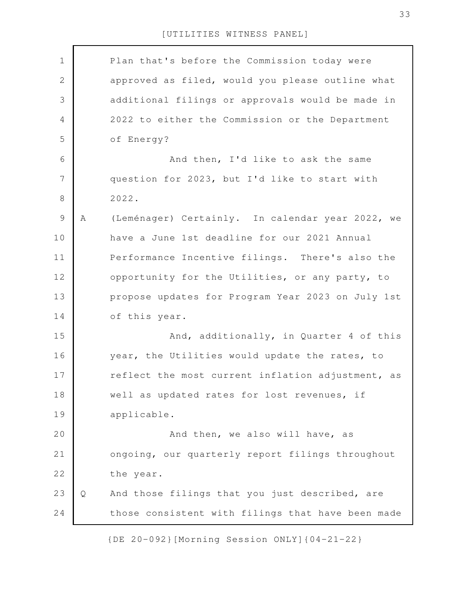Plan that's before the Commission today were approved as filed, would you please outline what additional filings or approvals would be made in 2022 to either the Commission or the Department of Energy? And then, I'd like to ask the same question for 2023, but I'd like to start with 2022. A (Leménager) Certainly. In calendar year 2022, we have a June 1st deadline for our 2021 Annual Performance Incentive filings. There's also the opportunity for the Utilities, or any party, to propose updates for Program Year 2023 on July 1st of this year. And, additionally, in Quarter 4 of this year, the Utilities would update the rates, to reflect the most current inflation adjustment, as well as updated rates for lost revenues, if applicable. And then, we also will have, as ongoing, our quarterly report filings throughout the year. Q And those filings that you just described, are those consistent with filings that have been made 3 4 6 8 9 10 11 12 13 14 15 16 17 18 19 20 21 22 23 24

[UTILITIES WITNESS PANEL]

1

2

5

7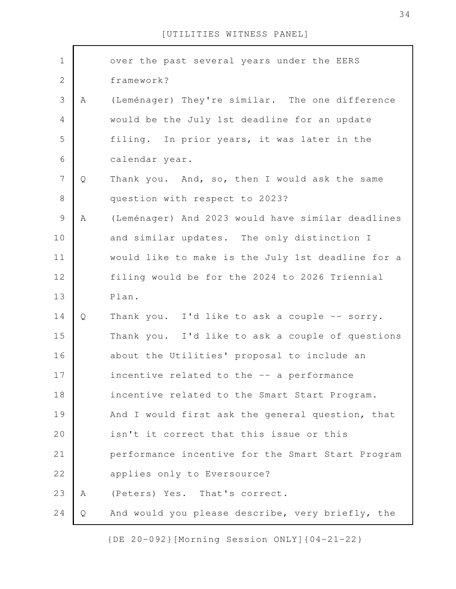| $\mathbf 1$      |   | over the past several years under the EERS        |
|------------------|---|---------------------------------------------------|
| $\mathbf{2}$     |   | framework?                                        |
| 3                | Α | (Leménager) They're similar. The one difference   |
|                  |   |                                                   |
| $\overline{4}$   |   | would be the July 1st deadline for an update      |
| 5                |   | filing. In prior years, it was later in the       |
| 6                |   | calendar year.                                    |
| $\boldsymbol{7}$ | Q | Thank you. And, so, then I would ask the same     |
| $8\,$            |   | question with respect to 2023?                    |
| $\mathcal{G}$    | Α | (Leménager) And 2023 would have similar deadlines |
| 10               |   | and similar updates. The only distinction I       |
| 11               |   | would like to make is the July 1st deadline for a |
| 12               |   | filing would be for the 2024 to 2026 Triennial    |
| 13               |   | Plan.                                             |
| 14               | Q | Thank you. I'd like to ask a couple -- sorry.     |
| 15               |   | Thank you. I'd like to ask a couple of questions  |
| 16               |   | about the Utilities' proposal to include an       |
| 17               |   | incentive related to the -- a performance         |
| 18               |   | incentive related to the Smart Start Program.     |
| 19               |   | And I would first ask the general question, that  |
| 20               |   | isn't it correct that this issue or this          |
| 21               |   | performance incentive for the Smart Start Program |
| 22               |   | applies only to Eversource?                       |
| 23               | A | (Peters) Yes. That's correct.                     |
| 24               | Q | And would you please describe, very briefly, the  |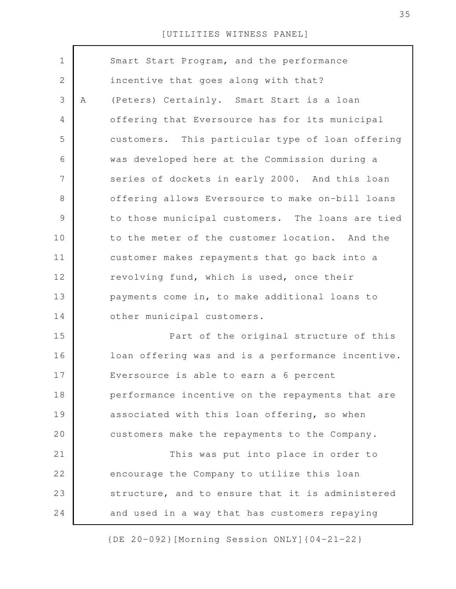| $\mathbf 1$    |   | Smart Start Program, and the performance          |
|----------------|---|---------------------------------------------------|
| $\mathbf{2}$   |   | incentive that goes along with that?              |
| 3              | Α | (Peters) Certainly. Smart Start is a loan         |
| 4              |   | offering that Eversource has for its municipal    |
| 5              |   | customers. This particular type of loan offering  |
| 6              |   | was developed here at the Commission during a     |
| $\overline{7}$ |   | series of dockets in early 2000. And this loan    |
| 8              |   | offering allows Eversource to make on-bill loans  |
| 9              |   | to those municipal customers. The loans are tied  |
| 10             |   | to the meter of the customer location. And the    |
| 11             |   | customer makes repayments that go back into a     |
| 12             |   | revolving fund, which is used, once their         |
| 13             |   | payments come in, to make additional loans to     |
| 14             |   | other municipal customers.                        |
| 15             |   | Part of the original structure of this            |
| 16             |   | loan offering was and is a performance incentive. |
| 17             |   | Eversource is able to earn a 6 percent            |
| 18             |   | performance incentive on the repayments that are  |
| 19             |   | associated with this loan offering, so when       |
| 20             |   | customers make the repayments to the Company.     |
| 21             |   | This was put into place in order to               |
| 22             |   | encourage the Company to utilize this loan        |
| 23             |   | structure, and to ensure that it is administered  |
| 24             |   | and used in a way that has customers repaying     |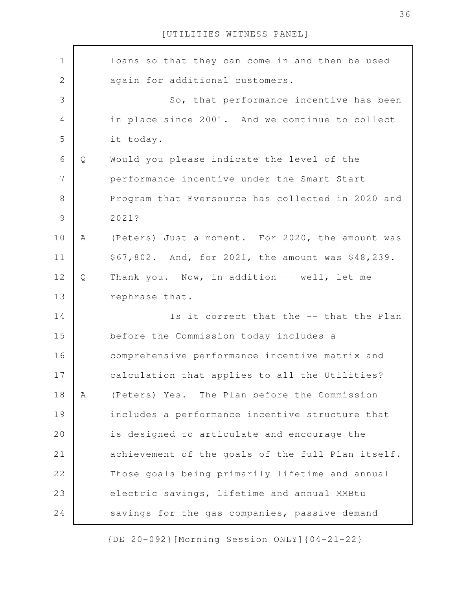| $1\,$          |   | loans so that they can come in and then be used   |
|----------------|---|---------------------------------------------------|
| 2              |   | again for additional customers.                   |
| 3              |   | So, that performance incentive has been           |
| $\overline{4}$ |   | in place since 2001. And we continue to collect   |
| 5              |   | it today.                                         |
| 6              | Q | Would you please indicate the level of the        |
| 7              |   | performance incentive under the Smart Start       |
| 8              |   | Program that Eversource has collected in 2020 and |
| 9              |   | 2021?                                             |
| 10             | A | (Peters) Just a moment. For 2020, the amount was  |
| 11             |   | \$67,802. And, for 2021, the amount was \$48,239. |
| 12             | Q | Thank you. Now, in addition -- well, let me       |
| 13             |   | rephrase that.                                    |
| 14             |   | Is it correct that the -- that the Plan           |
| 15             |   | before the Commission today includes a            |
| 16             |   | comprehensive performance incentive matrix and    |
| 17             |   | calculation that applies to all the Utilities?    |
| 18             | A | (Peters) Yes. The Plan before the Commission      |
| 19             |   | includes a performance incentive structure that   |
| 20             |   | is designed to articulate and encourage the       |
| 21             |   | achievement of the goals of the full Plan itself. |
| 22             |   | Those goals being primarily lifetime and annual   |
| 23             |   | electric savings, lifetime and annual MMBtu       |
| 24             |   | savings for the gas companies, passive demand     |

{DE 20-092}[Morning Session ONLY]{04-21-22}

36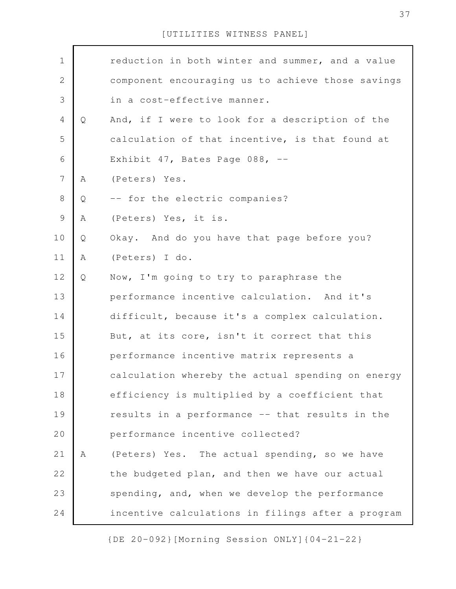| $\mathbf 1$    |              | reduction in both winter and summer, and a value  |
|----------------|--------------|---------------------------------------------------|
| $\mathbf 2$    |              | component encouraging us to achieve those savings |
| 3              |              | in a cost-effective manner.                       |
| $\overline{4}$ | Q            | And, if I were to look for a description of the   |
| 5              |              | calculation of that incentive, is that found at   |
| 6              |              | Exhibit 47, Bates Page 088, --                    |
| $\overline{7}$ | A            | (Peters) Yes.                                     |
| 8              | Q            | -- for the electric companies?                    |
| $\mathcal{G}$  | Α            | (Peters) Yes, it is.                              |
| 10             | Q            | Okay. And do you have that page before you?       |
| 11             | $\mathbb A$  | (Peters) I do.                                    |
| 12             | Q            | Now, I'm going to try to paraphrase the           |
| 13             |              | performance incentive calculation. And it's       |
| 14             |              | difficult, because it's a complex calculation.    |
| 15             |              | But, at its core, isn't it correct that this      |
| 16             |              | performance incentive matrix represents a         |
| 17             |              | calculation whereby the actual spending on energy |
| 18             |              | efficiency is multiplied by a coefficient that    |
| 19             |              | results in a performance -- that results in the   |
| 20             |              | performance incentive collected?                  |
| 21             | $\mathbb{A}$ | (Peters) Yes. The actual spending, so we have     |
| 22             |              | the budgeted plan, and then we have our actual    |
| 23             |              | spending, and, when we develop the performance    |
| 24             |              | incentive calculations in filings after a program |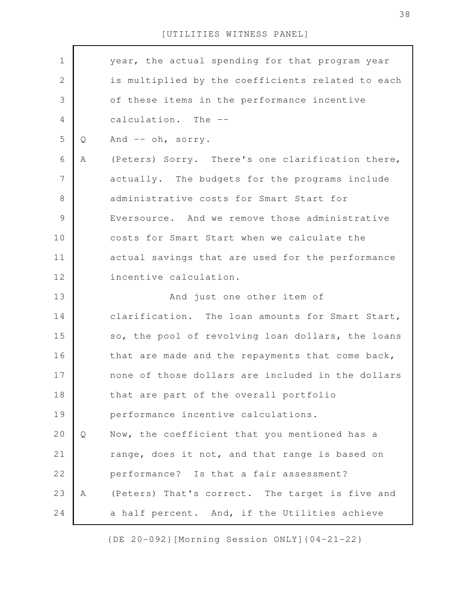year, the actual spending for that program year is multiplied by the coefficients related to each of these items in the performance incentive calculation. The -- Q And -- oh, sorry. A (Peters) Sorry. There's one clarification there, actually. The budgets for the programs include administrative costs for Smart Start for Eversource. And we remove those administrative costs for Smart Start when we calculate the actual savings that are used for the performance incentive calculation. And just one other item of clarification. The loan amounts for Smart Start, so, the pool of revolving loan dollars, the loans that are made and the repayments that come back, none of those dollars are included in the dollars that are part of the overall portfolio performance incentive calculations. Q Now, the coefficient that you mentioned has a range, does it not, and that range is based on performance? Is that a fair assessment? A (Peters) That's correct. The target is five and a half percent. And, if the Utilities achieve 1 2 3 4 5 6 7 8 9 10 11 12 13 14 15 16 17 18 19 20 21 22 23 24

[UTILITIES WITNESS PANEL]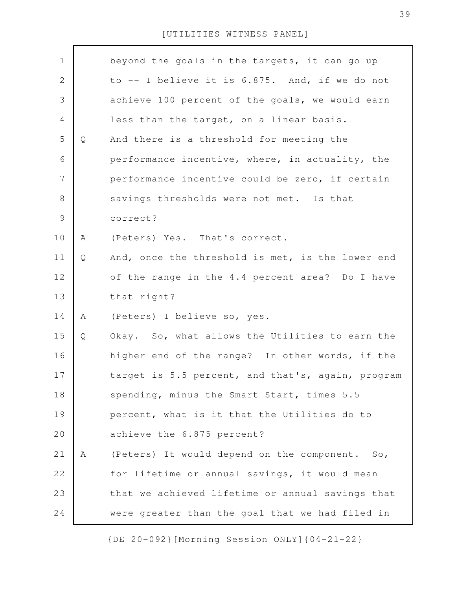| $\mathbf 1$    |   | beyond the goals in the targets, it can go up     |
|----------------|---|---------------------------------------------------|
| $\mathbf{2}$   |   | to -- I believe it is 6.875. And, if we do not    |
| $\mathcal{S}$  |   | achieve 100 percent of the goals, we would earn   |
| 4              |   | less than the target, on a linear basis.          |
| 5              | Q | And there is a threshold for meeting the          |
| 6              |   | performance incentive, where, in actuality, the   |
| $\overline{7}$ |   | performance incentive could be zero, if certain   |
| $\,8\,$        |   | savings thresholds were not met. Is that          |
| $\mathcal{G}$  |   | correct?                                          |
| 10             | A | (Peters) Yes. That's correct.                     |
| 11             | Q | And, once the threshold is met, is the lower end  |
| 12             |   | of the range in the 4.4 percent area? Do I have   |
| 13             |   | that right?                                       |
| 14             | A | (Peters) I believe so, yes.                       |
| 15             | Q | Okay. So, what allows the Utilities to earn the   |
| 16             |   | higher end of the range? In other words, if the   |
| 17             |   | target is 5.5 percent, and that's, again, program |
| 18             |   | spending, minus the Smart Start, times 5.5        |
| 19             |   | percent, what is it that the Utilities do to      |
| 20             |   | achieve the 6.875 percent?                        |
| 21             | Α | (Peters) It would depend on the component. So,    |
| 22             |   | for lifetime or annual savings, it would mean     |
| 23             |   | that we achieved lifetime or annual savings that  |
| 24             |   | were greater than the goal that we had filed in   |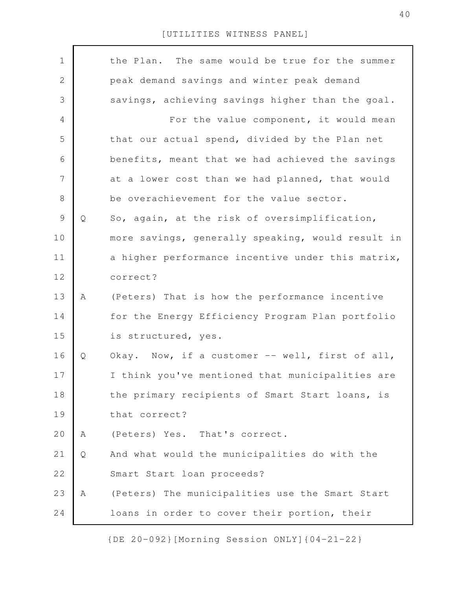| $\mathbf 1$    |   | the Plan. The same would be true for the summer   |
|----------------|---|---------------------------------------------------|
| $\mathbf{2}$   |   | peak demand savings and winter peak demand        |
|                |   |                                                   |
| 3              |   | savings, achieving savings higher than the goal.  |
| $\overline{4}$ |   | For the value component, it would mean            |
| 5              |   | that our actual spend, divided by the Plan net    |
| 6              |   | benefits, meant that we had achieved the savings  |
| $\overline{7}$ |   | at a lower cost than we had planned, that would   |
| $\,8\,$        |   | be overachievement for the value sector.          |
| $\mathcal{G}$  | Q | So, again, at the risk of oversimplification,     |
| 10             |   | more savings, generally speaking, would result in |
| 11             |   | a higher performance incentive under this matrix, |
| 12             |   | correct?                                          |
| 13             | Α | (Peters) That is how the performance incentive    |
| 14             |   | for the Energy Efficiency Program Plan portfolio  |
| 15             |   | is structured, yes.                               |
| 16             | Q | Okay. Now, if a customer -- well, first of all,   |
| 17             |   | I think you've mentioned that municipalities are  |
| 18             |   | the primary recipients of Smart Start loans, is   |
| 19             |   | that correct?                                     |
| 20             | Α | (Peters) Yes. That's correct.                     |
| 21             | Q | And what would the municipalities do with the     |
| 22             |   | Smart Start loan proceeds?                        |
| 23             | Α | (Peters) The municipalities use the Smart Start   |
| 24             |   | loans in order to cover their portion, their      |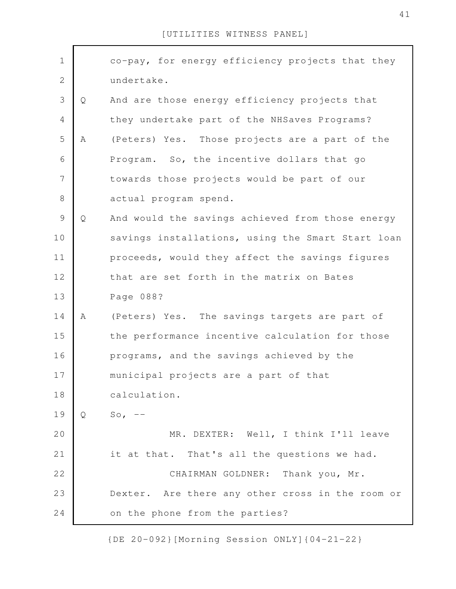| $\mathbf 1$    |   | co-pay, for energy efficiency projects that they  |
|----------------|---|---------------------------------------------------|
| $\mathbf{2}$   |   | undertake.                                        |
| 3              | Q | And are those energy efficiency projects that     |
| $\overline{4}$ |   | they undertake part of the NHSaves Programs?      |
| 5              | Α | (Peters) Yes. Those projects are a part of the    |
| 6              |   | Program. So, the incentive dollars that go        |
| $\overline{7}$ |   | towards those projects would be part of our       |
| $\,8\,$        |   | actual program spend.                             |
| 9              | Q | And would the savings achieved from those energy  |
| 10             |   | savings installations, using the Smart Start loan |
| 11             |   | proceeds, would they affect the savings figures   |
| 12             |   | that are set forth in the matrix on Bates         |
| 13             |   | Page 088?                                         |
| 14             | Α | (Peters) Yes. The savings targets are part of     |
| 15             |   | the performance incentive calculation for those   |
|                |   |                                                   |
| 16             |   | programs, and the savings achieved by the         |
| 17             |   | municipal projects are a part of that             |
| 18             |   | calculation.                                      |
| 19             | Q | $So, --$                                          |
| 20             |   | MR. DEXTER: Well, I think I'll leave              |
| 21             |   | it at that. That's all the questions we had.      |
| 22             |   | CHAIRMAN GOLDNER: Thank you, Mr.                  |
| 23             |   | Dexter. Are there any other cross in the room or  |
| 24             |   | on the phone from the parties?                    |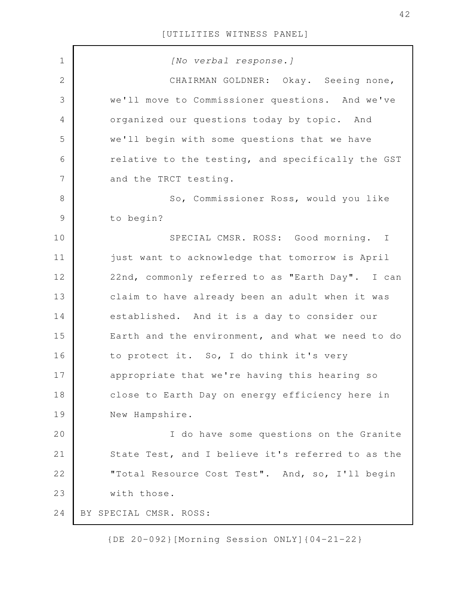| $\mathbf 1$    | [No verbal response.]                             |
|----------------|---------------------------------------------------|
| $\mathbf{2}$   | CHAIRMAN GOLDNER: Okay. Seeing none,              |
| $\mathfrak{Z}$ | we'll move to Commissioner questions. And we've   |
| 4              | organized our questions today by topic. And       |
| 5              | we'll begin with some questions that we have      |
| 6              | relative to the testing, and specifically the GST |
| $\overline{7}$ | and the TRCT testing.                             |
| 8              | So, Commissioner Ross, would you like             |
| $\mathsf 9$    | to begin?                                         |
| 10             | SPECIAL CMSR. ROSS: Good morning. I               |
| 11             | just want to acknowledge that tomorrow is April   |
| 12             | 22nd, commonly referred to as "Earth Day". I can  |
| 13             | claim to have already been an adult when it was   |
| 14             | established. And it is a day to consider our      |
| 15             | Earth and the environment, and what we need to do |
| 16             | to protect it. So, I do think it's very           |
| 17             | appropriate that we're having this hearing so     |
| 18             | close to Earth Day on energy efficiency here in   |
| 19             | New Hampshire.                                    |
| 20             | I do have some questions on the Granite           |
| 21             | State Test, and I believe it's referred to as the |
| 22             | "Total Resource Cost Test". And, so, I'll begin   |
| 23             | with those.                                       |
| 24             | BY SPECIAL CMSR. ROSS:                            |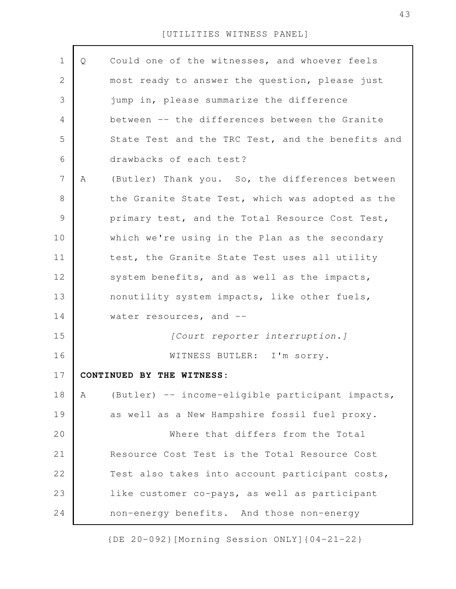| $\mathbf 1$    | Q | Could one of the witnesses, and whoever feels     |
|----------------|---|---------------------------------------------------|
| 2              |   | most ready to answer the question, please just    |
| 3              |   | jump in, please summarize the difference          |
| 4              |   | between -- the differences between the Granite    |
| 5              |   | State Test and the TRC Test, and the benefits and |
| 6              |   | drawbacks of each test?                           |
| $7\phantom{.}$ | Α | (Butler) Thank you. So, the differences between   |
| 8              |   | the Granite State Test, which was adopted as the  |
| 9              |   | primary test, and the Total Resource Cost Test,   |
| 10             |   | which we're using in the Plan as the secondary    |
| 11             |   | test, the Granite State Test uses all utility     |
| 12             |   | system benefits, and as well as the impacts,      |
| 13             |   | nonutility system impacts, like other fuels,      |
| 14             |   | water resources, and --                           |
| 15             |   | [Court reporter interruption.]                    |
| 16             |   | WITNESS BUTLER: I'm sorry.                        |
| 17             |   | CONTINUED BY THE WITNESS:                         |
| 18             | A | (Butler) -- income-eligible participant impacts,  |
| 19             |   | as well as a New Hampshire fossil fuel proxy.     |
| 20             |   | Where that differs from the Total                 |
| 21             |   | Resource Cost Test is the Total Resource Cost     |
| 22             |   | Test also takes into account participant costs,   |
| 23             |   | like customer co-pays, as well as participant     |
| 24             |   | non-energy benefits. And those non-energy         |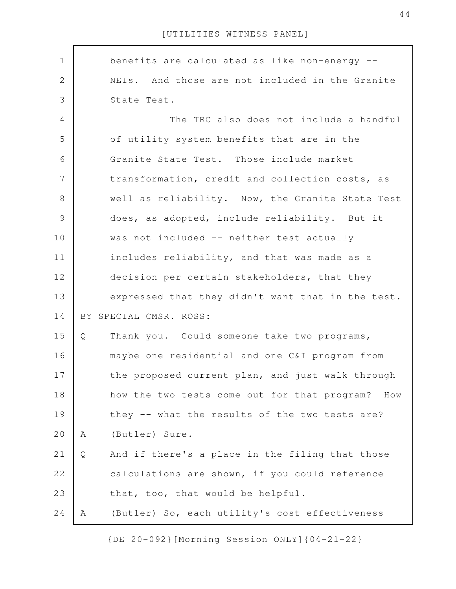benefits are calculated as like non-energy -- NEIs. And those are not included in the Granite State Test. The TRC also does not include a handful of utility system benefits that are in the Granite State Test. Those include market transformation, credit and collection costs, as well as reliability. Now, the Granite State Test does, as adopted, include reliability. But it was not included -- neither test actually includes reliability, and that was made as a decision per certain stakeholders, that they expressed that they didn't want that in the test. BY SPECIAL CMSR. ROSS: Q Thank you. Could someone take two programs, maybe one residential and one C&I program from the proposed current plan, and just walk through how the two tests come out for that program? How they -- what the results of the two tests are? A (Butler) Sure. Q And if there's a place in the filing that those calculations are shown, if you could reference that, too, that would be helpful. A (Butler) So, each utility's cost-effectiveness 1 2 3 4 5 6 7 8 9 10 11 12 13 14 15 16 17 18 19 20 21 22 23 24

[UTILITIES WITNESS PANEL]

{DE 20-092}[Morning Session ONLY]{04-21-22}

44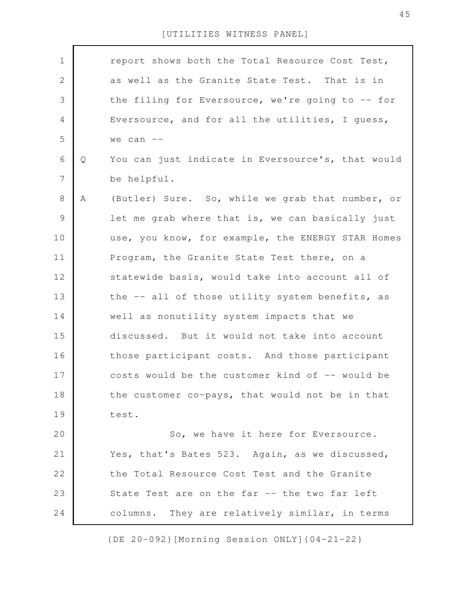| $\mathbf 1$    |   | report shows both the Total Resource Cost Test,   |
|----------------|---|---------------------------------------------------|
| 2              |   | as well as the Granite State Test. That is in     |
| 3              |   | the filing for Eversource, we're going to -- for  |
| 4              |   | Eversource, and for all the utilities, I guess,   |
| 5              |   | we can $--$                                       |
| 6              | Q | You can just indicate in Eversource's, that would |
| $\overline{7}$ |   | be helpful.                                       |
| 8              | Α | (Butler) Sure. So, while we grab that number, or  |
| 9              |   | let me grab where that is, we can basically just  |
| 10             |   | use, you know, for example, the ENERGY STAR Homes |
| 11             |   | Program, the Granite State Test there, on a       |
| 12             |   | statewide basis, would take into account all of   |
| 13             |   | the -- all of those utility system benefits, as   |
| 14             |   | well as nonutility system impacts that we         |
| 15             |   | discussed. But it would not take into account     |
| 16             |   | those participant costs. And those participant    |
| 17             |   | costs would be the customer kind of -- would be   |
| 18             |   | the customer co-pays, that would not be in that   |
| 19             |   | test.                                             |
| 20             |   | So, we have it here for Eversource.               |
| 21             |   | Yes, that's Bates 523. Again, as we discussed,    |
| 22             |   | the Total Resource Cost Test and the Granite      |
| 23             |   | State Test are on the far -- the two far left     |
| 24             |   | columns. They are relatively similar, in terms    |
|                |   |                                                   |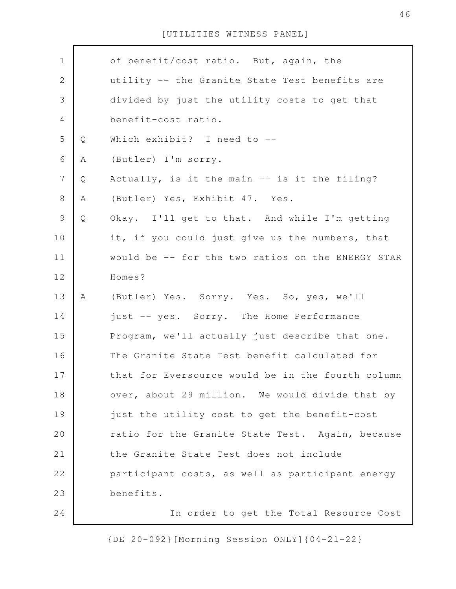| $\mathbf 1$      |   | of benefit/cost ratio. But, again, the            |
|------------------|---|---------------------------------------------------|
| $\sqrt{2}$       |   | utility -- the Granite State Test benefits are    |
| $\mathfrak{Z}$   |   | divided by just the utility costs to get that     |
| $\overline{4}$   |   | benefit-cost ratio.                               |
| 5                | Q | Which exhibit? I need to --                       |
| 6                | A | (Butler) I'm sorry.                               |
| $\boldsymbol{7}$ | Q | Actually, is it the main -- is it the filing?     |
| $8\,$            | Α | (Butler) Yes, Exhibit 47. Yes.                    |
| $\mathsf 9$      | Q | Okay. I'll get to that. And while I'm getting     |
| 10               |   | it, if you could just give us the numbers, that   |
| 11               |   | would be -- for the two ratios on the ENERGY STAR |
| 12               |   | Homes?                                            |
| 13               | A | (Butler) Yes. Sorry. Yes. So, yes, we'll          |
| 14               |   | just -- yes. Sorry. The Home Performance          |
| 15               |   | Program, we'll actually just describe that one.   |
| 16               |   | The Granite State Test benefit calculated for     |
| 17               |   | that for Eversource would be in the fourth column |
| 18               |   | over, about 29 million. We would divide that by   |
| 19               |   | just the utility cost to get the benefit-cost     |
| 20               |   | ratio for the Granite State Test. Again, because  |
| 21               |   | the Granite State Test does not include           |
| 22               |   | participant costs, as well as participant energy  |
| 23               |   | benefits.                                         |
| 24               |   | In order to get the Total Resource Cost           |

{DE 20-092}[Morning Session ONLY]{04-21-22}

 $\mathsf{l}$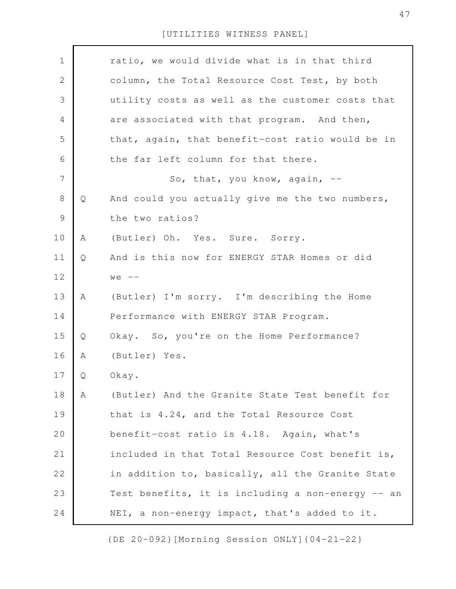| $\mathbf 1$  |   | ratio, we would divide what is in that third      |
|--------------|---|---------------------------------------------------|
| $\mathbf{2}$ |   | column, the Total Resource Cost Test, by both     |
| 3            |   | utility costs as well as the customer costs that  |
| 4            |   | are associated with that program. And then,       |
| 5            |   | that, again, that benefit-cost ratio would be in  |
| 6            |   | the far left column for that there.               |
| 7            |   | So, that, you know, again, --                     |
| 8            | Q | And could you actually give me the two numbers,   |
| $\mathsf 9$  |   | the two ratios?                                   |
| 10           | Α | (Butler) Oh. Yes. Sure. Sorry.                    |
| 11           | Q | And is this now for ENERGY STAR Homes or did      |
| 12           |   | $we$ $---$                                        |
| 13           | Α | (Butler) I'm sorry. I'm describing the Home       |
| 14           |   | Performance with ENERGY STAR Program.             |
| 15           | Q | Okay. So, you're on the Home Performance?         |
| 16           | Α | (Butler) Yes.                                     |
| 17           | Q | Okay.                                             |
| 18           | Α | (Butler) And the Granite State Test benefit for   |
| 19           |   | that is 4.24, and the Total Resource Cost         |
| 20           |   | benefit-cost ratio is 4.18. Again, what's         |
| 21           |   | included in that Total Resource Cost benefit is,  |
| 22           |   | in addition to, basically, all the Granite State  |
| 23           |   | Test benefits, it is including a non-energy -- an |
| 24           |   | NEI, a non-energy impact, that's added to it.     |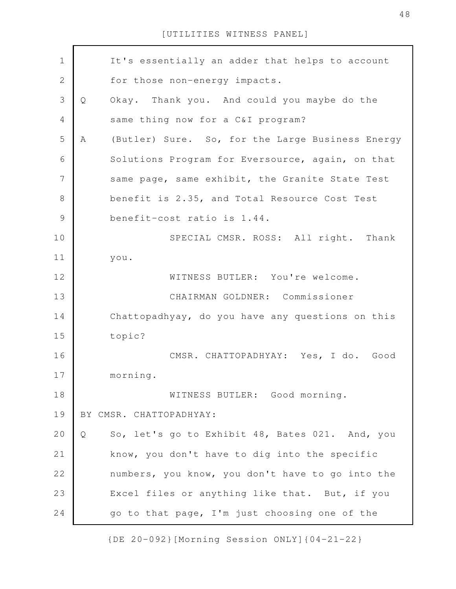| $\mathbf 1$    | It's essentially an adder that helps to account       |
|----------------|-------------------------------------------------------|
| $\sqrt{2}$     | for those non-energy impacts.                         |
|                |                                                       |
| $\mathfrak{Z}$ | Okay. Thank you. And could you maybe do the<br>Q      |
| $\overline{4}$ | same thing now for a C&I program?                     |
| 5              | (Butler) Sure. So, for the Large Business Energy<br>A |
| 6              | Solutions Program for Eversource, again, on that      |
| 7              | same page, same exhibit, the Granite State Test       |
| $8\,$          | benefit is 2.35, and Total Resource Cost Test         |
| $\mathcal{G}$  | benefit-cost ratio is 1.44.                           |
| 10             | SPECIAL CMSR. ROSS: All right. Thank                  |
| 11             | you.                                                  |
| 12             | WITNESS BUTLER: You're welcome.                       |
| 13             | CHAIRMAN GOLDNER: Commissioner                        |
| 14             | Chattopadhyay, do you have any questions on this      |
| 15             | topic?                                                |
| 16             | CMSR. CHATTOPADHYAY: Yes, I do. Good                  |
| 17             | morning.                                              |
| 18             | WITNESS BUTLER: Good morning.                         |
| 19             | BY CMSR. CHATTOPADHYAY:                               |
| 20             | So, let's go to Exhibit 48, Bates 021. And, you<br>Q  |
| 21             | know, you don't have to dig into the specific         |
| 22             | numbers, you know, you don't have to go into the      |
| 23             | Excel files or anything like that. But, if you        |
| 24             | go to that page, I'm just choosing one of the         |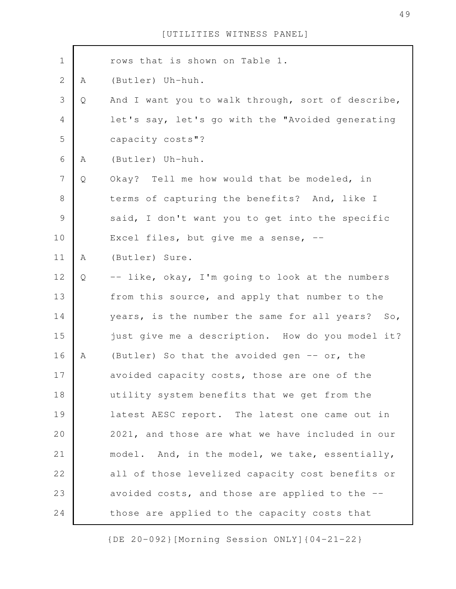| $\mathbf 1$    |   | rows that is shown on Table 1.                    |
|----------------|---|---------------------------------------------------|
| $\sqrt{2}$     | А | (Butler) Uh-huh.                                  |
| 3              | Q | And I want you to walk through, sort of describe, |
| $\overline{4}$ |   | let's say, let's go with the "Avoided generating  |
| 5              |   | capacity costs"?                                  |
| 6              | A | (Butler) Uh-huh.                                  |
| $\overline{7}$ | Q | Okay? Tell me how would that be modeled, in       |
| $\,8\,$        |   | terms of capturing the benefits? And, like I      |
| $\mathcal{G}$  |   | said, I don't want you to get into the specific   |
| 10             |   | Excel files, but give me a sense, $-$             |
| 11             | A | (Butler) Sure.                                    |
| 12             | Q | -- like, okay, I'm going to look at the numbers   |
| 13             |   | from this source, and apply that number to the    |
| 14             |   | years, is the number the same for all years? So,  |
| 15             |   | just give me a description. How do you model it?  |
| 16             | A | (Butler) So that the avoided gen -- or, the       |
| 17             |   | avoided capacity costs, those are one of the      |
| 18             |   | utility system benefits that we get from the      |
| 19             |   | latest AESC report. The latest one came out in    |
| 20             |   | 2021, and those are what we have included in our  |
| 21             |   | model. And, in the model, we take, essentially,   |
| 22             |   | all of those levelized capacity cost benefits or  |
| 23             |   | avoided costs, and those are applied to the --    |
| 24             |   | those are applied to the capacity costs that      |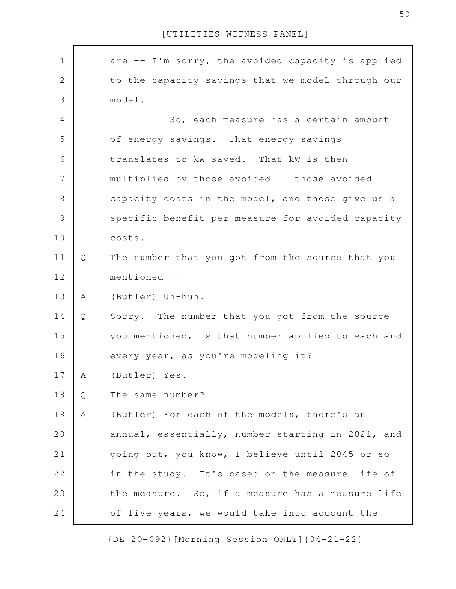| $\mathbf 1$  |   | are -- I'm sorry, the avoided capacity is applied |
|--------------|---|---------------------------------------------------|
| $\mathbf{2}$ |   | to the capacity savings that we model through our |
| 3            |   | model.                                            |
| 4            |   | So, each measure has a certain amount             |
| 5            |   | of energy savings. That energy savings            |
| 6            |   | translates to kW saved. That kW is then           |
| 7            |   | multiplied by those avoided -- those avoided      |
| $8\,$        |   | capacity costs in the model, and those give us a  |
| 9            |   | specific benefit per measure for avoided capacity |
| 10           |   | costs.                                            |
| 11           | Q | The number that you got from the source that you  |
| 12           |   | mentioned --                                      |
| 13           | A | (Butler) Uh-huh.                                  |
| 14           | Q | Sorry. The number that you got from the source    |
| 15           |   | you mentioned, is that number applied to each and |
| 16           |   | every year, as you're modeling it?                |
| 17           | A | (Butler) Yes.                                     |
| 18           | Q | The same number?                                  |
| 19           | Α | (Butler) For each of the models, there's an       |
| 20           |   | annual, essentially, number starting in 2021, and |
| 21           |   | going out, you know, I believe until 2045 or so   |
| 22           |   | in the study. It's based on the measure life of   |
| 23           |   | the measure. So, if a measure has a measure life  |
| 24           |   | of five years, we would take into account the     |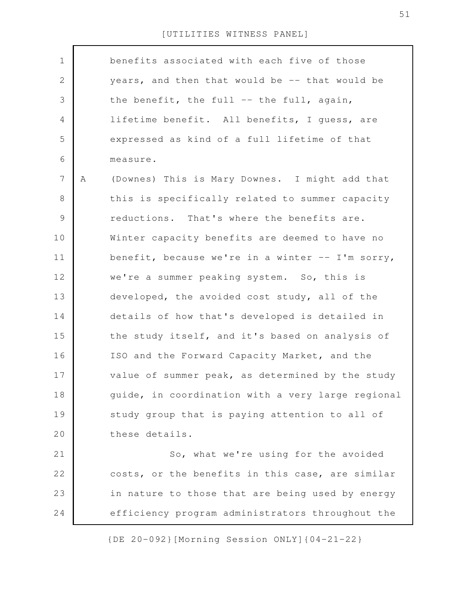| $\mathbf 1$    |   | benefits associated with each five of those       |
|----------------|---|---------------------------------------------------|
| $\mathbf{2}$   |   | years, and then that would be -- that would be    |
| 3              |   | the benefit, the full -- the full, again,         |
| 4              |   | lifetime benefit. All benefits, I guess, are      |
| 5              |   | expressed as kind of a full lifetime of that      |
| 6              |   | measure.                                          |
| $\overline{7}$ | A | (Downes) This is Mary Downes. I might add that    |
| 8              |   | this is specifically related to summer capacity   |
| $\mathsf 9$    |   | reductions. That's where the benefits are.        |
| 10             |   | Winter capacity benefits are deemed to have no    |
| 11             |   | benefit, because we're in a winter -- I'm sorry,  |
| 12             |   | we're a summer peaking system. So, this is        |
| 13             |   | developed, the avoided cost study, all of the     |
| 14             |   | details of how that's developed is detailed in    |
| 15             |   | the study itself, and it's based on analysis of   |
| 16             |   | ISO and the Forward Capacity Market, and the      |
| 17             |   | value of summer peak, as determined by the study  |
| 18             |   | guide, in coordination with a very large regional |
| 19             |   | study group that is paying attention to all of    |
| 20             |   | these details.                                    |
| 21             |   | So, what we're using for the avoided              |
| 22             |   | costs, or the benefits in this case, are similar  |
| 23             |   | in nature to those that are being used by energy  |
| 24             |   | efficiency program administrators throughout the  |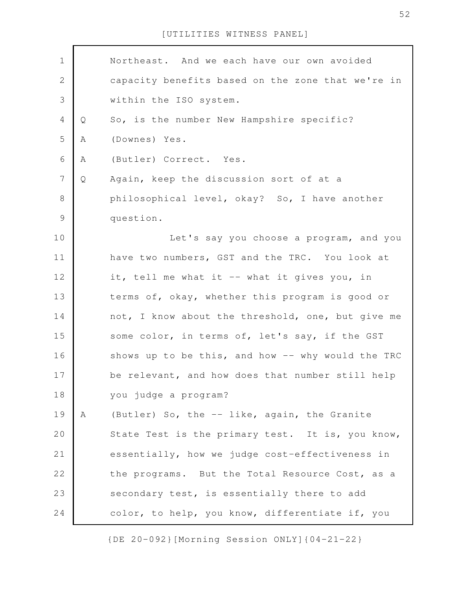| $\mathbf 1$      |   | Northeast. And we each have our own avoided       |
|------------------|---|---------------------------------------------------|
| $\sqrt{2}$       |   | capacity benefits based on the zone that we're in |
| 3                |   | within the ISO system.                            |
| $\overline{4}$   | Q | So, is the number New Hampshire specific?         |
| 5                | Α | (Downes) Yes.                                     |
| 6                | А | (Butler) Correct. Yes.                            |
| $\boldsymbol{7}$ | Q | Again, keep the discussion sort of at a           |
| 8                |   | philosophical level, okay? So, I have another     |
| 9                |   | question.                                         |
| 10               |   | Let's say you choose a program, and you           |
| 11               |   | have two numbers, GST and the TRC. You look at    |
| 12               |   | it, tell me what it -- what it gives you, in      |
| 13               |   | terms of, okay, whether this program is good or   |
| 14               |   | not, I know about the threshold, one, but give me |
| 15               |   | some color, in terms of, let's say, if the GST    |
| 16               |   | shows up to be this, and how -- why would the TRC |
| 17               |   | be relevant, and how does that number still help  |
| 18               |   | you judge a program?                              |
| 19               | Α | (Butler) So, the -- like, again, the Granite      |
| 20               |   | State Test is the primary test. It is, you know,  |
| 21               |   | essentially, how we judge cost-effectiveness in   |
| 22               |   | the programs. But the Total Resource Cost, as a   |
| 23               |   | secondary test, is essentially there to add       |
| 24               |   | color, to help, you know, differentiate if, you   |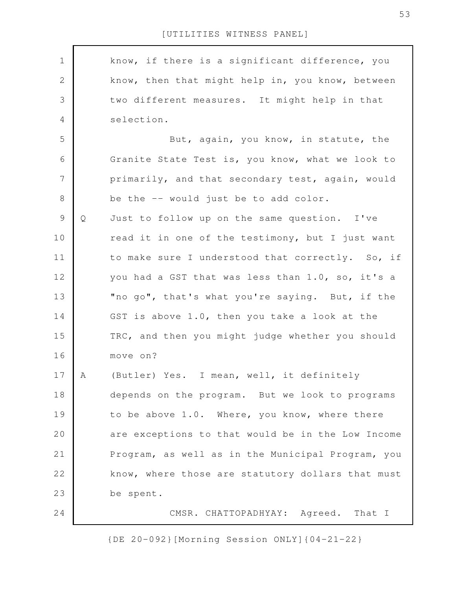know, if there is a significant difference, you know, then that might help in, you know, between two different measures. It might help in that selection. But, again, you know, in statute, the Granite State Test is, you know, what we look to primarily, and that secondary test, again, would be the -- would just be to add color. Q Just to follow up on the same question. I've read it in one of the testimony, but I just want to make sure I understood that correctly. So, if you had a GST that was less than 1.0, so, it's a "no go", that's what you're saying. But, if the GST is above 1.0, then you take a look at the TRC, and then you might judge whether you should move on? A (Butler) Yes. I mean, well, it definitely depends on the program. But we look to programs to be above 1.0. Where, you know, where there are exceptions to that would be in the Low Income Program, as well as in the Municipal Program, you know, where those are statutory dollars that must be spent. CMSR. CHATTOPADHYAY: Agreed. That I 1 2 3 4 5 6 7 8 9 10 11 12 13 14 15 16 17 18 19 20 21 22 23 24

[UTILITIES WITNESS PANEL]

{DE 20-092}[Morning Session ONLY]{04-21-22}

53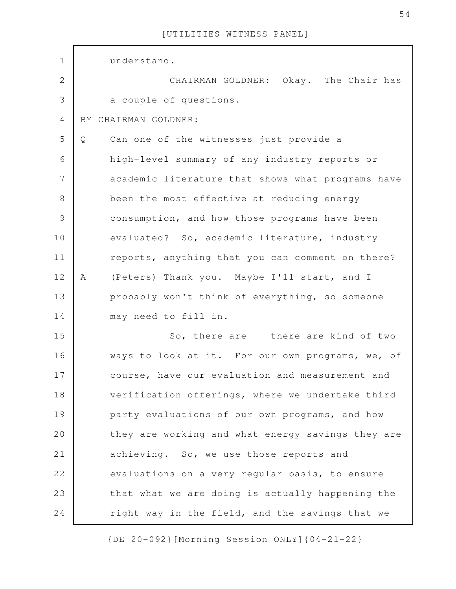| $\mathbf 1$    | understand.                                       |
|----------------|---------------------------------------------------|
| $\overline{2}$ | CHAIRMAN GOLDNER: Okay. The Chair has             |
| 3              | a couple of questions.                            |
| 4              | BY CHAIRMAN GOLDNER:                              |
| 5              | Can one of the witnesses just provide a<br>Q      |
| 6              | high-level summary of any industry reports or     |
| $\overline{7}$ | academic literature that shows what programs have |
| $8\,$          | been the most effective at reducing energy        |
| $\mathcal{G}$  | consumption, and how those programs have been     |
| 10             | evaluated? So, academic literature, industry      |
| 11             | reports, anything that you can comment on there?  |
| 12             | (Peters) Thank you. Maybe I'll start, and I<br>A  |
| 13             | probably won't think of everything, so someone    |
| 14             | may need to fill in.                              |
| 15             | So, there are -- there are kind of two            |
| 16             | ways to look at it. For our own programs, we, of  |
| 17             | course, have our evaluation and measurement and   |
| 18             | verification offerings, where we undertake third  |
| 19             | party evaluations of our own programs, and how    |
| 20             | they are working and what energy savings they are |
| 21             | achieving. So, we use those reports and           |
| 22             | evaluations on a very regular basis, to ensure    |
| 23             | that what we are doing is actually happening the  |
| 24             | right way in the field, and the savings that we   |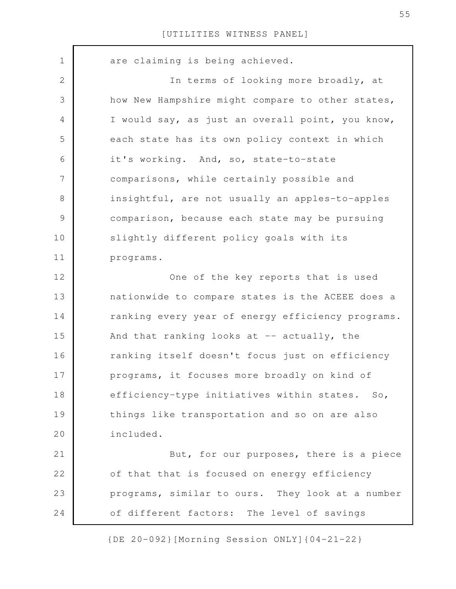are claiming is being achieved. In terms of looking more broadly, at how New Hampshire might compare to other states, I would say, as just an overall point, you know, each state has its own policy context in which it's working. And, so, state-to-state comparisons, while certainly possible and insightful, are not usually an apples-to-apples comparison, because each state may be pursuing slightly different policy goals with its programs. One of the key reports that is used nationwide to compare states is the ACEEE does a ranking every year of energy efficiency programs. And that ranking looks at  $-$  actually, the ranking itself doesn't focus just on efficiency programs, it focuses more broadly on kind of efficiency-type initiatives within states. So, things like transportation and so on are also included. But, for our purposes, there is a piece of that that is focused on energy efficiency programs, similar to ours. They look at a number of different factors: The level of savings 1 2 3 4 5 6 7 8 9 10 11 12 13 14 15 16 17 18 19 20 21 22 23 24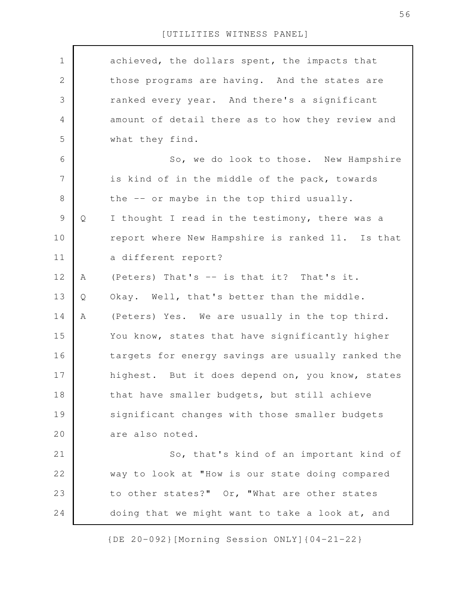| $\mathbf 1$    |   | achieved, the dollars spent, the impacts that     |
|----------------|---|---------------------------------------------------|
| $\mathbf{2}$   |   | those programs are having. And the states are     |
| $\mathfrak{Z}$ |   | ranked every year. And there's a significant      |
| $\overline{4}$ |   | amount of detail there as to how they review and  |
| 5              |   | what they find.                                   |
| 6              |   | So, we do look to those. New Hampshire            |
| $\overline{7}$ |   | is kind of in the middle of the pack, towards     |
| $\,8\,$        |   | the -- or maybe in the top third usually.         |
| $\mathcal{G}$  | Q | I thought I read in the testimony, there was a    |
| 10             |   | report where New Hampshire is ranked 11. Is that  |
| 11             |   | a different report?                               |
| 12             | A | (Peters) That's -- is that it? That's it.         |
| 13             | Q | Okay. Well, that's better than the middle.        |
| 14             | A | (Peters) Yes. We are usually in the top third.    |
| 15             |   | You know, states that have significantly higher   |
| 16             |   | targets for energy savings are usually ranked the |
| 17             |   | highest. But it does depend on, you know, states  |
| 18             |   | that have smaller budgets, but still achieve      |
| 19             |   | significant changes with those smaller budgets    |
| 20             |   | are also noted.                                   |
| 21             |   | So, that's kind of an important kind of           |
| 22             |   | way to look at "How is our state doing compared   |
| 23             |   | to other states?" Or, "What are other states      |
| 24             |   | doing that we might want to take a look at, and   |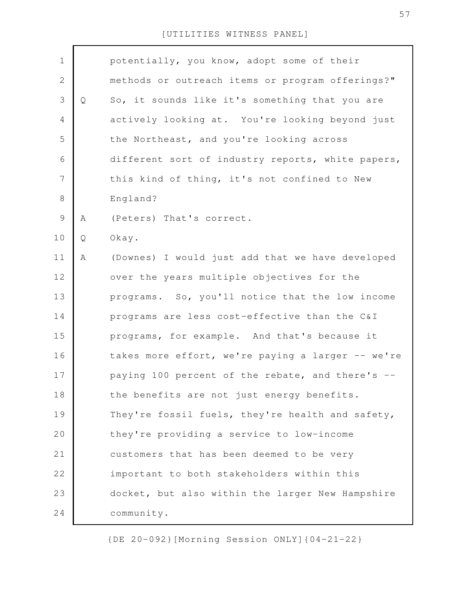| $\mathbf 1$  |   | potentially, you know, adopt some of their        |
|--------------|---|---------------------------------------------------|
| $\mathbf{2}$ |   | methods or outreach items or program offerings?"  |
|              |   |                                                   |
| 3            | Q | So, it sounds like it's something that you are    |
| 4            |   | actively looking at. You're looking beyond just   |
| 5            |   | the Northeast, and you're looking across          |
| 6            |   | different sort of industry reports, white papers, |
| 7            |   | this kind of thing, it's not confined to New      |
| $8\,$        |   | England?                                          |
| 9            | Α | (Peters) That's correct.                          |
| 10           | Q | Okay.                                             |
| 11           | Α | (Downes) I would just add that we have developed  |
| 12           |   | over the years multiple objectives for the        |
| 13           |   | programs. So, you'll notice that the low income   |
| 14           |   | programs are less cost-effective than the C&I     |
| 15           |   | programs, for example. And that's because it      |
| 16           |   | takes more effort, we're paying a larger -- we're |
| 17           |   | paying 100 percent of the rebate, and there's --  |
| 18           |   | the benefits are not just energy benefits.        |
| 19           |   | They're fossil fuels, they're health and safety,  |
| 20           |   | they're providing a service to low-income         |
| 21           |   | customers that has been deemed to be very         |
| 22           |   | important to both stakeholders within this        |
| 23           |   | docket, but also within the larger New Hampshire  |
| 24           |   | community.                                        |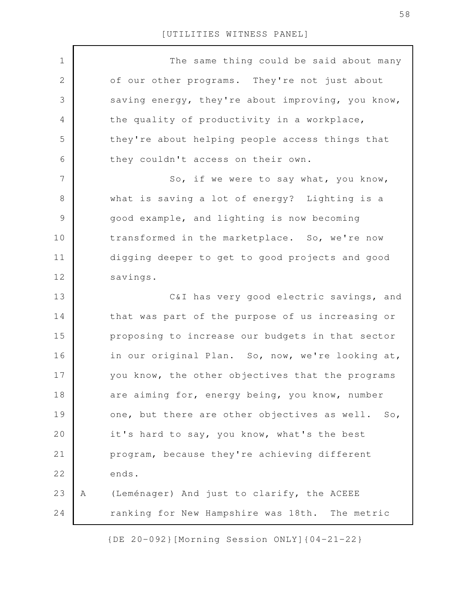| $\mathbf 1$    |   | The same thing could be said about many           |
|----------------|---|---------------------------------------------------|
| $\mathbf 2$    |   | of our other programs. They're not just about     |
| 3              |   | saving energy, they're about improving, you know, |
| 4              |   | the quality of productivity in a workplace,       |
| 5              |   | they're about helping people access things that   |
| 6              |   | they couldn't access on their own.                |
| $\overline{7}$ |   | So, if we were to say what, you know,             |
| 8              |   | what is saving a lot of energy? Lighting is a     |
| $\mathcal{G}$  |   | good example, and lighting is now becoming        |
| 10             |   | transformed in the marketplace. So, we're now     |
| 11             |   | digging deeper to get to good projects and good   |
| 12             |   | savings.                                          |
| 13             |   | C&I has very good electric savings, and           |
| 14             |   | that was part of the purpose of us increasing or  |
| 15             |   | proposing to increase our budgets in that sector  |
| 16             |   | in our original Plan. So, now, we're looking at,  |
| 17             |   | you know, the other objectives that the programs  |
| 18             |   | are aiming for, energy being, you know, number    |
| 19             |   | one, but there are other objectives as well. So,  |
| 20             |   | it's hard to say, you know, what's the best       |
| 21             |   | program, because they're achieving different      |
| 22             |   | ends.                                             |
| 23             | Α | (Leménager) And just to clarify, the ACEEE        |
| 24             |   | ranking for New Hampshire was 18th. The metric    |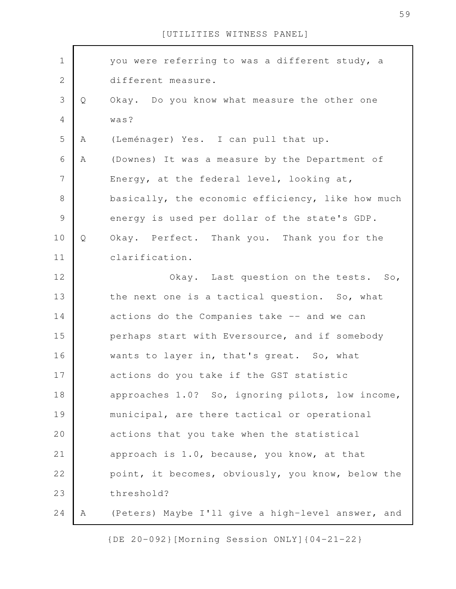| $\mathbf 1$    |   | you were referring to was a different study, a    |
|----------------|---|---------------------------------------------------|
| $\mathbf{2}$   |   | different measure.                                |
| 3              | Q | Okay. Do you know what measure the other one      |
| $\overline{4}$ |   | was?                                              |
| 5              | A | (Leménager) Yes. I can pull that up.              |
| 6              | Α | (Downes) It was a measure by the Department of    |
| 7              |   | Energy, at the federal level, looking at,         |
| 8              |   | basically, the economic efficiency, like how much |
| $\mathcal{G}$  |   | energy is used per dollar of the state's GDP.     |
| 10             | Q | Okay. Perfect. Thank you. Thank you for the       |
| 11             |   | clarification.                                    |
| 12             |   | Okay. Last question on the tests. So,             |
| 13             |   | the next one is a tactical question. So, what     |
| 14             |   | actions do the Companies take -- and we can       |
| 15             |   | perhaps start with Eversource, and if somebody    |
| 16             |   | wants to layer in, that's great. So, what         |
| 17             |   | actions do you take if the GST statistic          |
| 18             |   | approaches 1.0? So, ignoring pilots, low income,  |
| 19             |   | municipal, are there tactical or operational      |
| 20             |   | actions that you take when the statistical        |
| 21             |   | approach is 1.0, because, you know, at that       |
| 22             |   | point, it becomes, obviously, you know, below the |
| 23             |   | threshold?                                        |
| 24             | Α | (Peters) Maybe I'll give a high-level answer, and |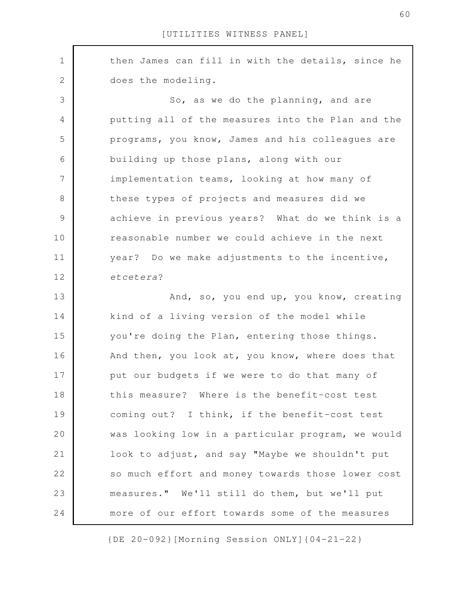then James can fill in with the details, since he does the modeling. So, as we do the planning, and are putting all of the measures into the Plan and the programs, you know, James and his colleagues are building up those plans, along with our implementation teams, looking at how many of these types of projects and measures did we achieve in previous years? What do we think is a reasonable number we could achieve in the next year? Do we make adjustments to the incentive, *etcetera*? And, so, you end up, you know, creating kind of a living version of the model while you're doing the Plan, entering those things. And then, you look at, you know, where does that put our budgets if we were to do that many of this measure? Where is the benefit-cost test coming out? I think, if the benefit-cost test was looking low in a particular program, we would look to adjust, and say "Maybe we shouldn't put so much effort and money towards those lower cost measures." We'll still do them, but we'll put more of our effort towards some of the measures 1 2 3 4 5 6 7 8 9 10 11 12 13 14 15 16 17 18 19 20 21 22 23 24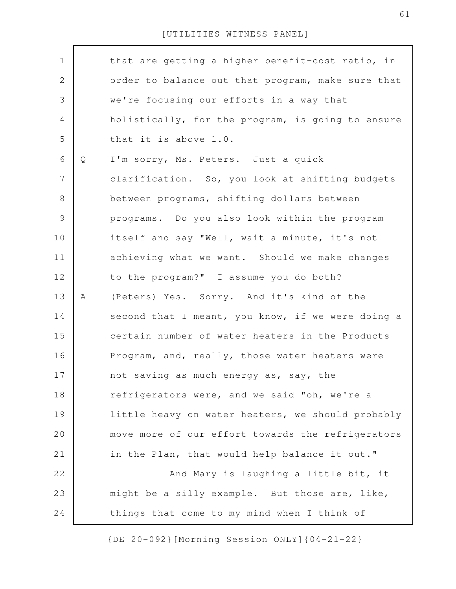| $\mathbf 1$    |   | that are getting a higher benefit-cost ratio, in  |
|----------------|---|---------------------------------------------------|
| $\sqrt{2}$     |   | order to balance out that program, make sure that |
| 3              |   | we're focusing our efforts in a way that          |
| $\overline{4}$ |   | holistically, for the program, is going to ensure |
| 5              |   | that it is above 1.0.                             |
| 6              | Q | I'm sorry, Ms. Peters. Just a quick               |
| $\overline{7}$ |   | clarification. So, you look at shifting budgets   |
| $\,8\,$        |   | between programs, shifting dollars between        |
| $\mathcal{G}$  |   | programs. Do you also look within the program     |
| 10             |   | itself and say "Well, wait a minute, it's not     |
| 11             |   | achieving what we want. Should we make changes    |
| 12             |   | to the program?" I assume you do both?            |
| 13             | A | (Peters) Yes. Sorry. And it's kind of the         |
| 14             |   | second that I meant, you know, if we were doing a |
| 15             |   | certain number of water heaters in the Products   |
| 16             |   | Program, and, really, those water heaters were    |
| 17             |   | not saving as much energy as, say, the            |
| 18             |   | refrigerators were, and we said "oh, we're a      |
| 19             |   | little heavy on water heaters, we should probably |
| 20             |   | move more of our effort towards the refrigerators |
| 21             |   | in the Plan, that would help balance it out."     |
| 22             |   | And Mary is laughing a little bit, it             |
| 23             |   | might be a silly example. But those are, like,    |
| 24             |   | things that come to my mind when I think of       |
|                |   |                                                   |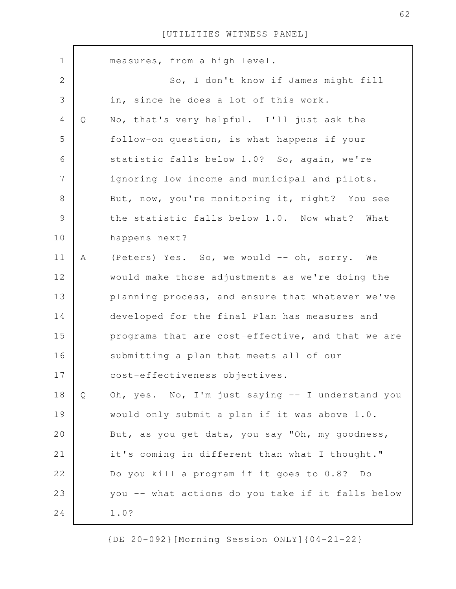| $\mathbf 1$    |              | measures, from a high level.                      |
|----------------|--------------|---------------------------------------------------|
| $\mathbf{2}$   |              | So, I don't know if James might fill              |
| 3              |              | in, since he does a lot of this work.             |
| 4              | $\mathsf{Q}$ | No, that's very helpful. I'll just ask the        |
| 5              |              | follow-on question, is what happens if your       |
| 6              |              | statistic falls below 1.0? So, again, we're       |
| $\overline{7}$ |              | ignoring low income and municipal and pilots.     |
| 8              |              | But, now, you're monitoring it, right? You see    |
| 9              |              | the statistic falls below 1.0. Now what? What     |
| 10             |              | happens next?                                     |
| 11             | Α            | (Peters) Yes. So, we would -- oh, sorry. We       |
| 12             |              | would make those adjustments as we're doing the   |
| 13             |              | planning process, and ensure that whatever we've  |
| 14             |              | developed for the final Plan has measures and     |
| 15             |              | programs that are cost-effective, and that we are |
| 16             |              | submitting a plan that meets all of our           |
| 17             |              | cost-effectiveness objectives.                    |
| 18             | Q            | Oh, yes. No, I'm just saying -- I understand you  |
| 19             |              | would only submit a plan if it was above 1.0.     |
| 20             |              | But, as you get data, you say "Oh, my goodness,   |
| 21             |              | it's coming in different than what I thought."    |
| 22             |              | Do you kill a program if it goes to 0.8? Do       |
| 23             |              | you -- what actions do you take if it falls below |
| 24             |              | 1.0?                                              |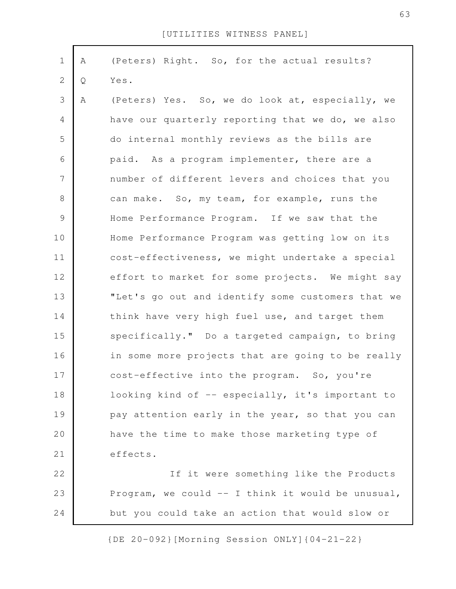| $\mathbf 1$    | Α | (Peters) Right. So, for the actual results?       |
|----------------|---|---------------------------------------------------|
| $\mathbf{2}$   | Q | Yes.                                              |
| $\mathcal{S}$  | A | (Peters) Yes. So, we do look at, especially, we   |
| $\overline{4}$ |   | have our quarterly reporting that we do, we also  |
| 5              |   | do internal monthly reviews as the bills are      |
| 6              |   | paid. As a program implementer, there are a       |
| $\overline{7}$ |   | number of different levers and choices that you   |
| $8\,$          |   | can make. So, my team, for example, runs the      |
| $\mathsf 9$    |   | Home Performance Program. If we saw that the      |
| 10             |   | Home Performance Program was getting low on its   |
| 11             |   | cost-effectiveness, we might undertake a special  |
| 12             |   | effort to market for some projects. We might say  |
| 13             |   | "Let's go out and identify some customers that we |
| 14             |   | think have very high fuel use, and target them    |
| 15             |   | specifically." Do a targeted campaign, to bring   |
| 16             |   | in some more projects that are going to be really |
| 17             |   | cost-effective into the program. So, you're       |
| 18             |   | looking kind of -- especially, it's important to  |
| 19             |   | pay attention early in the year, so that you can  |
| 20             |   | have the time to make those marketing type of     |
| 21             |   | effects.                                          |
| 22             |   | If it were something like the Products            |
| 23             |   | Program, we could -- I think it would be unusual, |
| 24             |   | but you could take an action that would slow or   |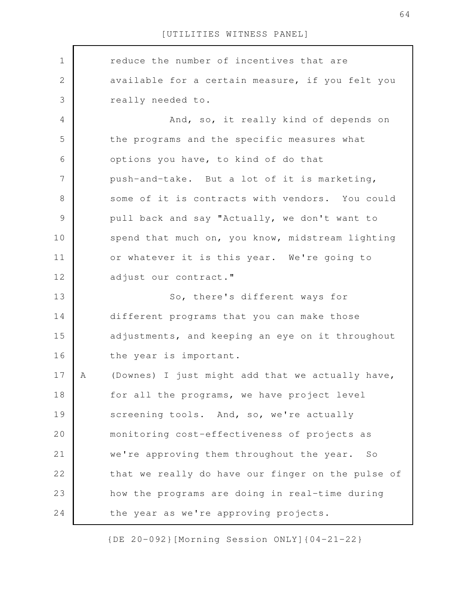reduce the number of incentives that are available for a certain measure, if you felt you really needed to. And, so, it really kind of depends on the programs and the specific measures what options you have, to kind of do that push-and-take. But a lot of it is marketing, some of it is contracts with vendors. You could pull back and say "Actually, we don't want to spend that much on, you know, midstream lighting or whatever it is this year. We're going to adjust our contract." So, there's different ways for different programs that you can make those adjustments, and keeping an eye on it throughout the year is important. A (Downes) I just might add that we actually have, for all the programs, we have project level screening tools. And, so, we're actually monitoring cost-effectiveness of projects as we're approving them throughout the year. So that we really do have our finger on the pulse of how the programs are doing in real-time during the year as we're approving projects. 1 2 3 4 5 6 7 8 9 10 11 12 13 14 15 16 17 18 19 20 21 22 23 24

{DE 20-092}[Morning Session ONLY]{04-21-22}

64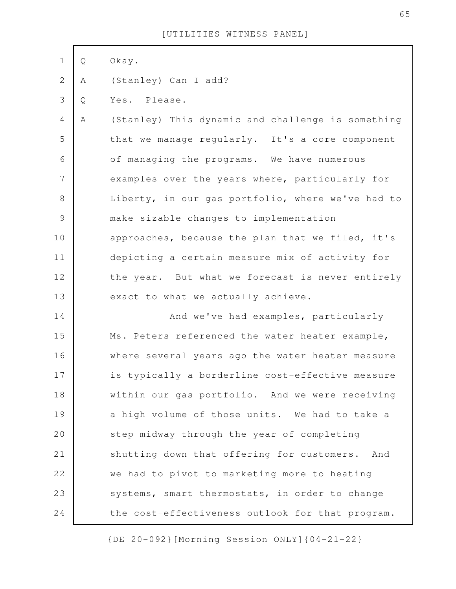| $\mathbf 1$    | Q | Okay.                                             |
|----------------|---|---------------------------------------------------|
| $\mathbf{2}$   | Α | (Stanley) Can I add?                              |
| 3              | Q | Yes. Please.                                      |
| $\overline{4}$ | A | (Stanley) This dynamic and challenge is something |
| 5              |   | that we manage regularly. It's a core component   |
| 6              |   | of managing the programs. We have numerous        |
| 7              |   | examples over the years where, particularly for   |
| $8\,$          |   | Liberty, in our gas portfolio, where we've had to |
| $\mathcal{G}$  |   | make sizable changes to implementation            |
| 10             |   | approaches, because the plan that we filed, it's  |
| 11             |   | depicting a certain measure mix of activity for   |
| 12             |   | the year. But what we forecast is never entirely  |
| 13             |   | exact to what we actually achieve.                |
| 14             |   | And we've had examples, particularly              |
| 15             |   | Ms. Peters referenced the water heater example,   |
| 16             |   | where several years ago the water heater measure  |
| 17             |   | is typically a borderline cost-effective measure  |
| 18             |   | within our gas portfolio. And we were receiving   |
| 19             |   | a high volume of those units. We had to take a    |
| 20             |   | step midway through the year of completing        |
| 21             |   | shutting down that offering for customers. And    |
| 22             |   | we had to pivot to marketing more to heating      |
| 23             |   | systems, smart thermostats, in order to change    |
| 24             |   | the cost-effectiveness outlook for that program.  |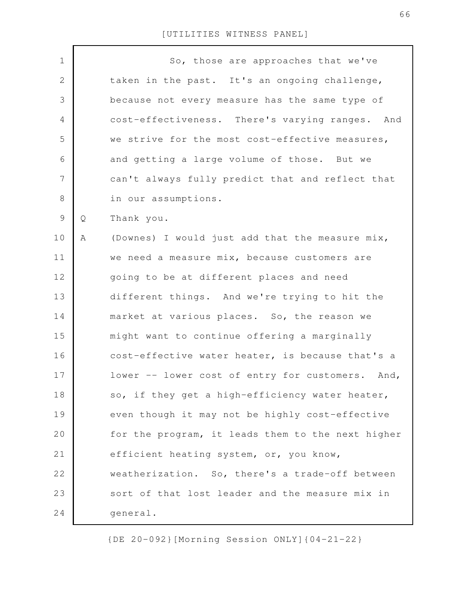| $\mathbf 1$    |   | So, those are approaches that we've               |
|----------------|---|---------------------------------------------------|
| $\overline{2}$ |   | taken in the past. It's an ongoing challenge,     |
| 3              |   | because not every measure has the same type of    |
| $\overline{4}$ |   | cost-effectiveness. There's varying ranges. And   |
| 5              |   | we strive for the most cost-effective measures,   |
| 6              |   | and getting a large volume of those. But we       |
| $\overline{7}$ |   | can't always fully predict that and reflect that  |
| $8\,$          |   | in our assumptions.                               |
| $\mathcal{G}$  | Q | Thank you.                                        |
| 10             | Α | (Downes) I would just add that the measure mix,   |
| 11             |   | we need a measure mix, because customers are      |
| 12             |   | going to be at different places and need          |
| 13             |   | different things. And we're trying to hit the     |
| 14             |   | market at various places. So, the reason we       |
| 15             |   | might want to continue offering a marginally      |
| 16             |   | cost-effective water heater, is because that's a  |
| 17             |   | lower -- lower cost of entry for customers. And,  |
| 18             |   | so, if they get a high-efficiency water heater,   |
| 19             |   | even though it may not be highly cost-effective   |
| 20             |   | for the program, it leads them to the next higher |
| 21             |   | efficient heating system, or, you know,           |
| 22             |   | weatherization. So, there's a trade-off between   |
| 23             |   | sort of that lost leader and the measure mix in   |
| 24             |   | general.                                          |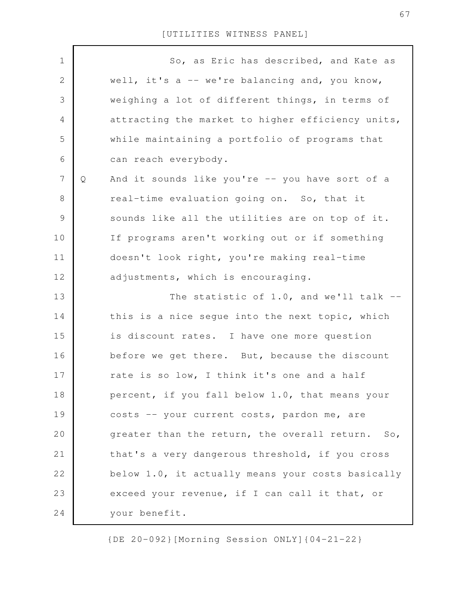| $\mathbf 1$    |   | So, as Eric has described, and Kate as            |
|----------------|---|---------------------------------------------------|
| $\mathbf{2}$   |   | well, it's a -- we're balancing and, you know,    |
| 3              |   | weighing a lot of different things, in terms of   |
| 4              |   | attracting the market to higher efficiency units, |
| 5              |   | while maintaining a portfolio of programs that    |
| 6              |   | can reach everybody.                              |
| $\overline{7}$ | Q | And it sounds like you're -- you have sort of a   |
| 8              |   | real-time evaluation going on. So, that it        |
| $\mathcal{G}$  |   | sounds like all the utilities are on top of it.   |
| 10             |   | If programs aren't working out or if something    |
| 11             |   | doesn't look right, you're making real-time       |
| 12             |   | adjustments, which is encouraging.                |
| 13             |   | The statistic of $1.0$ , and we'll talk $-$       |
| 14             |   | this is a nice segue into the next topic, which   |
| 15             |   | is discount rates. I have one more question       |
| 16             |   | before we get there. But, because the discount    |
| 17             |   | rate is so low, I think it's one and a half       |
| 18             |   | percent, if you fall below 1.0, that means your   |
| 19             |   | costs -- your current costs, pardon me, are       |
| 20             |   | greater than the return, the overall return. So,  |
| 21             |   | that's a very dangerous threshold, if you cross   |
| 22             |   | below 1.0, it actually means your costs basically |
| 23             |   | exceed your revenue, if I can call it that, or    |
| 24             |   | your benefit.                                     |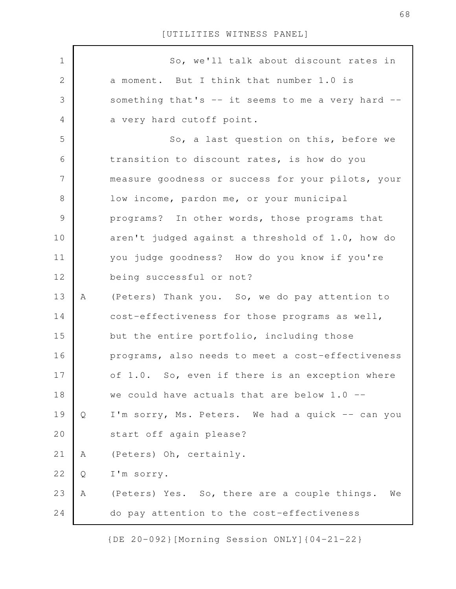| $\mathbf 1$    |   | So, we'll talk about discount rates in             |
|----------------|---|----------------------------------------------------|
| $\mathbf{2}$   |   | a moment. But I think that number 1.0 is           |
| 3              |   | something that's -- it seems to me a very hard --  |
| 4              |   | a very hard cutoff point.                          |
| 5              |   | So, a last question on this, before we             |
| 6              |   | transition to discount rates, is how do you        |
| $\overline{7}$ |   | measure goodness or success for your pilots, your  |
| $\,8\,$        |   | low income, pardon me, or your municipal           |
| $\mathsf 9$    |   | programs? In other words, those programs that      |
| 10             |   | aren't judged against a threshold of 1.0, how do   |
| 11             |   | you judge goodness? How do you know if you're      |
| 12             |   | being successful or not?                           |
| 13             | Α | (Peters) Thank you. So, we do pay attention to     |
| 14             |   | cost-effectiveness for those programs as well,     |
| 15             |   | but the entire portfolio, including those          |
| 16             |   | programs, also needs to meet a cost-effectiveness  |
| 17             |   | of 1.0. So, even if there is an exception where    |
| 18             |   | we could have actuals that are below $1.0$ --      |
| 19             | Q | I'm sorry, Ms. Peters. We had a quick -- can you   |
| 20             |   | start off again please?                            |
| 21             | Α | (Peters) Oh, certainly.                            |
| 22             | Q | I'm sorry.                                         |
| 23             | Α | (Peters) Yes. So, there are a couple things.<br>We |
| 24             |   | do pay attention to the cost-effectiveness         |

{DE 20-092}[Morning Session ONLY]{04-21-22}

68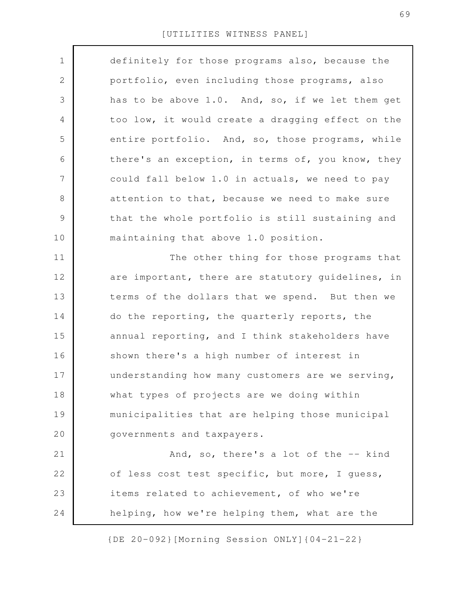| $\mathbf 1$    | definitely for those programs also, because the   |
|----------------|---------------------------------------------------|
| $\mathbf{2}$   | portfolio, even including those programs, also    |
| 3              | has to be above 1.0. And, so, if we let them get  |
| 4              | too low, it would create a dragging effect on the |
| 5              | entire portfolio. And, so, those programs, while  |
| 6              | there's an exception, in terms of, you know, they |
| $\overline{7}$ | could fall below 1.0 in actuals, we need to pay   |
| $8\,$          | attention to that, because we need to make sure   |
| 9              | that the whole portfolio is still sustaining and  |
| 10             | maintaining that above 1.0 position.              |
| 11             | The other thing for those programs that           |
| 12             | are important, there are statutory guidelines, in |
| 13             | terms of the dollars that we spend. But then we   |
| 14             | do the reporting, the quarterly reports, the      |
| 15             | annual reporting, and I think stakeholders have   |
| 16             | shown there's a high number of interest in        |
| 17             | understanding how many customers are we serving,  |
| 18             | what types of projects are we doing within        |
| 19             | municipalities that are helping those municipal   |
| 20             | governments and taxpayers.                        |
| 21             | And, so, there's a lot of the -- kind             |
| 22             | of less cost test specific, but more, I quess,    |
| 23             | items related to achievement, of who we're        |
| 24             | helping, how we're helping them, what are the     |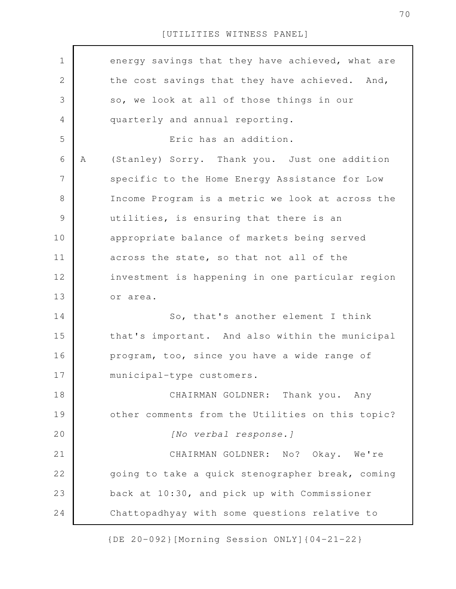| $\mathbf 1$   |   | energy savings that they have achieved, what are |
|---------------|---|--------------------------------------------------|
|               |   |                                                  |
| $\mathbf{2}$  |   | the cost savings that they have achieved. And,   |
| 3             |   | so, we look at all of those things in our        |
| 4             |   | quarterly and annual reporting.                  |
| 5             |   | Eric has an addition.                            |
| 6             | Α | (Stanley) Sorry. Thank you. Just one addition    |
| 7             |   | specific to the Home Energy Assistance for Low   |
| $8\,$         |   | Income Program is a metric we look at across the |
| $\mathcal{G}$ |   | utilities, is ensuring that there is an          |
| 10            |   | appropriate balance of markets being served      |
| 11            |   | across the state, so that not all of the         |
| 12            |   | investment is happening in one particular region |
| 13            |   | or area.                                         |
| 14            |   | So, that's another element I think               |
| 15            |   | that's important. And also within the municipal  |
| 16            |   | program, too, since you have a wide range of     |
| 17            |   | municipal-type customers.                        |
| 18            |   | CHAIRMAN GOLDNER: Thank you. Any                 |
| 19            |   | other comments from the Utilities on this topic? |
| 20            |   | [No verbal response.]                            |
| 21            |   | CHAIRMAN GOLDNER: No? Okay. We're                |
| 22            |   | going to take a quick stenographer break, coming |
| 23            |   | back at 10:30, and pick up with Commissioner     |
| 24            |   | Chattopadhyay with some questions relative to    |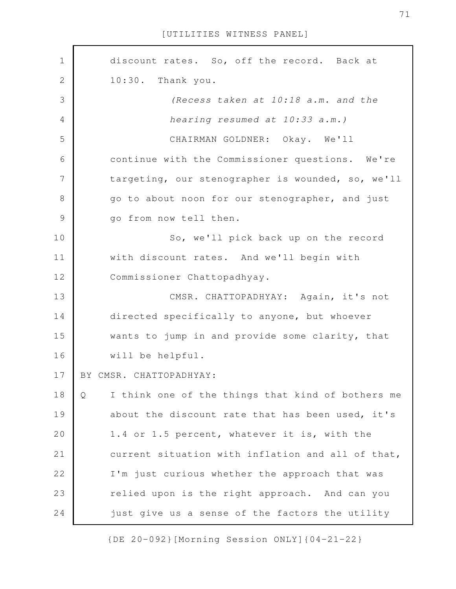discount rates. So, off the record. Back at 10:30. Thank you. *(Recess taken at 10:18 a.m. and the hearing resumed at 10:33 a.m.)* CHAIRMAN GOLDNER: Okay. We'll continue with the Commissioner questions. We're targeting, our stenographer is wounded, so, we'll go to about noon for our stenographer, and just go from now tell then. So, we'll pick back up on the record with discount rates. And we'll begin with Commissioner Chattopadhyay. CMSR. CHATTOPADHYAY: Again, it's not directed specifically to anyone, but whoever wants to jump in and provide some clarity, that will be helpful. BY CMSR. CHATTOPADHYAY: Q I think one of the things that kind of bothers me about the discount rate that has been used, it's 1.4 or 1.5 percent, whatever it is, with the current situation with inflation and all of that, I'm just curious whether the approach that was relied upon is the right approach. And can you just give us a sense of the factors the utility 1 2 3 4 5 6 7 8 9 10 11 12 13 14 15 16 17 18 19 20 21 22 23 24

{DE 20-092}[Morning Session ONLY]{04-21-22}

71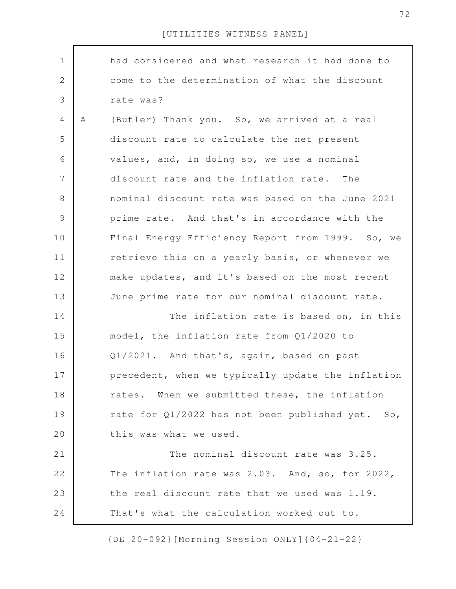| $\mathbf 1$   |   | had considered and what research it had done to   |
|---------------|---|---------------------------------------------------|
| 2             |   | come to the determination of what the discount    |
| 3             |   | rate was?                                         |
| 4             | A | (Butler) Thank you. So, we arrived at a real      |
| 5             |   | discount rate to calculate the net present        |
| 6             |   | values, and, in doing so, we use a nominal        |
| 7             |   | discount rate and the inflation rate. The         |
| 8             |   | nominal discount rate was based on the June 2021  |
| $\mathcal{G}$ |   | prime rate. And that's in accordance with the     |
| 10            |   | Final Energy Efficiency Report from 1999. So, we  |
| 11            |   | retrieve this on a yearly basis, or whenever we   |
| 12            |   | make updates, and it's based on the most recent   |
| 13            |   | June prime rate for our nominal discount rate.    |
| 14            |   | The inflation rate is based on, in this           |
| 15            |   | model, the inflation rate from Q1/2020 to         |
| 16            |   | Q1/2021. And that's, again, based on past         |
| 17            |   | precedent, when we typically update the inflation |
| 18            |   | rates. When we submitted these, the inflation     |
| 19            |   | rate for Q1/2022 has not been published yet. So,  |
| 20            |   | this was what we used.                            |
| 21            |   | The nominal discount rate was 3.25.               |
| 22            |   | The inflation rate was 2.03. And, so, for 2022,   |
| 23            |   | the real discount rate that we used was 1.19.     |
| 24            |   | That's what the calculation worked out to.        |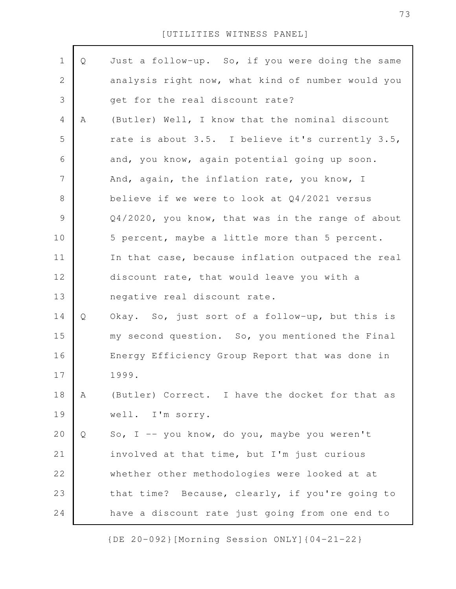| Q | Just a follow-up. So, if you were doing the same  |
|---|---------------------------------------------------|
|   | analysis right now, what kind of number would you |
|   | get for the real discount rate?                   |
| Α | (Butler) Well, I know that the nominal discount   |
|   | rate is about 3.5. I believe it's currently 3.5,  |
|   | and, you know, again potential going up soon.     |
|   | And, again, the inflation rate, you know, I       |
|   | believe if we were to look at $Q4/2021$ versus    |
|   | Q4/2020, you know, that was in the range of about |
|   | 5 percent, maybe a little more than 5 percent.    |
|   | In that case, because inflation outpaced the real |
|   | discount rate, that would leave you with a        |
|   | negative real discount rate.                      |
| Q | Okay. So, just sort of a follow-up, but this is   |
|   | my second question. So, you mentioned the Final   |
|   | Energy Efficiency Group Report that was done in   |
|   | 1999.                                             |
| A | (Butler) Correct. I have the docket for that as   |
|   | well. I'm sorry.                                  |
| Q | So, I -- you know, do you, maybe you weren't      |
|   | involved at that time, but I'm just curious       |
|   | whether other methodologies were looked at at     |
|   | that time? Because, clearly, if you're going to   |
|   | have a discount rate just going from one end to   |
|   |                                                   |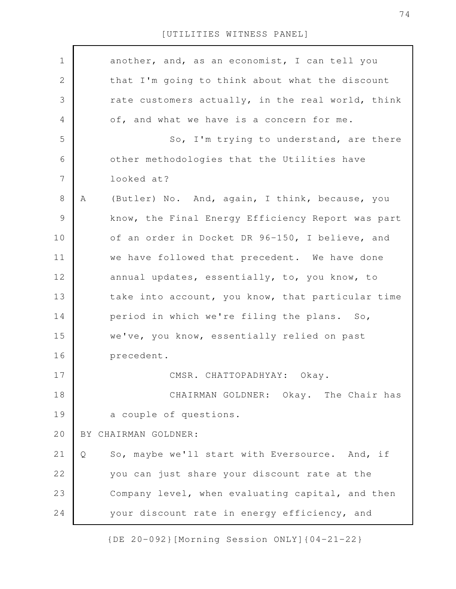| $\mathbf 1$ | another, and, as an economist, I can tell you       |
|-------------|-----------------------------------------------------|
| 2           | that I'm going to think about what the discount     |
| 3           | rate customers actually, in the real world, think   |
| 4           | of, and what we have is a concern for me.           |
| 5           | So, I'm trying to understand, are there             |
| 6           | other methodologies that the Utilities have         |
| 7           | looked at?                                          |
| $8\,$       | (Butler) No. And, again, I think, because, you<br>Α |
| $\mathsf 9$ | know, the Final Energy Efficiency Report was part   |
| 10          | of an order in Docket DR 96-150, I believe, and     |
| 11          | we have followed that precedent. We have done       |
| 12          | annual updates, essentially, to, you know, to       |
| 13          | take into account, you know, that particular time   |
| 14          | period in which we're filing the plans. So,         |
| 15          | we've, you know, essentially relied on past         |
| 16          | precedent.                                          |
| 17          | CMSR. CHATTOPADHYAY: Okay.                          |
| 18          | CHAIRMAN GOLDNER: Okay. The Chair has               |
| 19          | a couple of questions.                              |
| 20          | BY CHAIRMAN GOLDNER:                                |
| 21          | So, maybe we'll start with Eversource. And, if<br>Q |
| 22          | you can just share your discount rate at the        |
| 23          | Company level, when evaluating capital, and then    |
| 24          | your discount rate in energy efficiency, and        |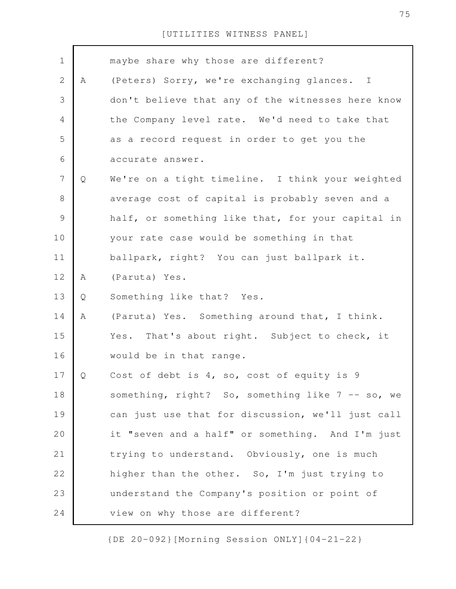| $\mathbf 1$    |   | maybe share why those are different?              |
|----------------|---|---------------------------------------------------|
| $\mathbf{2}$   | Α | (Peters) Sorry, we're exchanging glances. I       |
| 3              |   | don't believe that any of the witnesses here know |
| 4              |   | the Company level rate. We'd need to take that    |
| 5              |   | as a record request in order to get you the       |
| 6              |   | accurate answer.                                  |
| $\overline{7}$ | Q | We're on a tight timeline. I think your weighted  |
| $8\,$          |   | average cost of capital is probably seven and a   |
| $\overline{9}$ |   | half, or something like that, for your capital in |
| 10             |   | your rate case would be something in that         |
| 11             |   | ballpark, right? You can just ballpark it.        |
| 12             | Α | (Paruta) Yes.                                     |
| 13             | Q | Something like that? Yes.                         |
| 14             | Α | (Paruta) Yes. Something around that, I think.     |
| 15             |   | Yes. That's about right. Subject to check, it     |
| 16             |   | would be in that range.                           |
| 17             | Q | Cost of debt is 4, so, cost of equity is 9        |
| 18             |   | something, right? So, something like 7 -- so, we  |
| 19             |   | can just use that for discussion, we'll just call |
| 20             |   | it "seven and a half" or something. And I'm just  |
| 21             |   | trying to understand. Obviously, one is much      |
| 22             |   | higher than the other. So, I'm just trying to     |
| 23             |   | understand the Company's position or point of     |
|                |   |                                                   |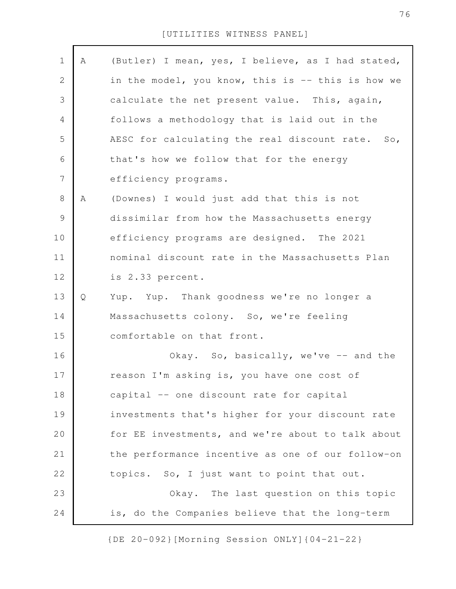<sup>[</sup>UTILITIES WITNESS PANEL]

| $\mathbf 1$    | A | (Butler) I mean, yes, I believe, as I had stated, |
|----------------|---|---------------------------------------------------|
| $\sqrt{2}$     |   | in the model, you know, this is -- this is how we |
| $\mathcal{S}$  |   | calculate the net present value. This, again,     |
| 4              |   | follows a methodology that is laid out in the     |
| 5              |   | AESC for calculating the real discount rate. So,  |
| 6              |   | that's how we follow that for the energy          |
| $\overline{7}$ |   | efficiency programs.                              |
| 8              | Α | (Downes) I would just add that this is not        |
| 9              |   | dissimilar from how the Massachusetts energy      |
| 10             |   | efficiency programs are designed. The 2021        |
| 11             |   | nominal discount rate in the Massachusetts Plan   |
| 12             |   | is 2.33 percent.                                  |
| 13             | Q | Yup. Yup. Thank goodness we're no longer a        |
| 14             |   | Massachusetts colony. So, we're feeling           |
| 15             |   | comfortable on that front.                        |
| 16             |   | Okay. So, basically, we've -- and the             |
| 17             |   | reason I'm asking is, you have one cost of        |
| 18             |   | capital -- one discount rate for capital          |
| 19             |   | investments that's higher for your discount rate  |
| 20             |   | for EE investments, and we're about to talk about |
| 21             |   | the performance incentive as one of our follow-on |
| 22             |   | topics. So, I just want to point that out.        |
| 23             |   | Okay. The last question on this topic             |
| 24             |   | is, do the Companies believe that the long-term   |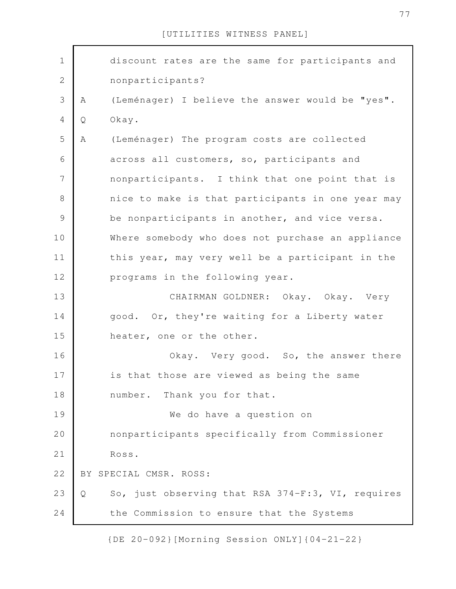| $1\,$          |   | discount rates are the same for participants and  |
|----------------|---|---------------------------------------------------|
| $\sqrt{2}$     |   | nonparticipants?                                  |
| $\mathfrak{Z}$ | Α | (Leménager) I believe the answer would be "yes".  |
| $\overline{4}$ | Q | Okay.                                             |
| 5              | Α | (Leménager) The program costs are collected       |
| 6              |   | across all customers, so, participants and        |
| 7              |   | nonparticipants. I think that one point that is   |
| $\,8\,$        |   | nice to make is that participants in one year may |
| $\mathsf{S}$   |   | be nonparticipants in another, and vice versa.    |
| 10             |   | Where somebody who does not purchase an appliance |
| 11             |   | this year, may very well be a participant in the  |
| 12             |   | programs in the following year.                   |
| 13             |   | CHAIRMAN GOLDNER: Okay. Okay. Very                |
| 14             |   | good. Or, they're waiting for a Liberty water     |
| 15             |   | heater, one or the other.                         |
| 16             |   | Okay. Very good. So, the answer there             |
| 17             |   | is that those are viewed as being the same        |
| 18             |   | number. Thank you for that.                       |
| 19             |   | We do have a question on                          |
| 20             |   | nonparticipants specifically from Commissioner    |
| 21             |   | Ross.                                             |
| 22             |   | BY SPECIAL CMSR. ROSS:                            |
| 23             | Q | So, just observing that RSA 374-F:3, VI, requires |
| 24             |   | the Commission to ensure that the Systems         |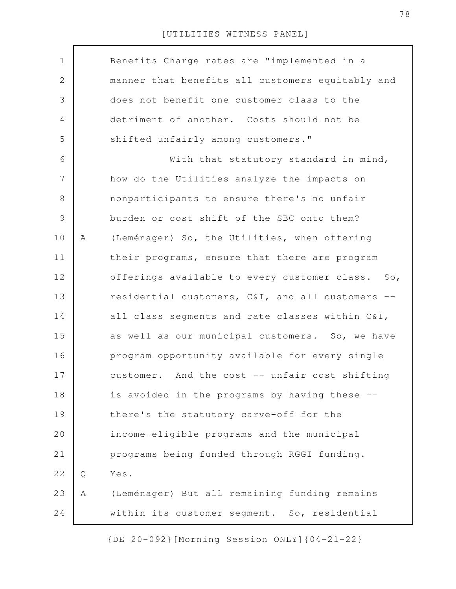| $\mathbf 1$    |   | Benefits Charge rates are "implemented in a      |
|----------------|---|--------------------------------------------------|
| $\overline{2}$ |   | manner that benefits all customers equitably and |
| 3              |   | does not benefit one customer class to the       |
| 4              |   | detriment of another. Costs should not be        |
| 5              |   | shifted unfairly among customers."               |
| 6              |   | With that statutory standard in mind,            |
| 7              |   | how do the Utilities analyze the impacts on      |
| $\,8\,$        |   | nonparticipants to ensure there's no unfair      |
| $\mathcal{G}$  |   | burden or cost shift of the SBC onto them?       |
| 10             | Α | (Leménager) So, the Utilities, when offering     |
| 11             |   | their programs, ensure that there are program    |
| 12             |   | offerings available to every customer class. So, |
| 13             |   | residential customers, C&I, and all customers -- |
| 14             |   | all class segments and rate classes within C&I,  |
| 15             |   | as well as our municipal customers. So, we have  |
| 16             |   | program opportunity available for every single   |
| 17             |   | customer. And the cost -- unfair cost shifting   |
| 18             |   | is avoided in the programs by having these --    |
| 19             |   | there's the statutory carve-off for the          |
| 20             |   | income-eligible programs and the municipal       |
| 21             |   | programs being funded through RGGI funding.      |
| 22             | Q | Yes.                                             |
| 23             | Α | (Leménager) But all remaining funding remains    |
| 24             |   | within its customer segment. So, residential     |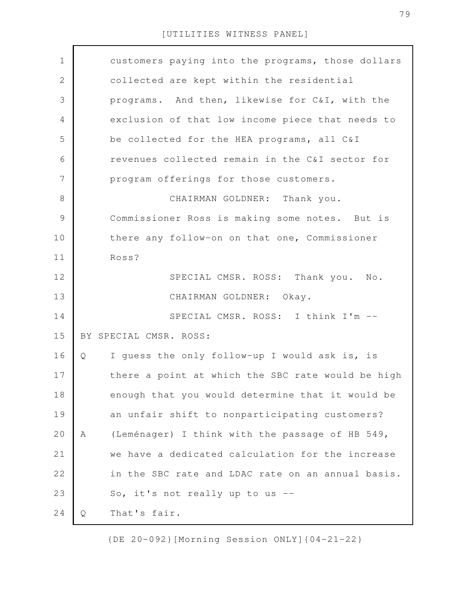| $\mathbf 1$    | customers paying into the programs, those dollars    |
|----------------|------------------------------------------------------|
| $\mathbf 2$    | collected are kept within the residential            |
| 3              | programs. And then, likewise for C&I, with the       |
| $\overline{4}$ | exclusion of that low income piece that needs to     |
| 5              | be collected for the HEA programs, all C&I           |
| 6              | revenues collected remain in the C&I sector for      |
| 7              | program offerings for those customers.               |
| $\,8\,$        | CHAIRMAN GOLDNER: Thank you.                         |
| $\mathsf 9$    | Commissioner Ross is making some notes. But is       |
| 10             | there any follow-on on that one, Commissioner        |
| 11             | Ross?                                                |
| 12             | SPECIAL CMSR. ROSS: Thank you. No.                   |
| 13             | CHAIRMAN GOLDNER: Okay.                              |
| 14             | SPECIAL CMSR. ROSS: I think I'm --                   |
| 15             | BY SPECIAL CMSR. ROSS:                               |
| 16             | I guess the only follow-up I would ask is, is<br>Q   |
| 17             | there a point at which the SBC rate would be high    |
| 18             | enough that you would determine that it would be     |
| 19             | an unfair shift to nonparticipating customers?       |
| 20             | (Leménager) I think with the passage of HB 549,<br>Α |
| 21             | we have a dedicated calculation for the increase     |
| 22             | in the SBC rate and LDAC rate on an annual basis.    |
| 23             | So, it's not really up to us --                      |
| 24             | That's fair.<br>Q                                    |
|                |                                                      |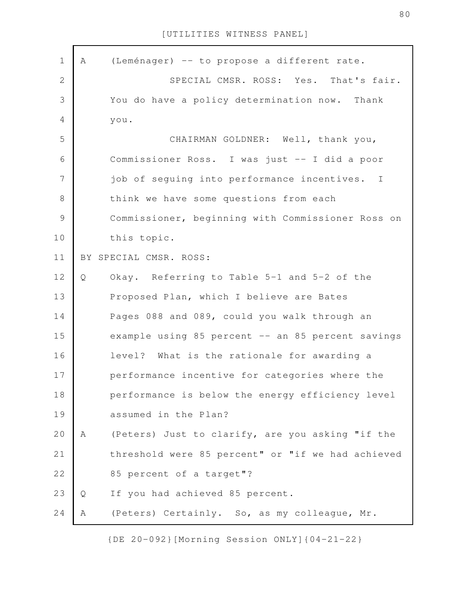| $\mathbf 1$    | A | (Leménager) -- to propose a different rate.       |
|----------------|---|---------------------------------------------------|
| $\mathbf{2}$   |   | SPECIAL CMSR. ROSS: Yes. That's fair.             |
| 3              |   | You do have a policy determination now. Thank     |
| $\overline{4}$ |   | you.                                              |
| 5              |   | CHAIRMAN GOLDNER: Well, thank you,                |
| 6              |   | Commissioner Ross. I was just -- I did a poor     |
| 7              |   | job of seguing into performance incentives. I     |
| 8              |   | think we have some questions from each            |
| $\mathcal{G}$  |   | Commissioner, beginning with Commissioner Ross on |
| 10             |   | this topic.                                       |
| 11             |   | BY SPECIAL CMSR. ROSS:                            |
| 12             | Q | Okay. Referring to Table 5-1 and 5-2 of the       |
| 13             |   | Proposed Plan, which I believe are Bates          |
| 14             |   | Pages 088 and 089, could you walk through an      |
| 15             |   | example using 85 percent -- an 85 percent savings |
| 16             |   | level? What is the rationale for awarding a       |
| 17             |   | performance incentive for categories where the    |
| 18             |   | performance is below the energy efficiency level  |
| 19             |   | assumed in the Plan?                              |
| 20             | A | (Peters) Just to clarify, are you asking "if the  |
| 21             |   | threshold were 85 percent" or "if we had achieved |
| 22             |   | 85 percent of a target"?                          |
| 23             | Q | If you had achieved 85 percent.                   |
| 24             | Α | (Peters) Certainly. So, as my colleague, Mr.      |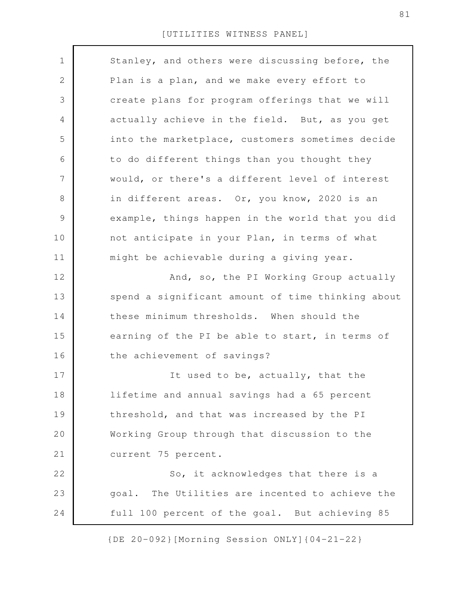| $\mathbf 1$<br>Stanley, and others were discussing before, the<br>$\mathbf{2}$<br>Plan is a plan, and we make every effort to<br>3<br>create plans for program offerings that we will<br>4<br>actually achieve in the field. But, as you get<br>5<br>into the marketplace, customers sometimes decide<br>6<br>to do different things than you thought they<br>7<br>would, or there's a different level of interest<br>8<br>in different areas. Or, you know, 2020 is an<br>$\mathsf 9$<br>example, things happen in the world that you did<br>not anticipate in your Plan, in terms of what<br>10<br>11<br>might be achievable during a giving year.<br>12<br>And, so, the PI Working Group actually<br>13<br>spend a significant amount of time thinking about<br>these minimum thresholds. When should the<br>14<br>15<br>earning of the PI be able to start, in terms of<br>the achievement of savings?<br>16<br>17<br>It used to be, actually, that the<br>18<br>lifetime and annual savings had a 65 percent<br>19<br>threshold, and that was increased by the PI<br>20<br>Working Group through that discussion to the<br>21<br>current 75 percent.<br>22<br>So, it acknowledges that there is a<br>23<br>goal. The Utilities are incented to achieve the<br>24<br>full 100 percent of the goal. But achieving 85 |  |
|-------------------------------------------------------------------------------------------------------------------------------------------------------------------------------------------------------------------------------------------------------------------------------------------------------------------------------------------------------------------------------------------------------------------------------------------------------------------------------------------------------------------------------------------------------------------------------------------------------------------------------------------------------------------------------------------------------------------------------------------------------------------------------------------------------------------------------------------------------------------------------------------------------------------------------------------------------------------------------------------------------------------------------------------------------------------------------------------------------------------------------------------------------------------------------------------------------------------------------------------------------------------------------------------------------------------------|--|
|                                                                                                                                                                                                                                                                                                                                                                                                                                                                                                                                                                                                                                                                                                                                                                                                                                                                                                                                                                                                                                                                                                                                                                                                                                                                                                                         |  |
|                                                                                                                                                                                                                                                                                                                                                                                                                                                                                                                                                                                                                                                                                                                                                                                                                                                                                                                                                                                                                                                                                                                                                                                                                                                                                                                         |  |
|                                                                                                                                                                                                                                                                                                                                                                                                                                                                                                                                                                                                                                                                                                                                                                                                                                                                                                                                                                                                                                                                                                                                                                                                                                                                                                                         |  |
|                                                                                                                                                                                                                                                                                                                                                                                                                                                                                                                                                                                                                                                                                                                                                                                                                                                                                                                                                                                                                                                                                                                                                                                                                                                                                                                         |  |
|                                                                                                                                                                                                                                                                                                                                                                                                                                                                                                                                                                                                                                                                                                                                                                                                                                                                                                                                                                                                                                                                                                                                                                                                                                                                                                                         |  |
|                                                                                                                                                                                                                                                                                                                                                                                                                                                                                                                                                                                                                                                                                                                                                                                                                                                                                                                                                                                                                                                                                                                                                                                                                                                                                                                         |  |
|                                                                                                                                                                                                                                                                                                                                                                                                                                                                                                                                                                                                                                                                                                                                                                                                                                                                                                                                                                                                                                                                                                                                                                                                                                                                                                                         |  |
|                                                                                                                                                                                                                                                                                                                                                                                                                                                                                                                                                                                                                                                                                                                                                                                                                                                                                                                                                                                                                                                                                                                                                                                                                                                                                                                         |  |
|                                                                                                                                                                                                                                                                                                                                                                                                                                                                                                                                                                                                                                                                                                                                                                                                                                                                                                                                                                                                                                                                                                                                                                                                                                                                                                                         |  |
|                                                                                                                                                                                                                                                                                                                                                                                                                                                                                                                                                                                                                                                                                                                                                                                                                                                                                                                                                                                                                                                                                                                                                                                                                                                                                                                         |  |
|                                                                                                                                                                                                                                                                                                                                                                                                                                                                                                                                                                                                                                                                                                                                                                                                                                                                                                                                                                                                                                                                                                                                                                                                                                                                                                                         |  |
|                                                                                                                                                                                                                                                                                                                                                                                                                                                                                                                                                                                                                                                                                                                                                                                                                                                                                                                                                                                                                                                                                                                                                                                                                                                                                                                         |  |
|                                                                                                                                                                                                                                                                                                                                                                                                                                                                                                                                                                                                                                                                                                                                                                                                                                                                                                                                                                                                                                                                                                                                                                                                                                                                                                                         |  |
|                                                                                                                                                                                                                                                                                                                                                                                                                                                                                                                                                                                                                                                                                                                                                                                                                                                                                                                                                                                                                                                                                                                                                                                                                                                                                                                         |  |
|                                                                                                                                                                                                                                                                                                                                                                                                                                                                                                                                                                                                                                                                                                                                                                                                                                                                                                                                                                                                                                                                                                                                                                                                                                                                                                                         |  |
|                                                                                                                                                                                                                                                                                                                                                                                                                                                                                                                                                                                                                                                                                                                                                                                                                                                                                                                                                                                                                                                                                                                                                                                                                                                                                                                         |  |
|                                                                                                                                                                                                                                                                                                                                                                                                                                                                                                                                                                                                                                                                                                                                                                                                                                                                                                                                                                                                                                                                                                                                                                                                                                                                                                                         |  |
|                                                                                                                                                                                                                                                                                                                                                                                                                                                                                                                                                                                                                                                                                                                                                                                                                                                                                                                                                                                                                                                                                                                                                                                                                                                                                                                         |  |
|                                                                                                                                                                                                                                                                                                                                                                                                                                                                                                                                                                                                                                                                                                                                                                                                                                                                                                                                                                                                                                                                                                                                                                                                                                                                                                                         |  |
|                                                                                                                                                                                                                                                                                                                                                                                                                                                                                                                                                                                                                                                                                                                                                                                                                                                                                                                                                                                                                                                                                                                                                                                                                                                                                                                         |  |
|                                                                                                                                                                                                                                                                                                                                                                                                                                                                                                                                                                                                                                                                                                                                                                                                                                                                                                                                                                                                                                                                                                                                                                                                                                                                                                                         |  |
|                                                                                                                                                                                                                                                                                                                                                                                                                                                                                                                                                                                                                                                                                                                                                                                                                                                                                                                                                                                                                                                                                                                                                                                                                                                                                                                         |  |
|                                                                                                                                                                                                                                                                                                                                                                                                                                                                                                                                                                                                                                                                                                                                                                                                                                                                                                                                                                                                                                                                                                                                                                                                                                                                                                                         |  |
|                                                                                                                                                                                                                                                                                                                                                                                                                                                                                                                                                                                                                                                                                                                                                                                                                                                                                                                                                                                                                                                                                                                                                                                                                                                                                                                         |  |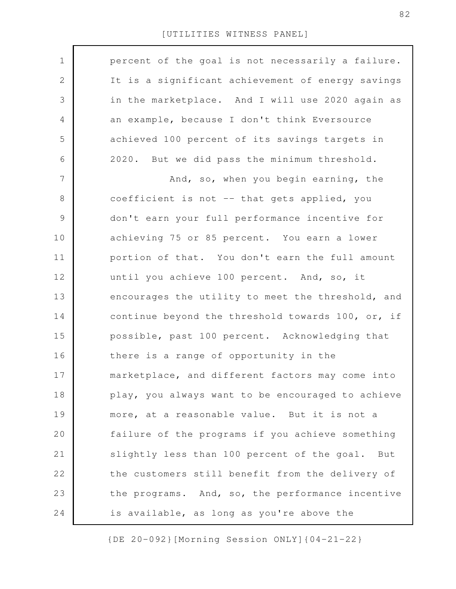| $\mathbf 1$ | percent of the goal is not necessarily a failure. |
|-------------|---------------------------------------------------|
|             |                                                   |
| 2           | It is a significant achievement of energy savings |
| 3           | in the marketplace. And I will use 2020 again as  |
| 4           | an example, because I don't think Eversource      |
| 5           | achieved 100 percent of its savings targets in    |
| 6           | 2020. But we did pass the minimum threshold.      |
| 7           | And, so, when you begin earning, the              |
| $8\,$       | coefficient is not -- that gets applied, you      |
| $\mathsf 9$ | don't earn your full performance incentive for    |
| 10          | achieving 75 or 85 percent. You earn a lower      |
| 11          | portion of that. You don't earn the full amount   |
| 12          | until you achieve 100 percent. And, so, it        |
| 13          | encourages the utility to meet the threshold, and |
| 14          | continue beyond the threshold towards 100, or, if |
| 15          | possible, past 100 percent. Acknowledging that    |
| 16          | there is a range of opportunity in the            |
| 17          | marketplace, and different factors may come into  |
| 18          | play, you always want to be encouraged to achieve |
| 19          | more, at a reasonable value. But it is not a      |
| 20          | failure of the programs if you achieve something  |
| 21          | slightly less than 100 percent of the goal. But   |
| 22          | the customers still benefit from the delivery of  |
| 23          | the programs. And, so, the performance incentive  |
| 24          | is available, as long as you're above the         |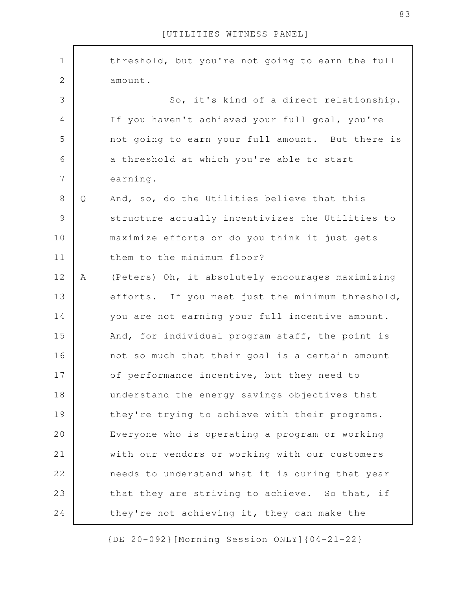| $\mathbf 1$    |   | threshold, but you're not going to earn the full |
|----------------|---|--------------------------------------------------|
| $\mathbf{2}$   |   | amount.                                          |
| 3              |   | So, it's kind of a direct relationship.          |
| $\overline{4}$ |   | If you haven't achieved your full goal, you're   |
| 5              |   | not going to earn your full amount. But there is |
| 6              |   | a threshold at which you're able to start        |
| 7              |   | earning.                                         |
| $8\,$          | Q | And, so, do the Utilities believe that this      |
| $\mathcal{G}$  |   | structure actually incentivizes the Utilities to |
| 10             |   | maximize efforts or do you think it just gets    |
| 11             |   | them to the minimum floor?                       |
| 12             | A | (Peters) Oh, it absolutely encourages maximizing |
| 13             |   | efforts. If you meet just the minimum threshold, |
| 14             |   | you are not earning your full incentive amount.  |
| 15             |   | And, for individual program staff, the point is  |
| 16             |   | not so much that their goal is a certain amount  |
| 17             |   | of performance incentive, but they need to       |
| 18             |   | understand the energy savings objectives that    |
| 19             |   | they're trying to achieve with their programs.   |
| 20             |   | Everyone who is operating a program or working   |
| 21             |   | with our vendors or working with our customers   |
| 22             |   | needs to understand what it is during that year  |
| 23             |   | that they are striving to achieve. So that, if   |
| 24             |   | they're not achieving it, they can make the      |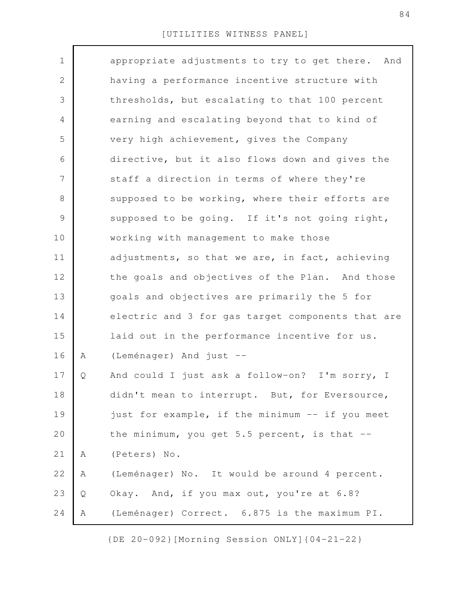| $\mathbf 1$  |   | appropriate adjustments to try to get there.<br>And |
|--------------|---|-----------------------------------------------------|
| $\mathbf{2}$ |   | having a performance incentive structure with       |
| 3            |   | thresholds, but escalating to that 100 percent      |
| 4            |   | earning and escalating beyond that to kind of       |
| 5            |   | very high achievement, gives the Company            |
| 6            |   | directive, but it also flows down and gives the     |
| 7            |   | staff a direction in terms of where they're         |
| 8            |   | supposed to be working, where their efforts are     |
| 9            |   | supposed to be going. If it's not going right,      |
| 10           |   | working with management to make those               |
| 11           |   | adjustments, so that we are, in fact, achieving     |
| 12           |   | the goals and objectives of the Plan. And those     |
| 13           |   | goals and objectives are primarily the 5 for        |
| 14           |   | electric and 3 for gas target components that are   |
| 15           |   | laid out in the performance incentive for us.       |
| 16           | Α | (Leménager) And just --                             |
| 17           | Q | And could I just ask a follow-on? I'm sorry, I      |
| 18           |   | didn't mean to interrupt. But, for Eversource,      |
| 19           |   | just for example, if the minimum -- if you meet     |
| 20           |   | the minimum, you get 5.5 percent, is that $--$      |
| 21           | Α | (Peters) No.                                        |
| 22           | Α | (Leménager) No. It would be around 4 percent.       |
| 23           | Q | Okay. And, if you max out, you're at 6.8?           |
| 24           | Α | (Leménager) Correct. 6.875 is the maximum PI.       |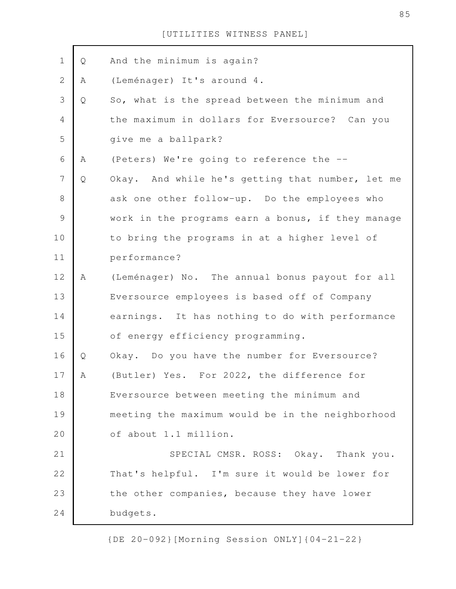| And the minimum is again?<br>(Leménager) It's around 4.<br>So, what is the spread between the minimum and |
|-----------------------------------------------------------------------------------------------------------|
|                                                                                                           |
|                                                                                                           |
|                                                                                                           |
| the maximum in dollars for Eversource? Can you                                                            |
| give me a ballpark?                                                                                       |
| (Peters) We're going to reference the --                                                                  |
| Okay. And while he's getting that number, let me                                                          |
| ask one other follow-up. Do the employees who                                                             |
| work in the programs earn a bonus, if they manage                                                         |
| to bring the programs in at a higher level of                                                             |
| performance?                                                                                              |
| (Leménager) No. The annual bonus payout for all                                                           |
| Eversource employees is based off of Company                                                              |
| earnings. It has nothing to do with performance                                                           |
| of energy efficiency programming.                                                                         |
| Okay. Do you have the number for Eversource?                                                              |
| (Butler) Yes. For 2022, the difference for                                                                |
| Eversource between meeting the minimum and                                                                |
| meeting the maximum would be in the neighborhood                                                          |
| of about 1.1 million.                                                                                     |
| SPECIAL CMSR. ROSS: Okay. Thank you.                                                                      |
| That's helpful. I'm sure it would be lower for                                                            |
| the other companies, because they have lower                                                              |
| budgets.                                                                                                  |
|                                                                                                           |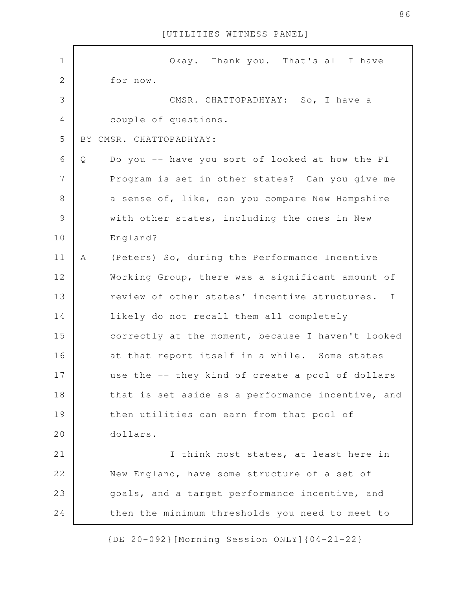| $\mathbf 1$    | Okay. Thank you. That's all I have                            |
|----------------|---------------------------------------------------------------|
| $\overline{2}$ | for now.                                                      |
| 3              | CMSR. CHATTOPADHYAY: So, I have a                             |
| $\overline{4}$ | couple of questions.                                          |
| 5              | BY CMSR. CHATTOPADHYAY:                                       |
| 6              | Do you -- have you sort of looked at how the PI<br>Q          |
| $\overline{7}$ | Program is set in other states? Can you give me               |
| $\,8\,$        | a sense of, like, can you compare New Hampshire               |
| $\mathcal{G}$  | with other states, including the ones in New                  |
| 10             | England?                                                      |
| 11             | (Peters) So, during the Performance Incentive<br>A            |
| 12             | Working Group, there was a significant amount of              |
| 13             | review of other states' incentive structures.<br>$\mathbb{I}$ |
| 14             | likely do not recall them all completely                      |
| 15             | correctly at the moment, because I haven't looked             |
| 16             | at that report itself in a while. Some states                 |
| 17             | use the -- they kind of create a pool of dollars              |
| 18             | that is set aside as a performance incentive, and             |
| 19             | then utilities can earn from that pool of                     |
| 20             | dollars.                                                      |
| 21             | I think most states, at least here in                         |
| 22             | New England, have some structure of a set of                  |
| 23             | goals, and a target performance incentive, and                |
| 24             | then the minimum thresholds you need to meet to               |

{DE 20-092}[Morning Session ONLY]{04-21-22}

86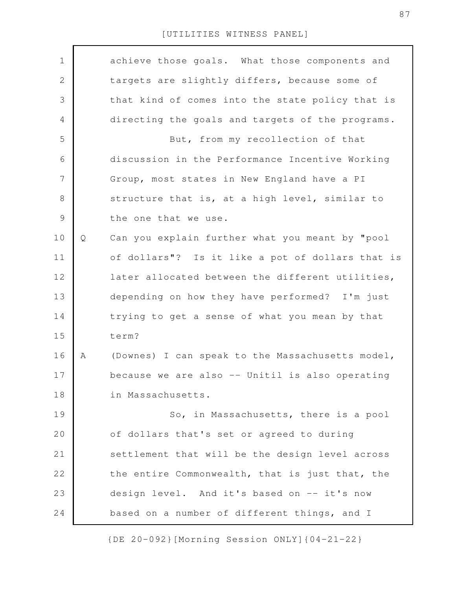| $\mathbf 1$    |   | achieve those goals. What those components and   |
|----------------|---|--------------------------------------------------|
| $\mathbf{2}$   |   | targets are slightly differs, because some of    |
| 3              |   | that kind of comes into the state policy that is |
| 4              |   | directing the goals and targets of the programs. |
| 5              |   | But, from my recollection of that                |
| 6              |   | discussion in the Performance Incentive Working  |
| $\overline{7}$ |   | Group, most states in New England have a PI      |
| 8              |   | structure that is, at a high level, similar to   |
| $\mathcal{G}$  |   | the one that we use.                             |
| 10             | Q | Can you explain further what you meant by "pool  |
| 11             |   | of dollars"? Is it like a pot of dollars that is |
| 12             |   | later allocated between the different utilities, |
| 13             |   | depending on how they have performed? I'm just   |
| 14             |   | trying to get a sense of what you mean by that   |
| 15             |   | term?                                            |
| 16             | Α | (Downes) I can speak to the Massachusetts model, |
| 17             |   | because we are also -- Unitil is also operating  |
| 18             |   | in Massachusetts.                                |
| 19             |   | So, in Massachusetts, there is a pool            |
| 20             |   | of dollars that's set or agreed to during        |
| 21             |   | settlement that will be the design level across  |
| 22             |   | the entire Commonwealth, that is just that, the  |
| 23             |   | design level. And it's based on -- it's now      |
| 24             |   | based on a number of different things, and I     |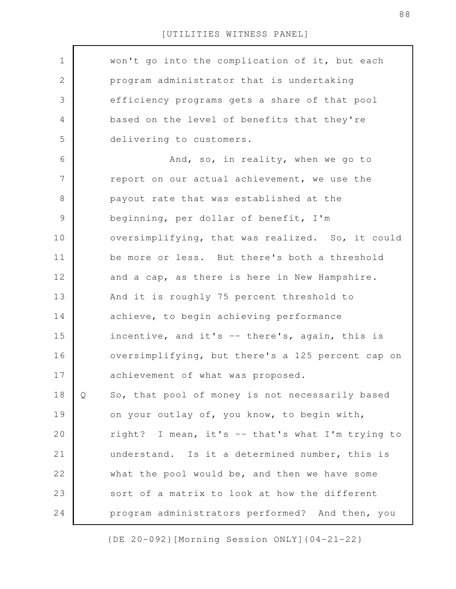| $\mathbf 1$ |   | won't go into the complication of it, but each    |
|-------------|---|---------------------------------------------------|
| 2           |   | program administrator that is undertaking         |
| 3           |   | efficiency programs gets a share of that pool     |
| 4           |   | based on the level of benefits that they're       |
| 5           |   | delivering to customers.                          |
| 6           |   | And, so, in reality, when we go to                |
| 7           |   | report on our actual achievement, we use the      |
| $8\,$       |   | payout rate that was established at the           |
| 9           |   | beginning, per dollar of benefit, I'm             |
| 10          |   | oversimplifying, that was realized. So, it could  |
| 11          |   | be more or less. But there's both a threshold     |
| 12          |   | and a cap, as there is here in New Hampshire.     |
| 13          |   | And it is roughly 75 percent threshold to         |
| 14          |   | achieve, to begin achieving performance           |
| 15          |   | incentive, and it's -- there's, again, this is    |
| 16          |   | oversimplifying, but there's a 125 percent cap on |
| 17          |   | achievement of what was proposed.                 |
| 18          | Q | So, that pool of money is not necessarily based   |
| 19          |   | on your outlay of, you know, to begin with,       |
| 20          |   |                                                   |
|             |   | right? I mean, it's -- that's what I'm trying to  |
| 21          |   | understand. Is it a determined number, this is    |
| 22          |   | what the pool would be, and then we have some     |
| 23          |   | sort of a matrix to look at how the different     |
| 24          |   | program administrators performed? And then, you   |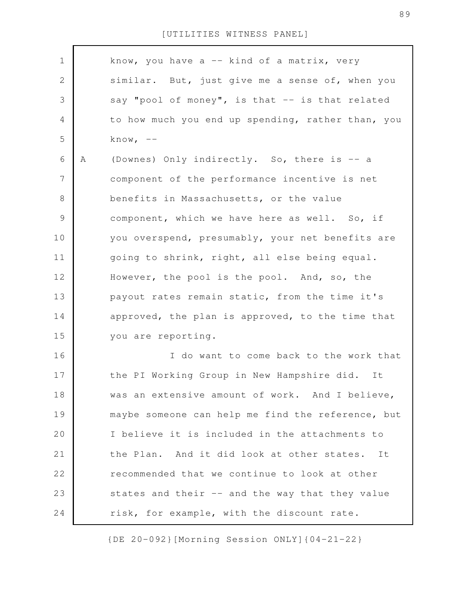| $\mathbf 1$    |   | know, you have $a$ -- kind of a matrix, very      |
|----------------|---|---------------------------------------------------|
| 2              |   | similar. But, just give me a sense of, when you   |
| 3              |   | say "pool of money", is that -- is that related   |
| 4              |   | to how much you end up spending, rather than, you |
| 5              |   | know, $--$                                        |
| 6              | Α | (Downes) Only indirectly. So, there is -- a       |
| $\overline{7}$ |   | component of the performance incentive is net     |
| 8              |   | benefits in Massachusetts, or the value           |
| $\mathcal{G}$  |   | component, which we have here as well. So, if     |
| 10             |   | you overspend, presumably, your net benefits are  |
| 11             |   | going to shrink, right, all else being equal.     |
| 12             |   | However, the pool is the pool. And, so, the       |
| 13             |   | payout rates remain static, from the time it's    |
| 14             |   | approved, the plan is approved, to the time that  |
| 15             |   | you are reporting.                                |
| 16             |   | I do want to come back to the work that           |
| 17             |   | the PI Working Group in New Hampshire did.<br>It  |
| 18             |   | was an extensive amount of work. And I believe,   |
| 19             |   | maybe someone can help me find the reference, but |
| 20             |   | I believe it is included in the attachments to    |
| 21             |   | the Plan. And it did look at other states.<br>It  |
| 22             |   | recommended that we continue to look at other     |
| 23             |   | states and their -- and the way that they value   |
| 24             |   | risk, for example, with the discount rate.        |

{DE 20-092}[Morning Session ONLY]{04-21-22}

89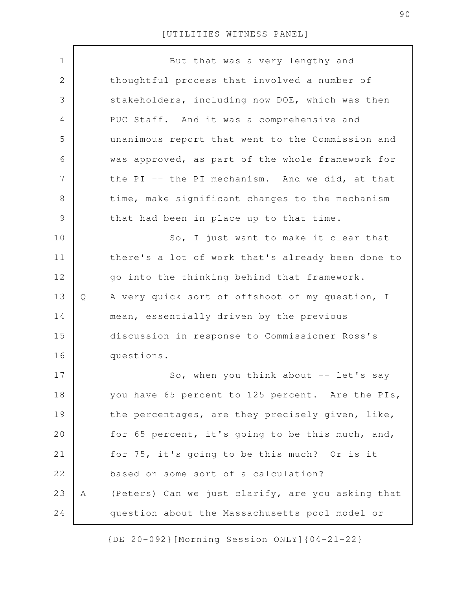| $\mathbf 1$    |   | But that was a very lengthy and                   |
|----------------|---|---------------------------------------------------|
| $\mathbf{2}$   |   | thoughtful process that involved a number of      |
| 3              |   | stakeholders, including now DOE, which was then   |
| 4              |   | PUC Staff. And it was a comprehensive and         |
| 5              |   | unanimous report that went to the Commission and  |
| 6              |   | was approved, as part of the whole framework for  |
| $\overline{7}$ |   | the PI -- the PI mechanism. And we did, at that   |
| $8\,$          |   | time, make significant changes to the mechanism   |
| $\mathcal{G}$  |   | that had been in place up to that time.           |
| 10             |   | So, I just want to make it clear that             |
| 11             |   | there's a lot of work that's already been done to |
| 12             |   | go into the thinking behind that framework.       |
| 13             | Q | A very quick sort of offshoot of my question, I   |
| 14             |   | mean, essentially driven by the previous          |
| 15             |   | discussion in response to Commissioner Ross's     |
| 16             |   | questions.                                        |
| 17             |   | So, when you think about $-$ let's say            |
| 18             |   | you have 65 percent to 125 percent. Are the PIs,  |
| 19             |   | the percentages, are they precisely given, like,  |
| 20             |   | for 65 percent, it's going to be this much, and,  |
| 21             |   | for 75, it's going to be this much? Or is it      |
| 22             |   | based on some sort of a calculation?              |
| 23             | Α | (Peters) Can we just clarify, are you asking that |
| 24             |   | question about the Massachusetts pool model or -- |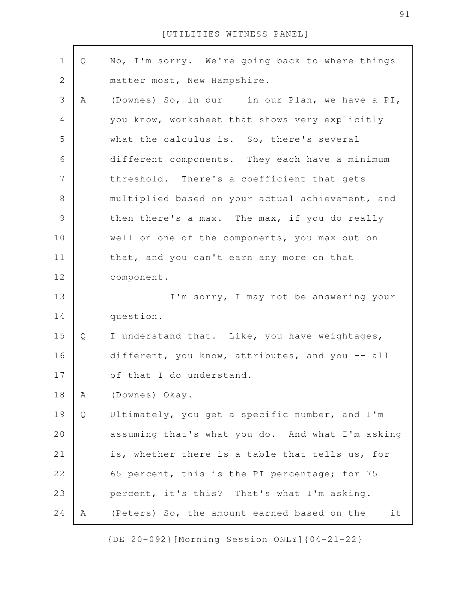| $\mathbf 1$      | Q | No, I'm sorry. We're going back to where things   |
|------------------|---|---------------------------------------------------|
| $\mathbf 2$      |   | matter most, New Hampshire.                       |
| 3                | A | (Downes) So, in our -- in our Plan, we have a PI, |
| $\overline{4}$   |   | you know, worksheet that shows very explicitly    |
| 5                |   | what the calculus is. So, there's several         |
| 6                |   | different components. They each have a minimum    |
| $\boldsymbol{7}$ |   | threshold. There's a coefficient that gets        |
| $\,8\,$          |   | multiplied based on your actual achievement, and  |
| $\mathcal{G}$    |   | then there's a max. The max, if you do really     |
| 10               |   | well on one of the components, you max out on     |
| 11               |   | that, and you can't earn any more on that         |
| 12               |   | component.                                        |
| 13               |   | I'm sorry, I may not be answering your            |
| 14               |   | question.                                         |
| 15               | Q | I understand that. Like, you have weightages,     |
| 16               |   | different, you know, attributes, and you -- all   |
| 17               |   | of that I do understand.                          |
| 18               | Α | (Downes) Okay.                                    |
| 19               | Q | Ultimately, you get a specific number, and I'm    |
| 20               |   | assuming that's what you do. And what I'm asking  |
| 21               |   | is, whether there is a table that tells us, for   |
| 22               |   | 65 percent, this is the PI percentage; for 75     |
| 23               |   | percent, it's this? That's what I'm asking.       |
| 24               | A | (Peters) So, the amount earned based on the -- it |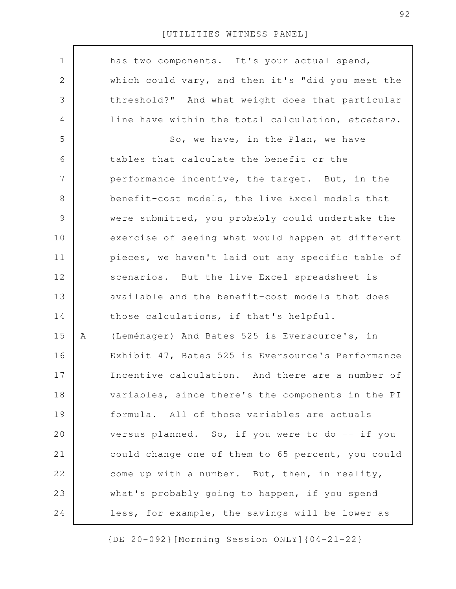| $\mathbf 1$    |   | has two components. It's your actual spend,       |
|----------------|---|---------------------------------------------------|
| $\sqrt{2}$     |   | which could vary, and then it's "did you meet the |
| 3              |   | threshold?" And what weight does that particular  |
| $\overline{4}$ |   | line have within the total calculation, etcetera. |
| 5              |   | So, we have, in the Plan, we have                 |
| 6              |   | tables that calculate the benefit or the          |
| $\overline{7}$ |   | performance incentive, the target. But, in the    |
| $8\,$          |   | benefit-cost models, the live Excel models that   |
| $\mathcal{G}$  |   | were submitted, you probably could undertake the  |
| 10             |   | exercise of seeing what would happen at different |
| 11             |   | pieces, we haven't laid out any specific table of |
| 12             |   | scenarios. But the live Excel spreadsheet is      |
| 13             |   | available and the benefit-cost models that does   |
| 14             |   | those calculations, if that's helpful.            |
| 15             | Α | (Leménager) And Bates 525 is Eversource's, in     |
| 16             |   | Exhibit 47, Bates 525 is Eversource's Performance |
| 17             |   | Incentive calculation. And there are a number of  |
| 18             |   | variables, since there's the components in the PI |
| 19             |   | formula. All of those variables are actuals       |
| 20             |   | versus planned. So, if you were to do -- if you   |
| 21             |   | could change one of them to 65 percent, you could |
| 22             |   | come up with a number. But, then, in reality,     |
| 23             |   | what's probably going to happen, if you spend     |
| 24             |   | less, for example, the savings will be lower as   |
|                |   |                                                   |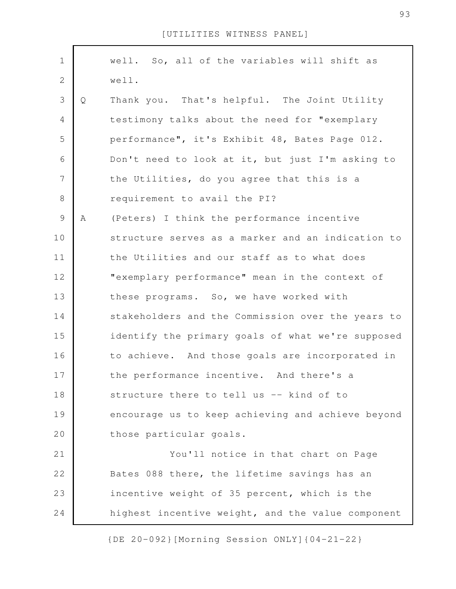| $\mathbf 1$    |   | well. So, all of the variables will shift as      |
|----------------|---|---------------------------------------------------|
| $\mathbf{2}$   |   | well.                                             |
| 3              | Q | Thank you. That's helpful. The Joint Utility      |
| $\overline{4}$ |   | testimony talks about the need for "exemplary     |
| 5              |   | performance", it's Exhibit 48, Bates Page 012.    |
| 6              |   | Don't need to look at it, but just I'm asking to  |
| 7              |   | the Utilities, do you agree that this is a        |
| $\,8\,$        |   | requirement to avail the PI?                      |
| $\mathsf 9$    | A | (Peters) I think the performance incentive        |
| 10             |   | structure serves as a marker and an indication to |
| 11             |   | the Utilities and our staff as to what does       |
| 12             |   | "exemplary performance" mean in the context of    |
| 13             |   | these programs. So, we have worked with           |
| 14             |   | stakeholders and the Commission over the years to |
| 15             |   | identify the primary goals of what we're supposed |
| 16             |   | to achieve. And those goals are incorporated in   |
| 17             |   | the performance incentive. And there's a          |
| 18             |   | structure there to tell us -- kind of to          |
| 19             |   | encourage us to keep achieving and achieve beyond |
| 20             |   | those particular goals.                           |
| 21             |   | You'll notice in that chart on Page               |
| 22             |   | Bates 088 there, the lifetime savings has an      |
| 23             |   | incentive weight of 35 percent, which is the      |
| 24             |   | highest incentive weight, and the value component |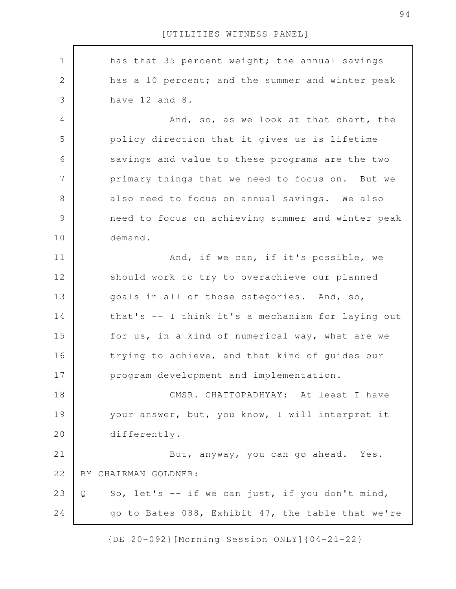has that 35 percent weight; the annual savings has a 10 percent; and the summer and winter peak have 12 and 8. And, so, as we look at that chart, the policy direction that it gives us is lifetime savings and value to these programs are the two primary things that we need to focus on. But we also need to focus on annual savings. We also need to focus on achieving summer and winter peak demand. And, if we can, if it's possible, we should work to try to overachieve our planned goals in all of those categories. And, so, that's -- I think it's a mechanism for laying out for us, in a kind of numerical way, what are we trying to achieve, and that kind of guides our program development and implementation. CMSR. CHATTOPADHYAY: At least I have your answer, but, you know, I will interpret it differently. But, anyway, you can go ahead. Yes. BY CHAIRMAN GOLDNER: Q So, let's -- if we can just, if you don't mind, go to Bates 088, Exhibit 47, the table that we're 1 2 3 4 5 6 7 8 9 10 11 12 13 14 15 16 17 18 19 20 21 22 23 24

{DE 20-092}[Morning Session ONLY]{04-21-22}

94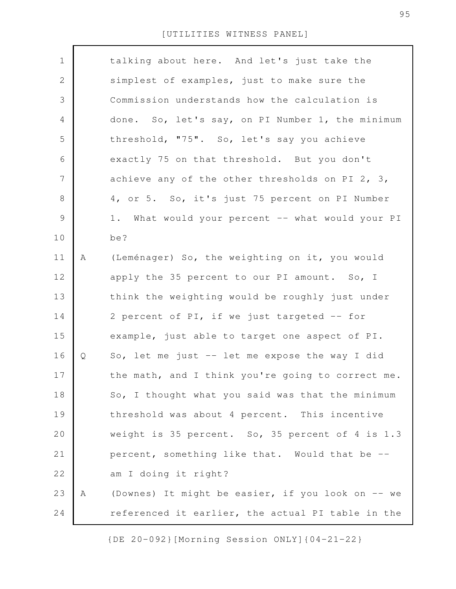| $\mathbf 1$    |   | talking about here. And let's just take the       |
|----------------|---|---------------------------------------------------|
| $\mathbf{2}$   |   | simplest of examples, just to make sure the       |
| 3              |   | Commission understands how the calculation is     |
| 4              |   | done. So, let's say, on PI Number 1, the minimum  |
| 5              |   | threshold, "75". So, let's say you achieve        |
| 6              |   | exactly 75 on that threshold. But you don't       |
| $\overline{7}$ |   | achieve any of the other thresholds on PI 2, 3,   |
| $8\,$          |   | 4, or 5. So, it's just 75 percent on PI Number    |
| $\mathsf 9$    |   | 1. What would your percent -- what would your PI  |
| 10             |   | be?                                               |
| 11             | Α | (Leménager) So, the weighting on it, you would    |
| 12             |   | apply the 35 percent to our PI amount. So, I      |
| 13             |   | think the weighting would be roughly just under   |
| 14             |   | 2 percent of PI, if we just targeted -- for       |
| 15             |   | example, just able to target one aspect of PI.    |
| 16             | Q | So, let me just -- let me expose the way I did    |
| 17             |   | the math, and I think you're going to correct me. |
| 18             |   | So, I thought what you said was that the minimum  |
| 19             |   | threshold was about 4 percent. This incentive     |
| 20             |   | weight is 35 percent. So, 35 percent of 4 is 1.3  |
| 21             |   | percent, something like that. Would that be --    |
| 22             |   | am I doing it right?                              |
| 23             | Α | (Downes) It might be easier, if you look on -- we |
| 24             |   | referenced it earlier, the actual PI table in the |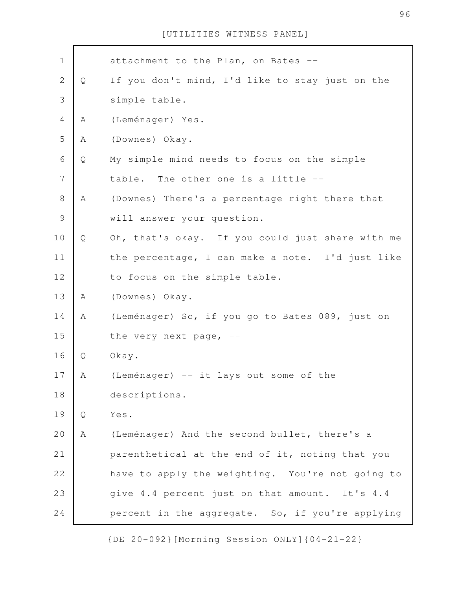| $1\,$          |   | attachment to the Plan, on Bates --              |
|----------------|---|--------------------------------------------------|
| $\mathbf 2$    | Q | If you don't mind, I'd like to stay just on the  |
| 3              |   | simple table.                                    |
| $\overline{4}$ | Α | (Leménager) Yes.                                 |
| 5              | Α | (Downes) Okay.                                   |
| 6              | Q | My simple mind needs to focus on the simple      |
| 7              |   | table. The other one is a little --              |
| $\,8\,$        | A | (Downes) There's a percentage right there that   |
| $\mathcal{G}$  |   | will answer your question.                       |
| 10             | Q | Oh, that's okay. If you could just share with me |
| 11             |   | the percentage, I can make a note. I'd just like |
| 12             |   | to focus on the simple table.                    |
| 13             | Α | (Downes) Okay.                                   |
| 14             | Α | (Leménager) So, if you go to Bates 089, just on  |
| 15             |   | the very next page, $-$ -                        |
| 16             | Q | Okay.                                            |
| 17             | Α | (Leménager) -- it lays out some of the           |
| 18             |   | descriptions.                                    |
| 19             | Q | Yes.                                             |
| 20             | Α | (Leménager) And the second bullet, there's a     |
| 21             |   | parenthetical at the end of it, noting that you  |
| 22             |   | have to apply the weighting. You're not going to |
| 23             |   | give 4.4 percent just on that amount. It's 4.4   |
| 24             |   | percent in the aggregate. So, if you're applying |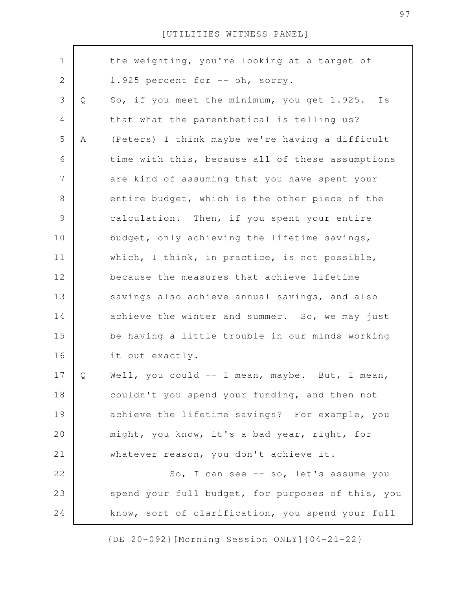| $\mathbf 1$    |   | the weighting, you're looking at a target of      |
|----------------|---|---------------------------------------------------|
| $\mathbf{2}$   |   | 1.925 percent for -- oh, sorry.                   |
| $\mathfrak S$  | Q | So, if you meet the minimum, you get 1.925. Is    |
| $\overline{4}$ |   | that what the parenthetical is telling us?        |
| 5              | Α | (Peters) I think maybe we're having a difficult   |
| 6              |   | time with this, because all of these assumptions  |
| $\overline{7}$ |   | are kind of assuming that you have spent your     |
| $\,8\,$        |   | entire budget, which is the other piece of the    |
| $\mathcal{G}$  |   | calculation. Then, if you spent your entire       |
| 10             |   | budget, only achieving the lifetime savings,      |
| 11             |   | which, I think, in practice, is not possible,     |
| 12             |   | because the measures that achieve lifetime        |
| 13             |   | savings also achieve annual savings, and also     |
| 14             |   | achieve the winter and summer. So, we may just    |
| 15             |   | be having a little trouble in our minds working   |
| 16             |   | it out exactly.                                   |
| 17             | Ő | Well, you could $-$ I mean, maybe. But, I mean,   |
| 18             |   | couldn't you spend your funding, and then not     |
| 19             |   | achieve the lifetime savings? For example, you    |
| 20             |   | might, you know, it's a bad year, right, for      |
| 21             |   | whatever reason, you don't achieve it.            |
| 22             |   | So, I can see -- so, let's assume you             |
| 23             |   | spend your full budget, for purposes of this, you |
| 24             |   | know, sort of clarification, you spend your full  |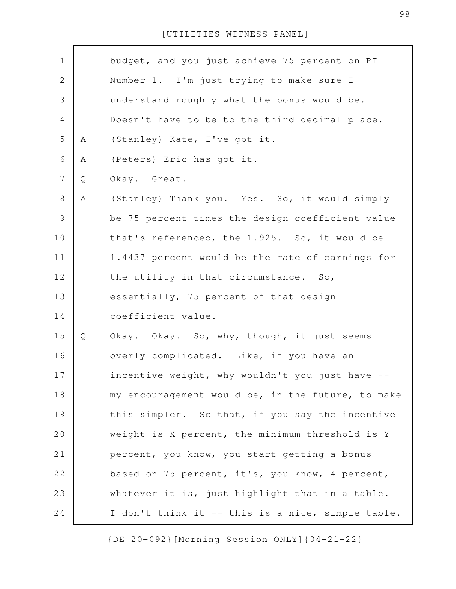| $\mathbf 1$    |   | budget, and you just achieve 75 percent on PI     |
|----------------|---|---------------------------------------------------|
| $\mathbf{2}$   |   | Number 1. I'm just trying to make sure I          |
| 3              |   | understand roughly what the bonus would be.       |
| 4              |   | Doesn't have to be to the third decimal place.    |
| 5              | Α | (Stanley) Kate, I've got it.                      |
| 6              | Α | (Peters) Eric has got it.                         |
| $\overline{7}$ | Q | Okay. Great.                                      |
| $8\,$          | Α | (Stanley) Thank you. Yes. So, it would simply     |
| $\mathsf 9$    |   | be 75 percent times the design coefficient value  |
| 10             |   | that's referenced, the 1.925. So, it would be     |
| 11             |   | 1.4437 percent would be the rate of earnings for  |
| 12             |   | the utility in that circumstance. So,             |
| 13             |   | essentially, 75 percent of that design            |
| 14             |   | coefficient value.                                |
| 15             | Q | Okay. Okay. So, why, though, it just seems        |
| 16             |   | overly complicated. Like, if you have an          |
| 17             |   | incentive weight, why wouldn't you just have      |
| 18             |   | my encouragement would be, in the future, to make |
| 19             |   | this simpler. So that, if you say the incentive   |
| 20             |   | weight is X percent, the minimum threshold is Y   |
| 21             |   | percent, you know, you start getting a bonus      |
| 22             |   | based on 75 percent, it's, you know, 4 percent,   |
| 23             |   | whatever it is, just highlight that in a table.   |
| 24             |   | I don't think it -- this is a nice, simple table. |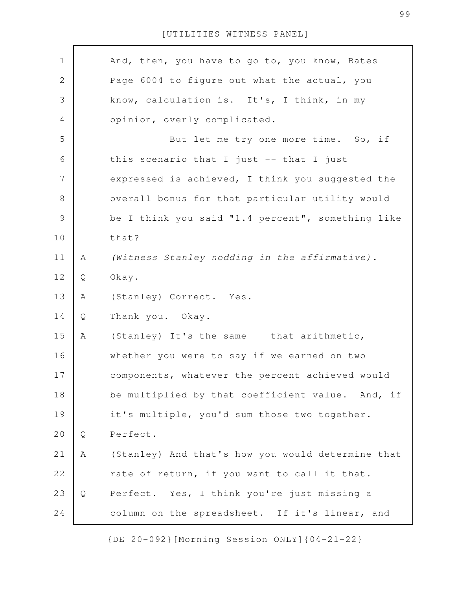| $\mathbf 1$    |   | And, then, you have to go to, you know, Bates     |
|----------------|---|---------------------------------------------------|
| $\sqrt{2}$     |   | Page 6004 to figure out what the actual, you      |
| 3              |   | know, calculation is. It's, I think, in my        |
| $\overline{4}$ |   | opinion, overly complicated.                      |
| 5              |   | But let me try one more time. So, if              |
| 6              |   | this scenario that I just -- that I just          |
| 7              |   | expressed is achieved, I think you suggested the  |
| $8\,$          |   | overall bonus for that particular utility would   |
| $\mathcal{G}$  |   | be I think you said "1.4 percent", something like |
| 10             |   | that?                                             |
| 11             | A | (Witness Stanley nodding in the affirmative).     |
| 12             | Q | Okay.                                             |
| 13             | Α | (Stanley) Correct. Yes.                           |
| 14             | Q | Thank you. Okay.                                  |
| 15             | Α | (Stanley) It's the same -- that arithmetic,       |
| 16             |   | whether you were to say if we earned on two       |
| 17             |   | components, whatever the percent achieved would   |
| 18             |   | be multiplied by that coefficient value. And, if  |
| 19             |   | it's multiple, you'd sum those two together.      |
| 20             | Q | Perfect.                                          |
| 21             | Α | (Stanley) And that's how you would determine that |
| 22             |   | rate of return, if you want to call it that.      |
| 23             | Q | Perfect. Yes, I think you're just missing a       |
| 24             |   | column on the spreadsheet. If it's linear, and    |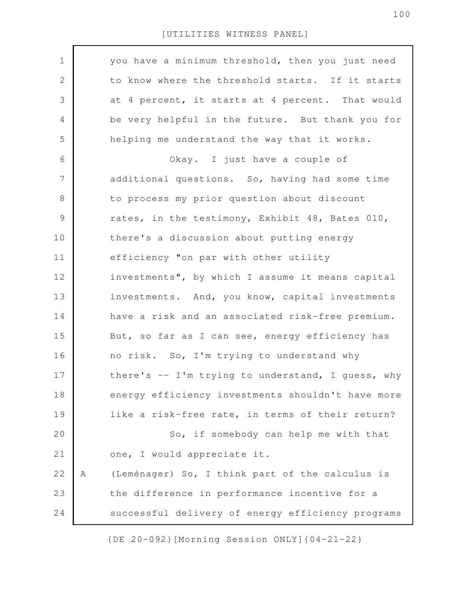| $\mathbf 1$ |   | you have a minimum threshold, then you just need  |
|-------------|---|---------------------------------------------------|
| 2           |   | to know where the threshold starts. If it starts  |
| 3           |   | at 4 percent, it starts at 4 percent. That would  |
| 4           |   | be very helpful in the future. But thank you for  |
| 5           |   | helping me understand the way that it works.      |
| 6           |   | Okay. I just have a couple of                     |
| 7           |   | additional questions. So, having had some time    |
| $8\,$       |   | to process my prior question about discount       |
| $\mathsf 9$ |   | rates, in the testimony, Exhibit 48, Bates 010,   |
| 10          |   | there's a discussion about putting energy         |
| 11          |   | efficiency "on par with other utility             |
| 12          |   | investments", by which I assume it means capital  |
| 13          |   | investments. And, you know, capital investments   |
| 14          |   | have a risk and an associated risk-free premium.  |
| 15          |   | But, so far as I can see, energy efficiency has   |
| 16          |   | no risk. So, I'm trying to understand why         |
| 17          |   | there's -- I'm trying to understand, I guess, why |
| 18          |   | energy efficiency investments shouldn't have more |
| 19          |   | like a risk-free rate, in terms of their return?  |
| 20          |   | So, if somebody can help me with that             |
| 21          |   | one, I would appreciate it.                       |
| 22          | Α | (Leménager) So, I think part of the calculus is   |
| 23          |   | the difference in performance incentive for a     |
| 24          |   | successful delivery of energy efficiency programs |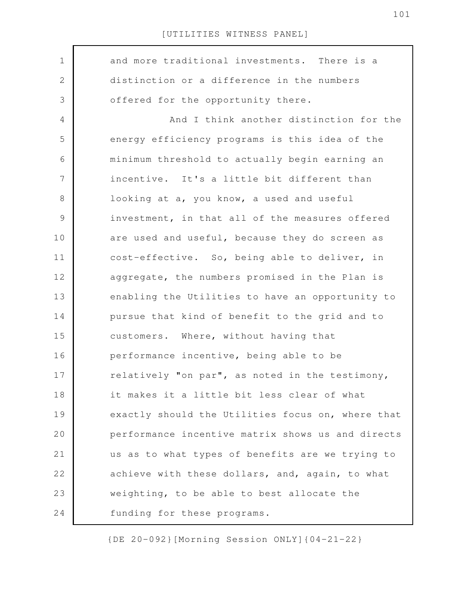| $\mathbf 1$   | and more traditional investments. There is a      |
|---------------|---------------------------------------------------|
| $\mathbf{2}$  | distinction or a difference in the numbers        |
| 3             | offered for the opportunity there.                |
| 4             | And I think another distinction for the           |
| 5             | energy efficiency programs is this idea of the    |
| 6             | minimum threshold to actually begin earning an    |
| 7             | incentive. It's a little bit different than       |
| 8             | looking at a, you know, a used and useful         |
| $\mathcal{G}$ | investment, in that all of the measures offered   |
| 10            | are used and useful, because they do screen as    |
| 11            | cost-effective. So, being able to deliver, in     |
| 12            | aggregate, the numbers promised in the Plan is    |
| 13            | enabling the Utilities to have an opportunity to  |
| 14            | pursue that kind of benefit to the grid and to    |
| 15            | customers. Where, without having that             |
| 16            | performance incentive, being able to be           |
| 17            | relatively "on par", as noted in the testimony,   |
| 18            | it makes it a little bit less clear of what       |
| 19            | exactly should the Utilities focus on, where that |
| 20            | performance incentive matrix shows us and directs |
| 21            | us as to what types of benefits are we trying to  |
| 22            | achieve with these dollars, and, again, to what   |
| 23            | weighting, to be able to best allocate the        |
| 24            | funding for these programs.                       |
|               |                                                   |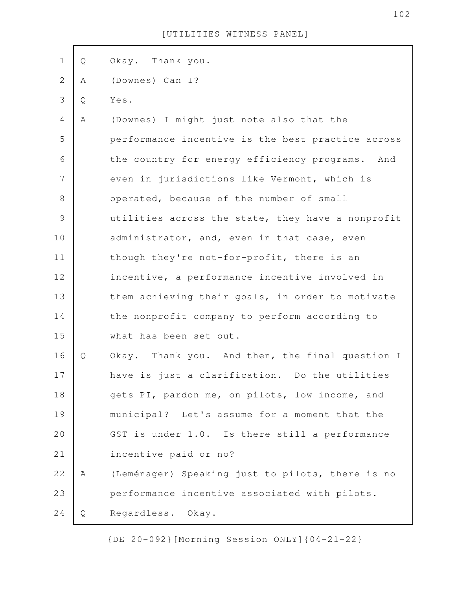| $\mathbf 1$    | Q | Okay. Thank you.                                  |
|----------------|---|---------------------------------------------------|
| $\mathbf{2}$   |   |                                                   |
|                | Α | (Downes) Can I?                                   |
| 3              | Q | Yes.                                              |
| $\overline{4}$ | A | (Downes) I might just note also that the          |
| 5              |   | performance incentive is the best practice across |
| 6              |   | the country for energy efficiency programs. And   |
| $\overline{7}$ |   | even in jurisdictions like Vermont, which is      |
| $\,8\,$        |   | operated, because of the number of small          |
| $\mathcal{G}$  |   | utilities across the state, they have a nonprofit |
| 10             |   | administrator, and, even in that case, even       |
| 11             |   | though they're not-for-profit, there is an        |
| 12             |   | incentive, a performance incentive involved in    |
| 13             |   | them achieving their goals, in order to motivate  |
| 14             |   | the nonprofit company to perform according to     |
| 15             |   | what has been set out.                            |
| 16             | Q | Okay. Thank you. And then, the final question I   |
| 17             |   | have is just a clarification. Do the utilities    |
| 18             |   | gets PI, pardon me, on pilots, low income, and    |
| 19             |   | municipal? Let's assume for a moment that the     |
| 20             |   | GST is under 1.0. Is there still a performance    |
| 21             |   | incentive paid or no?                             |
| 22             | Α | (Leménager) Speaking just to pilots, there is no  |
| 23             |   | performance incentive associated with pilots.     |
| 24             | Q | Regardless. Okay.                                 |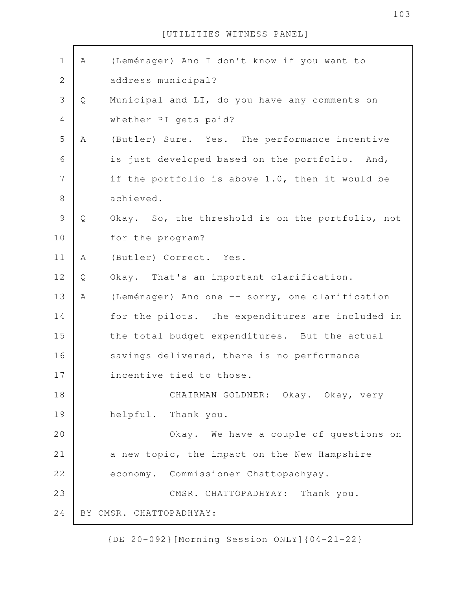| $\mathbf 1$    | Α | (Leménager) And I don't know if you want to      |
|----------------|---|--------------------------------------------------|
| $\sqrt{2}$     |   | address municipal?                               |
| $\mathfrak{Z}$ | Q | Municipal and LI, do you have any comments on    |
| $\overline{4}$ |   | whether PI gets paid?                            |
| 5              | Α | (Butler) Sure. Yes. The performance incentive    |
| 6              |   | is just developed based on the portfolio. And,   |
| $\overline{7}$ |   | if the portfolio is above 1.0, then it would be  |
| $\,8\,$        |   | achieved.                                        |
| $\mathcal{G}$  | Q | Okay. So, the threshold is on the portfolio, not |
| 10             |   | for the program?                                 |
| 11             | Α | (Butler) Correct. Yes.                           |
| 12             | Q | Okay. That's an important clarification.         |
| 13             | A | (Leménager) And one -- sorry, one clarification  |
| 14             |   | for the pilots. The expenditures are included in |
| 15             |   | the total budget expenditures. But the actual    |
| 16             |   | savings delivered, there is no performance       |
| 17             |   | incentive tied to those.                         |
| 18             |   | CHAIRMAN GOLDNER: Okay. Okay, very               |
| 19             |   | helpful. Thank you.                              |
| 20             |   | Okay. We have a couple of questions on           |
| 21             |   | a new topic, the impact on the New Hampshire     |
| 22             |   | economy. Commissioner Chattopadhyay.             |
| 23             |   | CMSR. CHATTOPADHYAY: Thank you.                  |
| 24             |   | BY CMSR. CHATTOPADHYAY:                          |

{DE 20-092}[Morning Session ONLY]{04-21-22}

103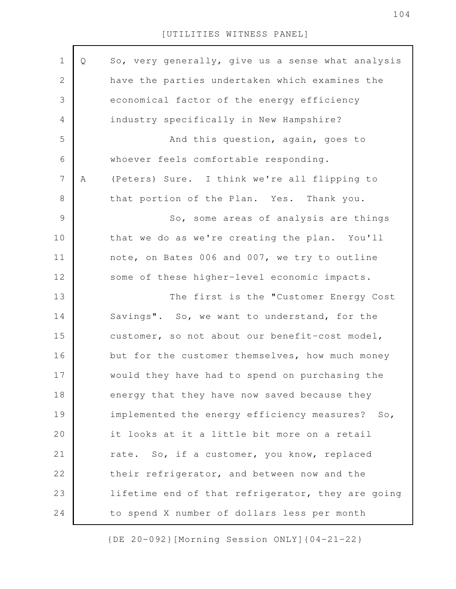| 1              | Q | So, very generally, give us a sense what analysis |
|----------------|---|---------------------------------------------------|
| $\mathbf{2}$   |   | have the parties undertaken which examines the    |
| 3              |   | economical factor of the energy efficiency        |
| $\overline{4}$ |   | industry specifically in New Hampshire?           |
| 5              |   | And this question, again, goes to                 |
| 6              |   | whoever feels comfortable responding.             |
| $\overline{7}$ | Α | (Peters) Sure. I think we're all flipping to      |
| $8\,$          |   | that portion of the Plan. Yes. Thank you.         |
| $\mathcal{G}$  |   | So, some areas of analysis are things             |
| 10             |   | that we do as we're creating the plan. You'll     |
| 11             |   | note, on Bates 006 and 007, we try to outline     |
| 12             |   | some of these higher-level economic impacts.      |
| 13             |   | The first is the "Customer Energy Cost            |
| 14             |   | Savings". So, we want to understand, for the      |
| 15             |   | customer, so not about our benefit-cost model,    |
| 16             |   | but for the customer themselves, how much money   |
| 17             |   | would they have had to spend on purchasing the    |
| 18             |   | energy that they have now saved because they      |
| 19             |   | implemented the energy efficiency measures? So,   |
| 20             |   | it looks at it a little bit more on a retail      |
| 21             |   | rate. So, if a customer, you know, replaced       |
| 22             |   | their refrigerator, and between now and the       |
| 23             |   | lifetime end of that refrigerator, they are going |
| 24             |   | to spend X number of dollars less per month       |
|                |   |                                                   |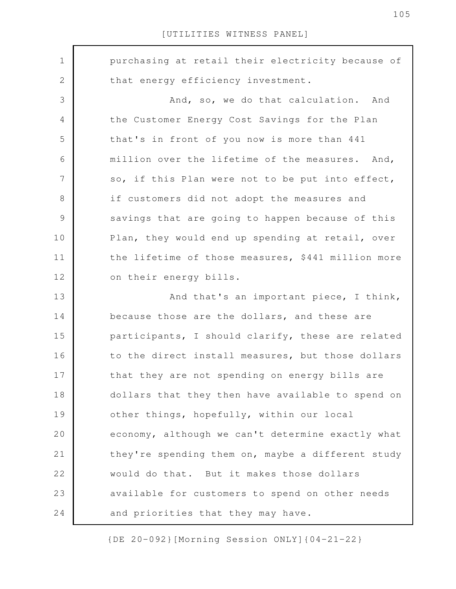purchasing at retail their electricity because of that energy efficiency investment. And, so, we do that calculation. And the Customer Energy Cost Savings for the Plan that's in front of you now is more than 441 million over the lifetime of the measures. And, so, if this Plan were not to be put into effect, if customers did not adopt the measures and savings that are going to happen because of this Plan, they would end up spending at retail, over the lifetime of those measures, \$441 million more on their energy bills. And that's an important piece, I think, because those are the dollars, and these are participants, I should clarify, these are related to the direct install measures, but those dollars that they are not spending on energy bills are dollars that they then have available to spend on other things, hopefully, within our local economy, although we can't determine exactly what they're spending them on, maybe a different study would do that. But it makes those dollars available for customers to spend on other needs and priorities that they may have. 1 2 3 4 5 6 7 8 9 10 11 12 13 14 15 16 17 18 19 20 21 22 23 24

{DE 20-092}[Morning Session ONLY]{04-21-22}

105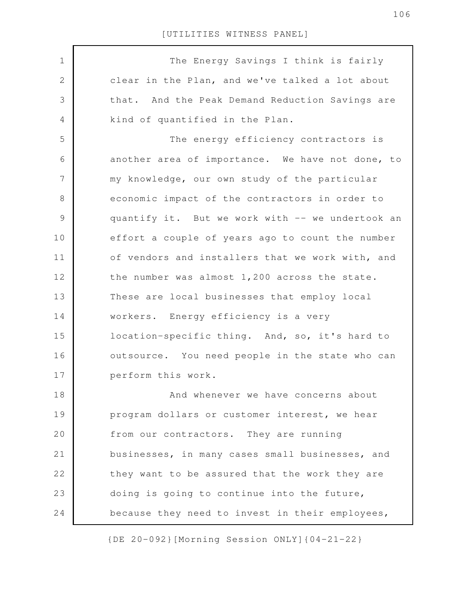The Energy Savings I think is fairly clear in the Plan, and we've talked a lot about that. And the Peak Demand Reduction Savings are kind of quantified in the Plan. The energy efficiency contractors is another area of importance. We have not done, to my knowledge, our own study of the particular economic impact of the contractors in order to quantify it. But we work with -- we undertook an effort a couple of years ago to count the number of vendors and installers that we work with, and the number was almost 1,200 across the state. These are local businesses that employ local workers. Energy efficiency is a very location-specific thing. And, so, it's hard to outsource. You need people in the state who can perform this work. And whenever we have concerns about program dollars or customer interest, we hear from our contractors. They are running businesses, in many cases small businesses, and they want to be assured that the work they are doing is going to continue into the future, because they need to invest in their employees, 1 2 3 4 5 6 7 8 9 10 11 12 13 14 15 16 17 18 19 20 21 22 23 24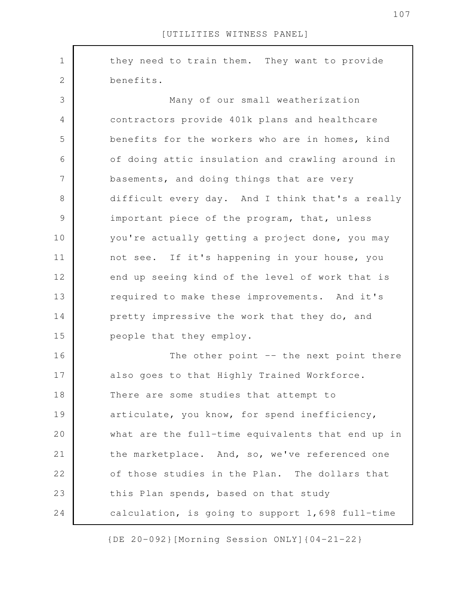they need to train them. They want to provide benefits. Many of our small weatherization contractors provide 401k plans and healthcare benefits for the workers who are in homes, kind of doing attic insulation and crawling around in basements, and doing things that are very difficult every day. And I think that's a really important piece of the program, that, unless you're actually getting a project done, you may not see. If it's happening in your house, you end up seeing kind of the level of work that is required to make these improvements. And it's pretty impressive the work that they do, and people that they employ. The other point -- the next point there also goes to that Highly Trained Workforce. There are some studies that attempt to articulate, you know, for spend inefficiency, what are the full-time equivalents that end up in the marketplace. And, so, we've referenced one of those studies in the Plan. The dollars that this Plan spends, based on that study calculation, is going to support 1,698 full-time 1 2 3 4 5 6 7 8 9 10 11 12 13 14 15 16 17 18 19 20 21 22 23 24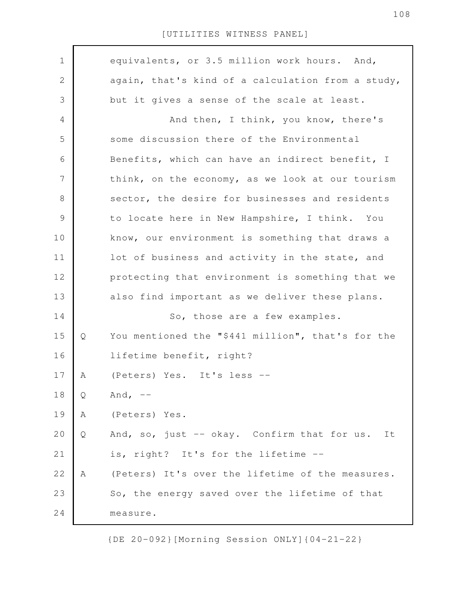| $\mathbf 1$   |   | equivalents, or 3.5 million work hours. And,      |
|---------------|---|---------------------------------------------------|
| 2             |   | again, that's kind of a calculation from a study, |
| 3             |   | but it gives a sense of the scale at least.       |
| 4             |   | And then, I think, you know, there's              |
| 5             |   | some discussion there of the Environmental        |
| 6             |   | Benefits, which can have an indirect benefit, I   |
| 7             |   | think, on the economy, as we look at our tourism  |
| $8\,$         |   | sector, the desire for businesses and residents   |
| $\mathcal{G}$ |   | to locate here in New Hampshire, I think. You     |
| 10            |   | know, our environment is something that draws a   |
| 11            |   | lot of business and activity in the state, and    |
| 12            |   | protecting that environment is something that we  |
| 13            |   | also find important as we deliver these plans.    |
| 14            |   | So, those are a few examples.                     |
| 15            | Q | You mentioned the "\$441 million", that's for the |
| 16            |   | lifetime benefit, right?                          |
| 17            | А | (Peters) Yes. It's less --                        |
| 18            | Q | And, $--$                                         |
| 19            | Α | (Peters) Yes.                                     |
| 20            | Q | And, so, just -- okay. Confirm that for us.<br>It |
| 21            |   | is, right? It's for the lifetime --               |
| 22            | Α | (Peters) It's over the lifetime of the measures.  |
| 23            |   | So, the energy saved over the lifetime of that    |
| 24            |   | measure.                                          |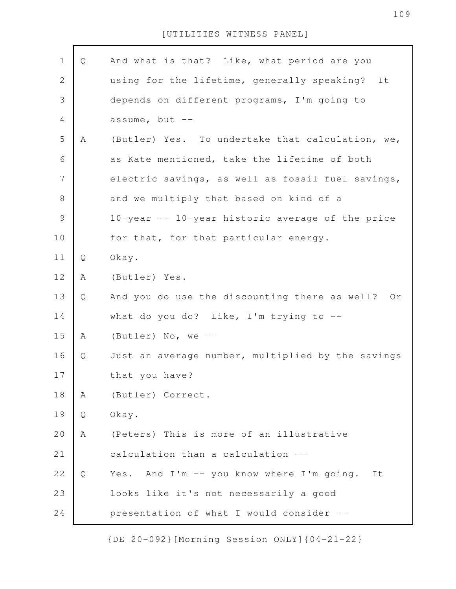| $1\,$         | Q | And what is that? Like, what period are you       |
|---------------|---|---------------------------------------------------|
| $\mathbf{2}$  |   | using for the lifetime, generally speaking?<br>It |
| 3             |   | depends on different programs, I'm going to       |
| 4             |   | assume, but $--$                                  |
| 5             | Α | (Butler) Yes. To undertake that calculation, we,  |
| 6             |   | as Kate mentioned, take the lifetime of both      |
| 7             |   | electric savings, as well as fossil fuel savings, |
| 8             |   | and we multiply that based on kind of a           |
| $\mathcal{G}$ |   | 10-year -- 10-year historic average of the price  |
| 10            |   | for that, for that particular energy.             |
| 11            | Q | Okay.                                             |
| 12            | Α | (Butler) Yes.                                     |
| 13            | Q | And you do use the discounting there as well? Or  |
| 14            |   | what do you do? Like, I'm trying to $-$ -         |
| 15            | Α | (Butler) No, we --                                |
| 16            | Q | Just an average number, multiplied by the savings |
| 17            |   | that you have?                                    |
| 18            | Α | (Butler) Correct.                                 |
| 19            | Q | Okay.                                             |
| 20            | Α | (Peters) This is more of an illustrative          |
| 21            |   | calculation than a calculation --                 |
| 22            | Q | Yes. And I'm -- you know where I'm going.<br>It   |
| 23            |   | looks like it's not necessarily a good            |
| 24            |   | presentation of what I would consider --          |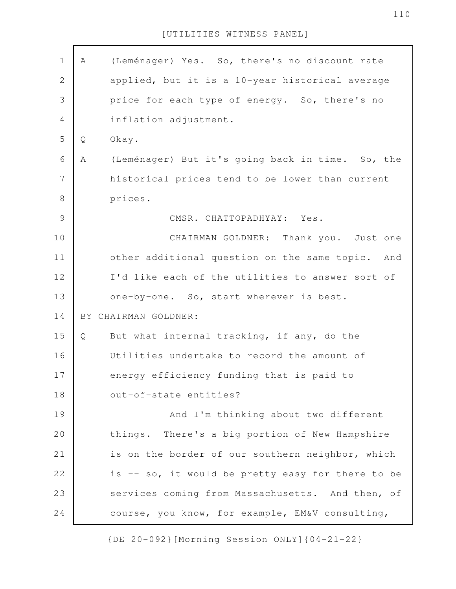| $\mathbf 1$    | A | (Leménager) Yes. So, there's no discount rate       |
|----------------|---|-----------------------------------------------------|
| $\mathbf{2}$   |   | applied, but it is a 10-year historical average     |
| $\mathfrak{Z}$ |   | price for each type of energy. So, there's no       |
| 4              |   | inflation adjustment.                               |
| 5              | Q | Okay.                                               |
| 6              | Α | (Leménager) But it's going back in time. So, the    |
| $\overline{7}$ |   | historical prices tend to be lower than current     |
| $\,8\,$        |   | prices.                                             |
| $\mathcal{G}$  |   | CMSR. CHATTOPADHYAY: Yes.                           |
| 10             |   | CHAIRMAN GOLDNER: Thank you. Just one               |
| 11             |   | other additional question on the same topic.<br>And |
| 12             |   | I'd like each of the utilities to answer sort of    |
| 13             |   | one-by-one. So, start wherever is best.             |
| 14             |   | BY CHAIRMAN GOLDNER:                                |
| 15             | Q | But what internal tracking, if any, do the          |
| 16             |   | Utilities undertake to record the amount of         |
| 17             |   | energy efficiency funding that is paid to           |
| 18             |   | out-of-state entities?                              |
| 19             |   | And I'm thinking about two different                |
| 20             |   | things. There's a big portion of New Hampshire      |
| 21             |   | is on the border of our southern neighbor, which    |
| 22             |   | is -- so, it would be pretty easy for there to be   |
| 23             |   | services coming from Massachusetts. And then, of    |
| 24             |   | course, you know, for example, EM&V consulting,     |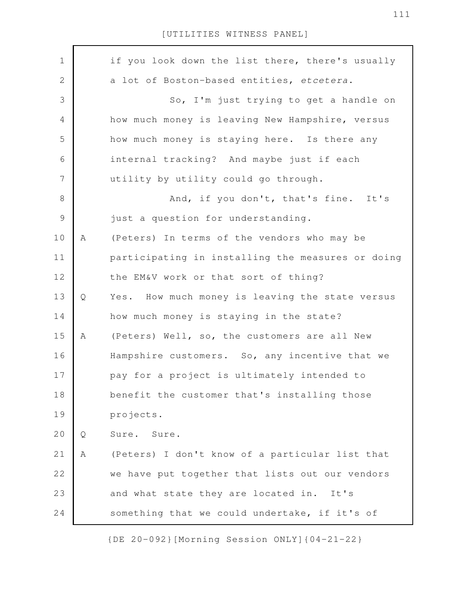| $\mathbf 1$   |   | if you look down the list there, there's usually  |
|---------------|---|---------------------------------------------------|
| $\mathbf{2}$  |   | a lot of Boston-based entities, etcetera.         |
| 3             |   | So, I'm just trying to get a handle on            |
| 4             |   | how much money is leaving New Hampshire, versus   |
| 5             |   | how much money is staying here. Is there any      |
| 6             |   | internal tracking? And maybe just if each         |
| 7             |   | utility by utility could go through.              |
| $\,8\,$       |   | And, if you don't, that's fine. It's              |
| $\mathcal{G}$ |   | just a question for understanding.                |
| 10            | Α | (Peters) In terms of the vendors who may be       |
| 11            |   | participating in installing the measures or doing |
| 12            |   | the EM&V work or that sort of thing?              |
| 13            | Q | Yes. How much money is leaving the state versus   |
| 14            |   | how much money is staying in the state?           |
| 15            | Α | (Peters) Well, so, the customers are all New      |
| 16            |   | Hampshire customers. So, any incentive that we    |
| 17            |   | pay for a project is ultimately intended to       |
| 18            |   | benefit the customer that's installing those      |
| 19            |   | projects.                                         |
| 20            | Q | Sure.<br>Sure.                                    |
| 21            | Α | (Peters) I don't know of a particular list that   |
| 22            |   | we have put together that lists out our vendors   |
| 23            |   | and what state they are located in.<br>It's       |
| 24            |   | something that we could undertake, if it's of     |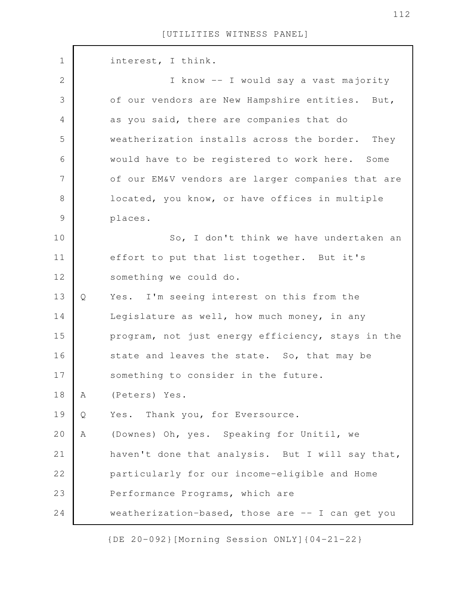| $\mathbf 1$    |   | interest, I think.                                |
|----------------|---|---------------------------------------------------|
| $\sqrt{2}$     |   | I know -- I would say a vast majority             |
| $\mathfrak{Z}$ |   | of our vendors are New Hampshire entities. But,   |
| $\overline{4}$ |   | as you said, there are companies that do          |
| 5              |   | weatherization installs across the border. They   |
| 6              |   | would have to be registered to work here. Some    |
| 7              |   | of our EM&V vendors are larger companies that are |
| $8\,$          |   | located, you know, or have offices in multiple    |
| $\mathcal{G}$  |   | places.                                           |
| 10             |   | So, I don't think we have undertaken an           |
| 11             |   | effort to put that list together. But it's        |
| 12             |   | something we could do.                            |
| 13             | Q | Yes. I'm seeing interest on this from the         |
| 14             |   | Legislature as well, how much money, in any       |
| 15             |   | program, not just energy efficiency, stays in the |
| 16             |   | state and leaves the state. So, that may be       |
| 17             |   | something to consider in the future.              |
| 18             | A | (Peters) Yes.                                     |
| 19             | Q | Thank you, for Eversource.<br>Yes.                |
| 20             | Α | (Downes) Oh, yes. Speaking for Unitil, we         |
| 21             |   | haven't done that analysis. But I will say that,  |
| 22             |   | particularly for our income-eligible and Home     |
| 23             |   | Performance Programs, which are                   |
| 24             |   | weatherization-based, those are -- I can get you  |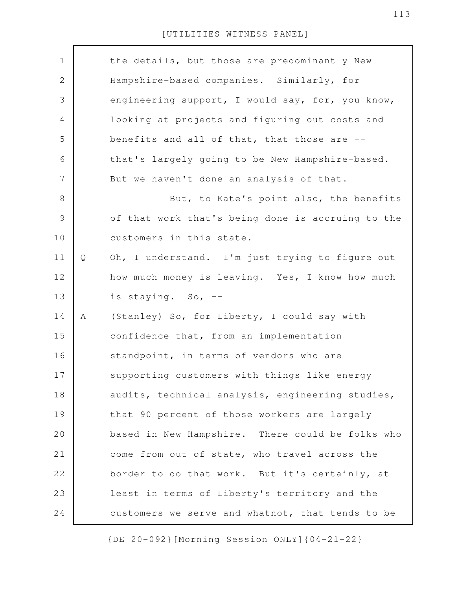| $\mathbf 1$ |   | the details, but those are predominantly New      |
|-------------|---|---------------------------------------------------|
| 2           |   | Hampshire-based companies. Similarly, for         |
| 3           |   | engineering support, I would say, for, you know,  |
| 4           |   | looking at projects and figuring out costs and    |
| 5           |   | benefits and all of that, that those are --       |
| 6           |   | that's largely going to be New Hampshire-based.   |
| 7           |   | But we haven't done an analysis of that.          |
| $8\,$       |   | But, to Kate's point also, the benefits           |
| $\mathsf 9$ |   | of that work that's being done is accruing to the |
| 10          |   | customers in this state.                          |
| 11          | Q | Oh, I understand. I'm just trying to figure out   |
| 12          |   | how much money is leaving. Yes, I know how much   |
| 13          |   | is staying. So, --                                |
| 14          | Α | (Stanley) So, for Liberty, I could say with       |
| 15          |   | confidence that, from an implementation           |
| 16          |   | standpoint, in terms of vendors who are           |
| 17          |   | supporting customers with things like energy      |
| 18          |   | audits, technical analysis, engineering studies,  |
| 19          |   | that 90 percent of those workers are largely      |
| 20          |   | based in New Hampshire. There could be folks who  |
| 21          |   | come from out of state, who travel across the     |
| 22          |   | border to do that work. But it's certainly, at    |
| 23          |   | least in terms of Liberty's territory and the     |
| 24          |   | customers we serve and whatnot, that tends to be  |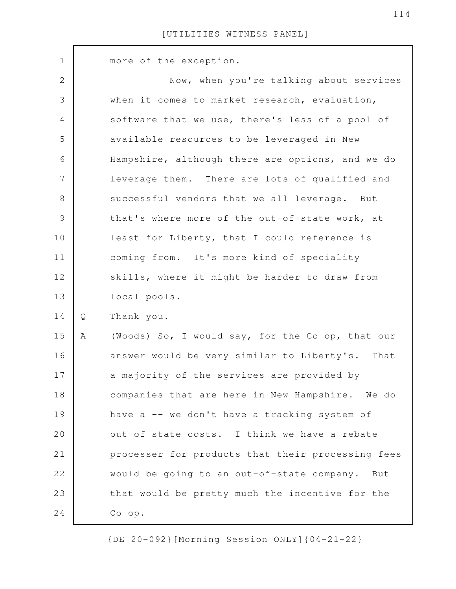more of the exception. Now, when you're talking about services when it comes to market research, evaluation, software that we use, there's less of a pool of available resources to be leveraged in New Hampshire, although there are options, and we do leverage them. There are lots of qualified and successful vendors that we all leverage. But that's where more of the out-of-state work, at least for Liberty, that I could reference is coming from. It's more kind of speciality skills, where it might be harder to draw from local pools. Q Thank you. A (Woods) So, I would say, for the Co-op, that our answer would be very similar to Liberty's. That a majority of the services are provided by companies that are here in New Hampshire. We do have  $a$  -- we don't have a tracking system of out-of-state costs. I think we have a rebate processer for products that their processing fees would be going to an out-of-state company. But that would be pretty much the incentive for the Co-op. 1 2 3 4 5 6 7 8 9 10 11 12 13 14 15 16 17 18 19 20 21 22 23 24

{DE 20-092}[Morning Session ONLY]{04-21-22}

114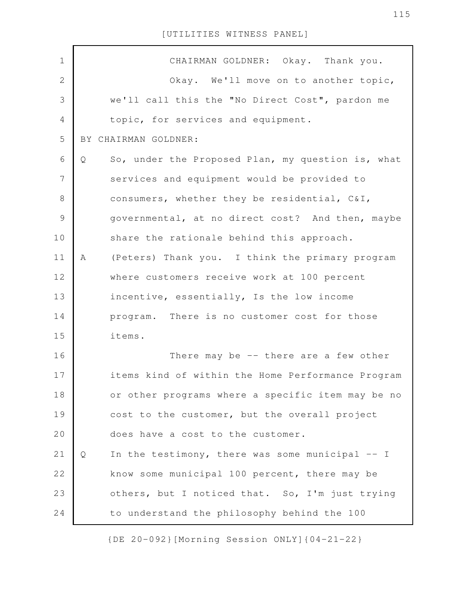| $\mathbf 1$    | CHAIRMAN GOLDNER: Okay. Thank you.                     |
|----------------|--------------------------------------------------------|
| $\mathbf{2}$   | Okay. We'll move on to another topic,                  |
| $\mathfrak{Z}$ | we'll call this the "No Direct Cost", pardon me        |
| $\overline{4}$ | topic, for services and equipment.                     |
| 5              | BY CHAIRMAN GOLDNER:                                   |
| 6              | So, under the Proposed Plan, my question is, what<br>Q |
| $\overline{7}$ | services and equipment would be provided to            |
| $8\,$          | consumers, whether they be residential, C&I,           |
| $\mathcal{G}$  | governmental, at no direct cost? And then, maybe       |
| 10             | share the rationale behind this approach.              |
| 11             | (Peters) Thank you. I think the primary program<br>A   |
| 12             | where customers receive work at 100 percent            |
| 13             | incentive, essentially, Is the low income              |
| 14             | program. There is no customer cost for those           |
| 15             | items.                                                 |
| 16             | There may be $-$ there are a few other                 |
| 17             | items kind of within the Home Performance Program      |
| 18             | or other programs where a specific item may be no      |
| 19             | cost to the customer, but the overall project          |
| 20             | does have a cost to the customer.                      |
| 21             | In the testimony, there was some municipal -- I<br>Q   |
| 22             | know some municipal 100 percent, there may be          |
| 23             | others, but I noticed that. So, I'm just trying        |
| 24             | to understand the philosophy behind the 100            |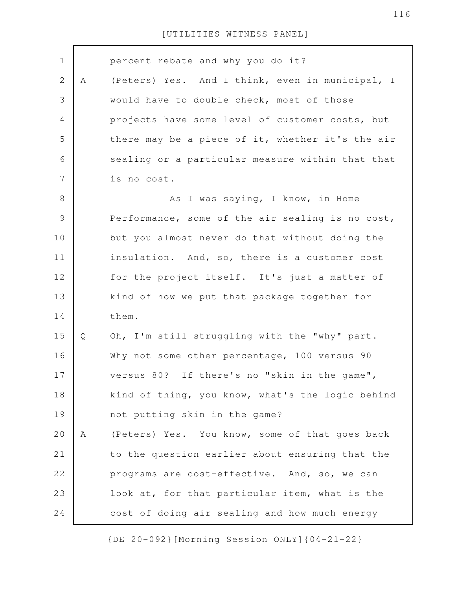| $\mathbf 1$    |   | percent rebate and why you do it?                |
|----------------|---|--------------------------------------------------|
|                |   |                                                  |
| $\mathbf{2}$   | Α | (Peters) Yes. And I think, even in municipal, I  |
| 3              |   | would have to double-check, most of those        |
| $\overline{4}$ |   | projects have some level of customer costs, but  |
| 5              |   | there may be a piece of it, whether it's the air |
| 6              |   | sealing or a particular measure within that that |
| 7              |   | is no cost.                                      |
| $\,8\,$        |   | As I was saying, I know, in Home                 |
| $\mathcal{G}$  |   | Performance, some of the air sealing is no cost, |
| 10             |   | but you almost never do that without doing the   |
| 11             |   | insulation. And, so, there is a customer cost    |
| 12             |   | for the project itself. It's just a matter of    |
| 13             |   | kind of how we put that package together for     |
| 14             |   | them.                                            |
| 15             | Q | Oh, I'm still struggling with the "why" part.    |
| 16             |   | Why not some other percentage, 100 versus 90     |
| 17             |   | versus 80? If there's no "skin in the game",     |
| 18             |   | kind of thing, you know, what's the logic behind |
| 19             |   | not putting skin in the game?                    |
| 20             | Α | (Peters) Yes. You know, some of that goes back   |
| 21             |   | to the question earlier about ensuring that the  |
| 22             |   | programs are cost-effective. And, so, we can     |
| 23             |   | look at, for that particular item, what is the   |
| 24             |   | cost of doing air sealing and how much energy    |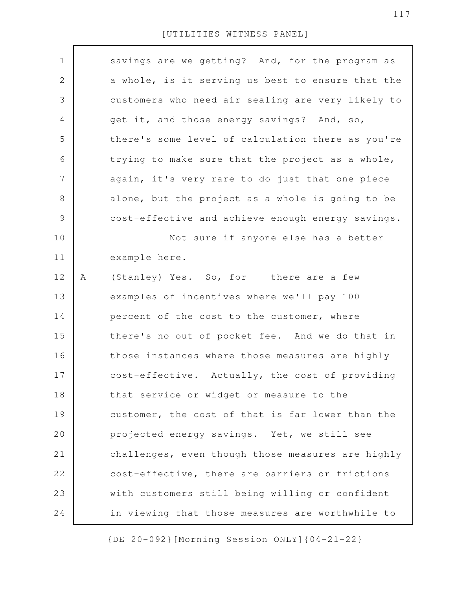| $\mathbf 1$    |   | savings are we getting? And, for the program as   |
|----------------|---|---------------------------------------------------|
| $\mathbf{2}$   |   | a whole, is it serving us best to ensure that the |
| 3              |   | customers who need air sealing are very likely to |
| 4              |   | get it, and those energy savings? And, so,        |
| 5              |   | there's some level of calculation there as you're |
| 6              |   | trying to make sure that the project as a whole,  |
| $\overline{7}$ |   | again, it's very rare to do just that one piece   |
| $8\,$          |   | alone, but the project as a whole is going to be  |
| $\mathsf 9$    |   | cost-effective and achieve enough energy savings. |
| 10             |   | Not sure if anyone else has a better              |
| 11             |   | example here.                                     |
| 12             | Α | (Stanley) Yes. So, for -- there are a few         |
| 13             |   | examples of incentives where we'll pay 100        |
| 14             |   | percent of the cost to the customer, where        |
| 15             |   | there's no out-of-pocket fee. And we do that in   |
| 16             |   | those instances where those measures are highly   |
| 17             |   | cost-effective. Actually, the cost of providing   |
| 18             |   | that service or widget or measure to the          |
| 19             |   | customer, the cost of that is far lower than the  |
| 20             |   | projected energy savings. Yet, we still see       |
| 21             |   | challenges, even though those measures are highly |
| 22             |   | cost-effective, there are barriers or frictions   |
| 23             |   | with customers still being willing or confident   |
| 24             |   | in viewing that those measures are worthwhile to  |
|                |   |                                                   |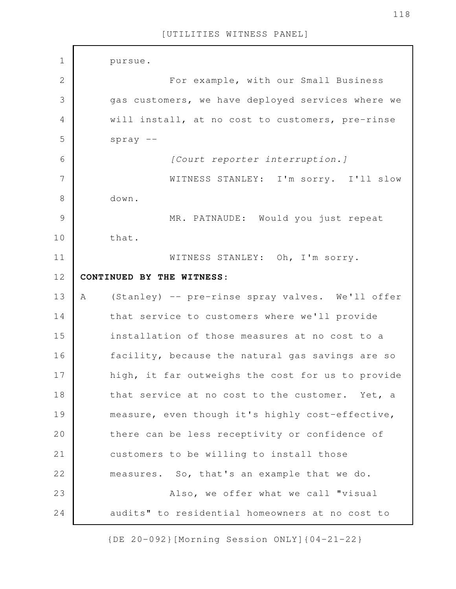pursue. For example, with our Small Business gas customers, we have deployed services where we will install, at no cost to customers, pre-rinse spray -- *[Court reporter interruption.]* WITNESS STANLEY: I'm sorry. I'll slow down. MR. PATNAUDE: Would you just repeat that. WITNESS STANLEY: Oh, I'm sorry. **CONTINUED BY THE WITNESS:** A (Stanley) -- pre-rinse spray valves. We'll offer that service to customers where we'll provide installation of those measures at no cost to a facility, because the natural gas savings are so high, it far outweighs the cost for us to provide that service at no cost to the customer. Yet, a measure, even though it's highly cost-effective, there can be less receptivity or confidence of customers to be willing to install those measures. So, that's an example that we do. Also, we offer what we call "visual audits" to residential homeowners at no cost to 1 2 3 4 5 6 7 8 9 10 11 12 13 14 15 16 17 18 19 20 21 22 23 24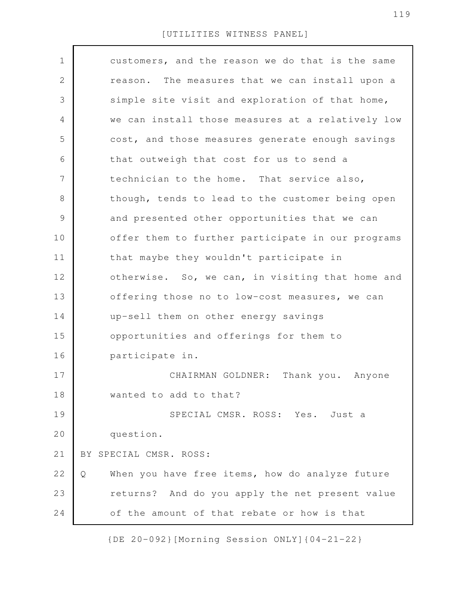| $\mathbf 1$    | customers, and the reason we do that is the same     |
|----------------|------------------------------------------------------|
| $\mathbf{2}$   | reason. The measures that we can install upon a      |
| 3              | simple site visit and exploration of that home,      |
| 4              | we can install those measures at a relatively low    |
| 5              | cost, and those measures generate enough savings     |
| 6              | that outweigh that cost for us to send a             |
| $\overline{7}$ | technician to the home. That service also,           |
| 8              | though, tends to lead to the customer being open     |
| $\mathcal{G}$  | and presented other opportunities that we can        |
| 10             | offer them to further participate in our programs    |
| 11             | that maybe they wouldn't participate in              |
| 12             | otherwise. So, we can, in visiting that home and     |
| 13             | offering those no to low-cost measures, we can       |
| 14             | up-sell them on other energy savings                 |
| 15             | opportunities and offerings for them to              |
| 16             | participate in.                                      |
| 17             | Thank you. Anyone<br>CHAIRMAN GOLDNER:               |
| 18             | wanted to add to that?                               |
| 19             | SPECIAL CMSR. ROSS: Yes. Just a                      |
| 20             | question.                                            |
| 21             | BY SPECIAL CMSR. ROSS:                               |
| 22             | When you have free items, how do analyze future<br>Q |
| 23             | returns? And do you apply the net present value      |
| 24             | of the amount of that rebate or how is that          |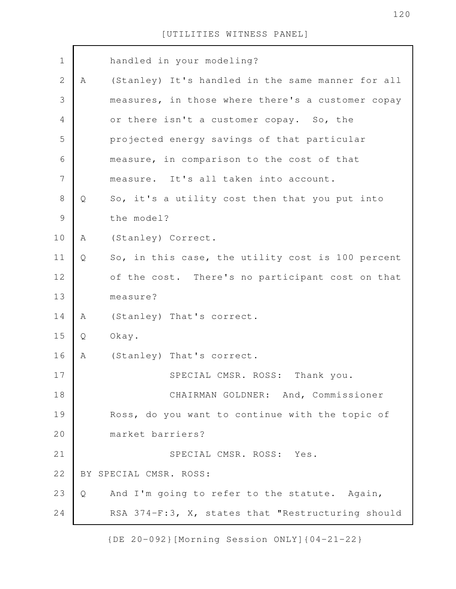| $\mathbf 1$    |   | handled in your modeling?                         |
|----------------|---|---------------------------------------------------|
| $\mathbf{2}$   | Α | (Stanley) It's handled in the same manner for all |
| 3              |   | measures, in those where there's a customer copay |
| $\overline{4}$ |   | or there isn't a customer copay. So, the          |
| 5              |   | projected energy savings of that particular       |
| 6              |   | measure, in comparison to the cost of that        |
| 7              |   | measure. It's all taken into account.             |
| $8\,$          | Q | So, it's a utility cost then that you put into    |
| $\mathcal{G}$  |   | the model?                                        |
| 10             | Α | (Stanley) Correct.                                |
| 11             | Q | So, in this case, the utility cost is 100 percent |
| 12             |   | of the cost. There's no participant cost on that  |
| 13             |   | measure?                                          |
| 14             | Α | (Stanley) That's correct.                         |
| 15             | Q | Okay.                                             |
| 16             | A | (Stanley) That's correct.                         |
| 17             |   | SPECIAL CMSR. ROSS:<br>Thank you.                 |
| 18             |   | CHAIRMAN GOLDNER: And, Commissioner               |
| 19             |   | Ross, do you want to continue with the topic of   |
| 20             |   | market barriers?                                  |
| 21             |   | SPECIAL CMSR. ROSS: Yes.                          |
| 22             |   | BY SPECIAL CMSR. ROSS:                            |
| 23             | Q | And I'm going to refer to the statute. Again,     |
| 24             |   | RSA 374-F:3, X, states that "Restructuring should |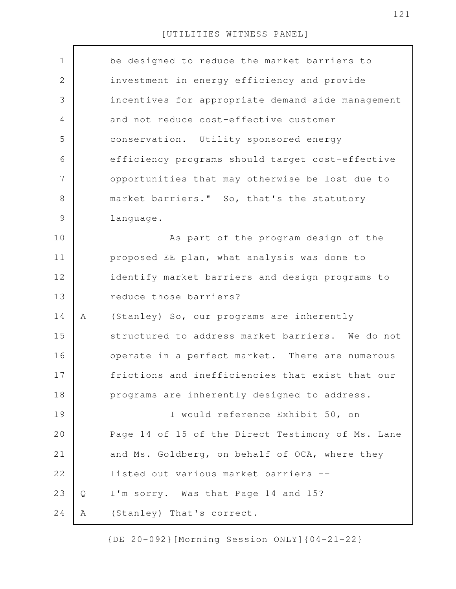| $\mathbf 1$    |   | be designed to reduce the market barriers to      |
|----------------|---|---------------------------------------------------|
| $\mathbf{2}$   |   | investment in energy efficiency and provide       |
| 3              |   | incentives for appropriate demand-side management |
| 4              |   | and not reduce cost-effective customer            |
| 5              |   | conservation. Utility sponsored energy            |
| 6              |   | efficiency programs should target cost-effective  |
| $\overline{7}$ |   | opportunities that may otherwise be lost due to   |
| 8              |   | market barriers." So, that's the statutory        |
| $\mathcal{G}$  |   | language.                                         |
| 10             |   | As part of the program design of the              |
| 11             |   | proposed EE plan, what analysis was done to       |
| 12             |   | identify market barriers and design programs to   |
| 13             |   | reduce those barriers?                            |
| 14             | Α | (Stanley) So, our programs are inherently         |
| 15             |   | structured to address market barriers. We do not  |
| 16             |   | operate in a perfect market. There are numerous   |
| 17             |   | frictions and inefficiencies that exist that our  |
| 18             |   | programs are inherently designed to address.      |
| 19             |   | I would reference Exhibit 50, on                  |
| 20             |   | Page 14 of 15 of the Direct Testimony of Ms. Lane |
| 21             |   | and Ms. Goldberg, on behalf of OCA, where they    |
| 22             |   | listed out various market barriers --             |
| 23             | Q | I'm sorry. Was that Page 14 and 15?               |
| 24             | Α | (Stanley) That's correct.                         |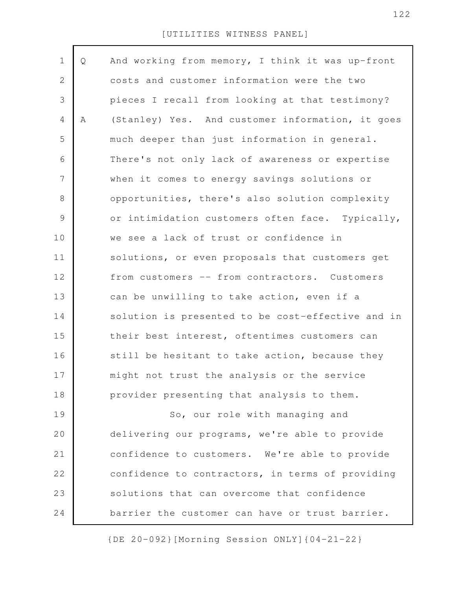| $\mathbf 1$    | Q | And working from memory, I think it was up-front  |
|----------------|---|---------------------------------------------------|
| $\mathbf{2}$   |   | costs and customer information were the two       |
| 3              |   | pieces I recall from looking at that testimony?   |
| 4              | Α | (Stanley) Yes. And customer information, it goes  |
| 5              |   | much deeper than just information in general.     |
| 6              |   | There's not only lack of awareness or expertise   |
| $\overline{7}$ |   | when it comes to energy savings solutions or      |
| 8              |   | opportunities, there's also solution complexity   |
| 9              |   | or intimidation customers often face. Typically,  |
| 10             |   | we see a lack of trust or confidence in           |
| 11             |   | solutions, or even proposals that customers get   |
| 12             |   | from customers -- from contractors. Customers     |
| 13             |   | can be unwilling to take action, even if a        |
| 14             |   | solution is presented to be cost-effective and in |
| 15             |   | their best interest, oftentimes customers can     |
| 16             |   | still be hesitant to take action, because they    |
| 17             |   | might not trust the analysis or the service       |
| 18             |   | provider presenting that analysis to them.        |
| 19             |   | So, our role with managing and                    |
| 20             |   | delivering our programs, we're able to provide    |
| 21             |   | confidence to customers. We're able to provide    |
| 22             |   | confidence to contractors, in terms of providing  |
| 23             |   | solutions that can overcome that confidence       |
| 24             |   | barrier the customer can have or trust barrier.   |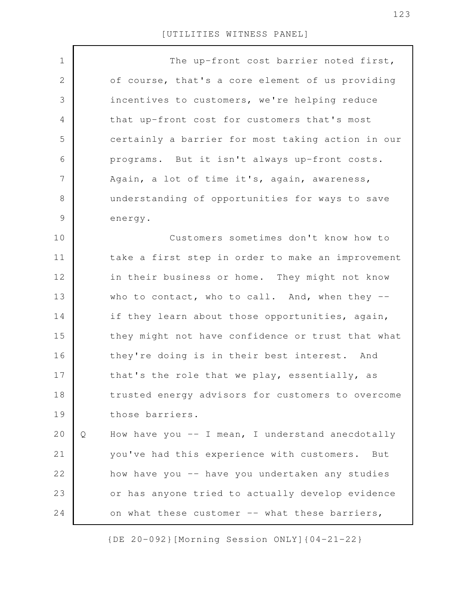| $\mathbf 1$    |   | The up-front cost barrier noted first,            |
|----------------|---|---------------------------------------------------|
| 2              |   | of course, that's a core element of us providing  |
| 3              |   | incentives to customers, we're helping reduce     |
| $\overline{4}$ |   | that up-front cost for customers that's most      |
| 5              |   | certainly a barrier for most taking action in our |
| 6              |   | programs. But it isn't always up-front costs.     |
| $\overline{7}$ |   | Again, a lot of time it's, again, awareness,      |
| $8\,$          |   | understanding of opportunities for ways to save   |
| $\mathcal{G}$  |   | energy.                                           |
| 10             |   | Customers sometimes don't know how to             |
| 11             |   | take a first step in order to make an improvement |
| 12             |   | in their business or home. They might not know    |
| 13             |   | who to contact, who to call. And, when they --    |
| 14             |   | if they learn about those opportunities, again,   |
| 15             |   | they might not have confidence or trust that what |
| 16             |   | they're doing is in their best interest. And      |
| 17             |   | that's the role that we play, essentially, as     |
| 18             |   | trusted energy advisors for customers to overcome |
| 19             |   | those barriers.                                   |
| 20             | Q | How have you -- I mean, I understand anecdotally  |
| 21             |   | you've had this experience with customers. But    |
| 22             |   | how have you -- have you undertaken any studies   |
| 23             |   | or has anyone tried to actually develop evidence  |
| 24             |   | on what these customer -- what these barriers,    |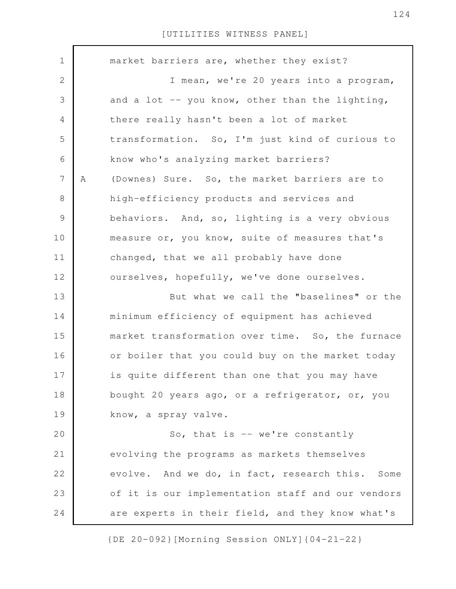| $\mathbf 1$  |   | market barriers are, whether they exist?          |
|--------------|---|---------------------------------------------------|
| $\mathbf{2}$ |   | I mean, we're 20 years into a program,            |
| 3            |   | and a lot -- you know, other than the lighting,   |
| 4            |   | there really hasn't been a lot of market          |
| 5            |   | transformation. So, I'm just kind of curious to   |
| 6            |   | know who's analyzing market barriers?             |
| 7            | Α | (Downes) Sure. So, the market barriers are to     |
| 8            |   | high-efficiency products and services and         |
| 9            |   | behaviors. And, so, lighting is a very obvious    |
| 10           |   | measure or, you know, suite of measures that's    |
| 11           |   | changed, that we all probably have done           |
| 12           |   | ourselves, hopefully, we've done ourselves.       |
| 13           |   | But what we call the "baselines" or the           |
| 14           |   | minimum efficiency of equipment has achieved      |
| 15           |   | market transformation over time. So, the furnace  |
| 16           |   | or boiler that you could buy on the market today  |
| 17           |   | is quite different than one that you may have     |
| 18           |   | bought 20 years ago, or a refrigerator, or, you   |
| 19           |   | know, a spray valve.                              |
| 20           |   | So, that is -- we're constantly                   |
| 21           |   | evolving the programs as markets themselves       |
| 22           |   | evolve. And we do, in fact, research this. Some   |
| 23           |   | of it is our implementation staff and our vendors |
| 24           |   | are experts in their field, and they know what's  |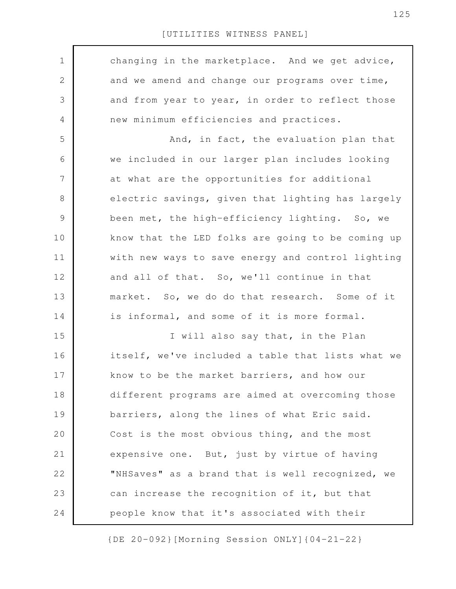$\Gamma$ 

| $\mathbf 1$    | changing in the marketplace. And we get advice,   |
|----------------|---------------------------------------------------|
| $\mathbf{2}$   | and we amend and change our programs over time,   |
| 3              | and from year to year, in order to reflect those  |
| $\overline{4}$ | new minimum efficiencies and practices.           |
| 5              | And, in fact, the evaluation plan that            |
| 6              | we included in our larger plan includes looking   |
| 7              | at what are the opportunities for additional      |
| $\,8\,$        | electric savings, given that lighting has largely |
| $\mathcal{G}$  | been met, the high-efficiency lighting. So, we    |
| 10             | know that the LED folks are going to be coming up |
| 11             | with new ways to save energy and control lighting |
| 12             | and all of that. So, we'll continue in that       |
| 13             | market. So, we do do that research. Some of it    |
| 14             | is informal, and some of it is more formal.       |
| 15             | I will also say that, in the Plan                 |
| 16             | itself, we've included a table that lists what we |
| 17             | know to be the market barriers, and how our       |
| 18             | different programs are aimed at overcoming those  |
| 19             | barriers, along the lines of what Eric said.      |
| 20             | Cost is the most obvious thing, and the most      |
| 21             | expensive one. But, just by virtue of having      |
| 22             | "NHSaves" as a brand that is well recognized, we  |
| 23             | can increase the recognition of it, but that      |
| 24             | people know that it's associated with their       |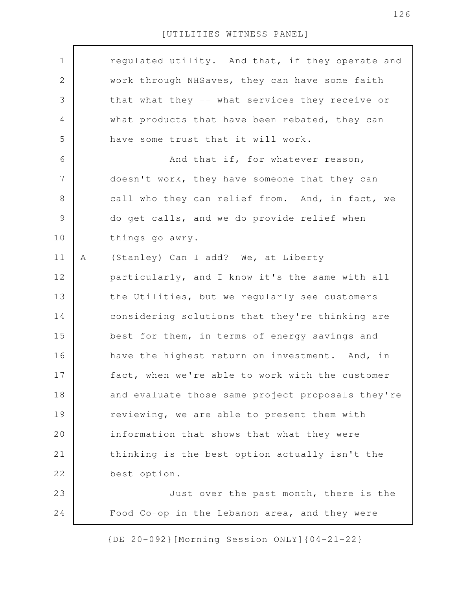| $\mathbf 1$ |   | regulated utility. And that, if they operate and  |
|-------------|---|---------------------------------------------------|
| 2           |   | work through NHSaves, they can have some faith    |
| 3           |   | that what they -- what services they receive or   |
| 4           |   | what products that have been rebated, they can    |
| 5           |   | have some trust that it will work.                |
| 6           |   | And that if, for whatever reason,                 |
| 7           |   | doesn't work, they have someone that they can     |
| $8\,$       |   | call who they can relief from. And, in fact, we   |
| 9           |   | do get calls, and we do provide relief when       |
| 10          |   | things go awry.                                   |
| 11          | Α | (Stanley) Can I add? We, at Liberty               |
| 12          |   | particularly, and I know it's the same with all   |
| 13          |   | the Utilities, but we regularly see customers     |
| 14          |   | considering solutions that they're thinking are   |
| 15          |   | best for them, in terms of energy savings and     |
| 16          |   | have the highest return on investment. And, in    |
| 17          |   | fact, when we're able to work with the customer   |
| 18          |   | and evaluate those same project proposals they're |
| 19          |   | reviewing, we are able to present them with       |
| 20          |   | information that shows that what they were        |
| 21          |   | thinking is the best option actually isn't the    |
| 22          |   | best option.                                      |
| 23          |   | Just over the past month, there is the            |
| 24          |   | Food Co-op in the Lebanon area, and they were     |
|             |   |                                                   |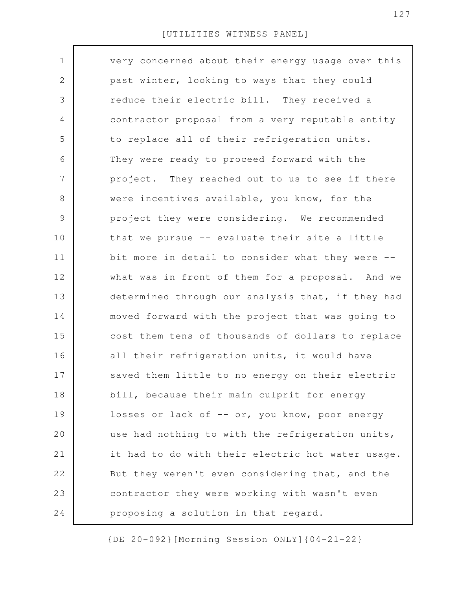| $\mathbf 1$     | very concerned about their energy usage over this |
|-----------------|---------------------------------------------------|
| 2               | past winter, looking to ways that they could      |
| 3               | reduce their electric bill. They received a       |
| $\overline{4}$  | contractor proposal from a very reputable entity  |
| 5               | to replace all of their refrigeration units.      |
| 6               | They were ready to proceed forward with the       |
| $7\phantom{.0}$ | project. They reached out to us to see if there   |
| 8               | were incentives available, you know, for the      |
| 9               | project they were considering. We recommended     |
| 10              | that we pursue -- evaluate their site a little    |
| 11              | bit more in detail to consider what they were --  |
| 12              | what was in front of them for a proposal. And we  |
| 13              | determined through our analysis that, if they had |
| 14              | moved forward with the project that was going to  |
| 15              | cost them tens of thousands of dollars to replace |
| 16              | all their refrigeration units, it would have      |
| 17              | saved them little to no energy on their electric  |
| 18              | bill, because their main culprit for energy       |
| 19              | losses or lack of -- or, you know, poor energy    |
| 20              | use had nothing to with the refrigeration units,  |
| 21              | it had to do with their electric hot water usage. |
| 22              | But they weren't even considering that, and the   |
| 23              | contractor they were working with wasn't even     |
| 24              | proposing a solution in that regard.              |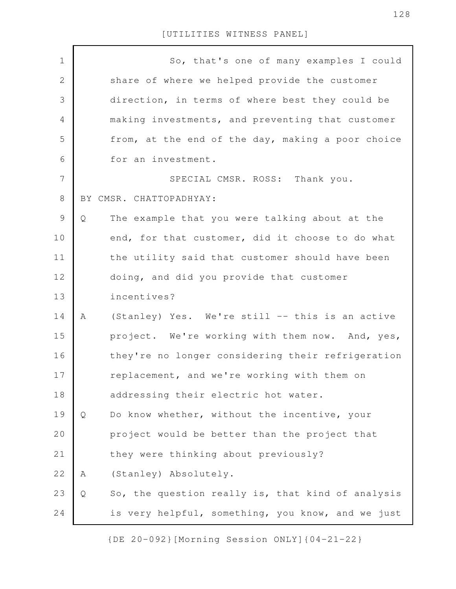| $\mathbf 1$    | So, that's one of many examples I could                |
|----------------|--------------------------------------------------------|
| $\mathbf 2$    | share of where we helped provide the customer          |
| 3              | direction, in terms of where best they could be        |
| $\overline{4}$ | making investments, and preventing that customer       |
| 5              | from, at the end of the day, making a poor choice      |
| 6              | for an investment.                                     |
| 7              | SPECIAL CMSR. ROSS: Thank you.                         |
| $\,8\,$        | BY CMSR. CHATTOPADHYAY:                                |
| $\mathcal{G}$  | The example that you were talking about at the<br>Q    |
| 10             | end, for that customer, did it choose to do what       |
| 11             | the utility said that customer should have been        |
| 12             | doing, and did you provide that customer               |
| 13             | incentives?                                            |
| 14             | (Stanley) Yes. We're still -- this is an active<br>A   |
| 15             | project. We're working with them now. And, yes,        |
| 16             | they're no longer considering their refrigeration      |
| 17             | replacement, and we're working with them on            |
| 18             | addressing their electric hot water.                   |
| 19             | Do know whether, without the incentive, your<br>Q      |
| 20             | project would be better than the project that          |
| 21             | they were thinking about previously?                   |
| 22             | (Stanley) Absolutely.<br>Α                             |
| 23             | So, the question really is, that kind of analysis<br>Q |
| 24             | is very helpful, something, you know, and we just      |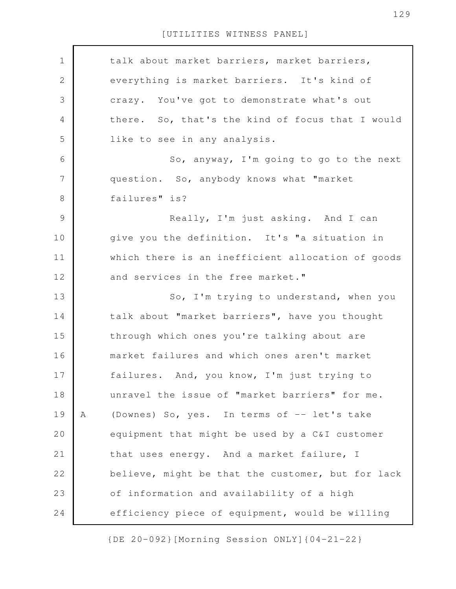| $\mathbf 1$    |   | talk about market barriers, market barriers,      |
|----------------|---|---------------------------------------------------|
| $\mathbf 2$    |   | everything is market barriers. It's kind of       |
| $\mathfrak{Z}$ |   | crazy. You've got to demonstrate what's out       |
| 4              |   | there. So, that's the kind of focus that I would  |
| 5              |   | like to see in any analysis.                      |
| 6              |   | So, anyway, I'm going to go to the next           |
| $\overline{7}$ |   | question. So, anybody knows what "market          |
| $\,8\,$        |   | failures" is?                                     |
| $\mathcal{G}$  |   | Really, I'm just asking. And I can                |
| 10             |   | give you the definition. It's "a situation in     |
| 11             |   | which there is an inefficient allocation of goods |
| 12             |   | and services in the free market."                 |
| 13             |   | So, I'm trying to understand, when you            |
| 14             |   | talk about "market barriers", have you thought    |
| 15             |   | through which ones you're talking about are       |
| 16             |   | market failures and which ones aren't market      |
| 17             |   | failures. And, you know, I'm just trying to       |
| 18             |   | unravel the issue of "market barriers" for me.    |
| 19             | A | (Downes) So, yes. In terms of -- let's take       |
| 20             |   | equipment that might be used by a C&I customer    |
| 21             |   | that uses energy. And a market failure, I         |
| 22             |   | believe, might be that the customer, but for lack |
| 23             |   | of information and availability of a high         |
| 24             |   | efficiency piece of equipment, would be willing   |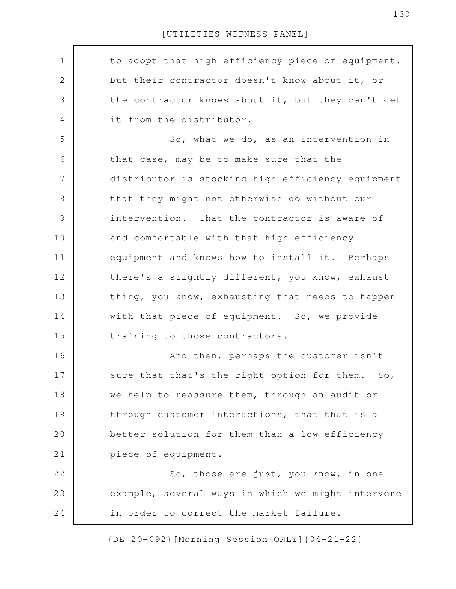to adopt that high efficiency piece of equipment. But their contractor doesn't know about it, or the contractor knows about it, but they can't get it from the distributor. So, what we do, as an intervention in that case, may be to make sure that the distributor is stocking high efficiency equipment that they might not otherwise do without our intervention. That the contractor is aware of and comfortable with that high efficiency equipment and knows how to install it. Perhaps there's a slightly different, you know, exhaust thing, you know, exhausting that needs to happen with that piece of equipment. So, we provide training to those contractors. And then, perhaps the customer isn't sure that that's the right option for them. So, we help to reassure them, through an audit or through customer interactions, that that is a better solution for them than a low efficiency piece of equipment. So, those are just, you know, in one example, several ways in which we might intervene in order to correct the market failure. 1 2 3 4 5 6 7 8 9 10 11 12 13 14 15 16 17 18 19 20 21 22 23 24

{DE 20-092}[Morning Session ONLY]{04-21-22}

130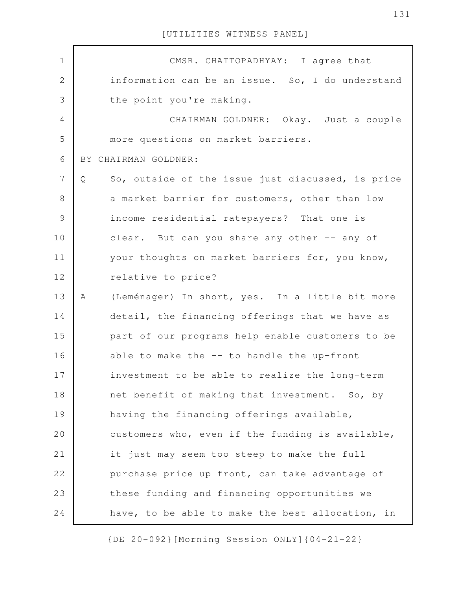| $\mathbf 1$    | CMSR. CHATTOPADHYAY: I agree that                      |
|----------------|--------------------------------------------------------|
| $\overline{2}$ | information can be an issue. So, I do understand       |
| 3              | the point you're making.                               |
| $\overline{4}$ | CHAIRMAN GOLDNER: Okay. Just a couple                  |
| 5              | more questions on market barriers.                     |
| 6              | BY CHAIRMAN GOLDNER:                                   |
| 7              | So, outside of the issue just discussed, is price<br>Q |
| 8              | a market barrier for customers, other than low         |
| $\mathcal{G}$  | income residential ratepayers? That one is             |
| 10             | clear. But can you share any other -- any of           |
| 11             | your thoughts on market barriers for, you know,        |
| 12             | relative to price?                                     |
| 13             | (Leménager) In short, yes. In a little bit more<br>A   |
| 14             | detail, the financing offerings that we have as        |
| 15             | part of our programs help enable customers to be       |
| 16             | able to make the -- to handle the up-front             |
| 17             | investment to be able to realize the long-term         |
| 18             | net benefit of making that investment. So, by          |
| 19             | having the financing offerings available,              |
| 20             | customers who, even if the funding is available,       |
| 21             | it just may seem too steep to make the full            |
| 22             | purchase price up front, can take advantage of         |
| 23             | these funding and financing opportunities we           |
| 24             | have, to be able to make the best allocation, in       |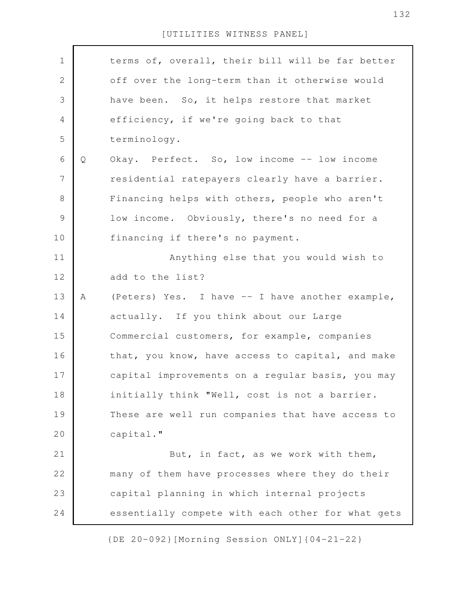| $\mathbf 1$    |   | terms of, overall, their bill will be far better  |
|----------------|---|---------------------------------------------------|
| $\sqrt{2}$     |   | off over the long-term than it otherwise would    |
| $\mathcal{S}$  |   | have been. So, it helps restore that market       |
| $\overline{4}$ |   | efficiency, if we're going back to that           |
| 5              |   | terminology.                                      |
| 6              | Q | Okay. Perfect. So, low income -- low income       |
| $\overline{7}$ |   | residential ratepayers clearly have a barrier.    |
| $\,8\,$        |   | Financing helps with others, people who aren't    |
| $\mathcal{G}$  |   | low income. Obviously, there's no need for a      |
| 10             |   | financing if there's no payment.                  |
| 11             |   | Anything else that you would wish to              |
| 12             |   | add to the list?                                  |
| 13             | A | (Peters) Yes. I have -- I have another example,   |
| 14             |   | actually. If you think about our Large            |
| 15             |   | Commercial customers, for example, companies      |
| 16             |   | that, you know, have access to capital, and make  |
| 17             |   | capital improvements on a regular basis, you may  |
| 18             |   | initially think "Well, cost is not a barrier.     |
| 19             |   | These are well run companies that have access to  |
| 20             |   | capital."                                         |
| 21             |   | But, in fact, as we work with them,               |
| 22             |   | many of them have processes where they do their   |
| 23             |   | capital planning in which internal projects       |
| 24             |   | essentially compete with each other for what gets |
|                |   |                                                   |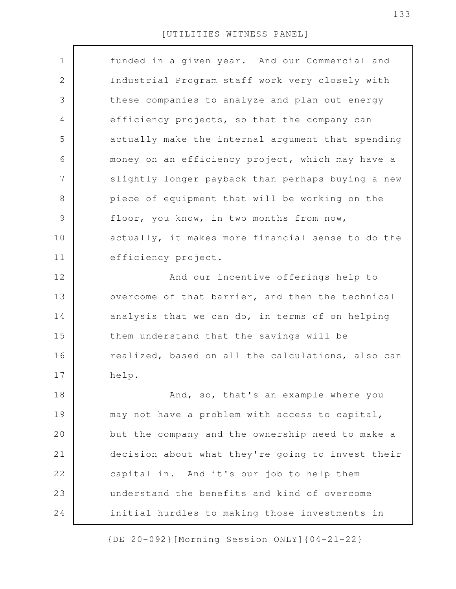| $\mathbf 1$   | funded in a given year. And our Commercial and    |
|---------------|---------------------------------------------------|
| 2             | Industrial Program staff work very closely with   |
| 3             | these companies to analyze and plan out energy    |
| 4             | efficiency projects, so that the company can      |
| 5             | actually make the internal argument that spending |
| 6             | money on an efficiency project, which may have a  |
| 7             | slightly longer payback than perhaps buying a new |
| 8             | piece of equipment that will be working on the    |
| $\mathcal{G}$ | floor, you know, in two months from now,          |
| 10            | actually, it makes more financial sense to do the |
| 11            | efficiency project.                               |
| 12            | And our incentive offerings help to               |
| 13            | overcome of that barrier, and then the technical  |
| 14            | analysis that we can do, in terms of on helping   |
| 15            | them understand that the savings will be          |
| 16            | realized, based on all the calculations, also can |
| 17            | help.                                             |
| 18            | And, so, that's an example where you              |
| 19            | may not have a problem with access to capital,    |
| 20            | but the company and the ownership need to make a  |
| 21            | decision about what they're going to invest their |
| 22            | capital in. And it's our job to help them         |
| 23            | understand the benefits and kind of overcome      |
| 24            | initial hurdles to making those investments in    |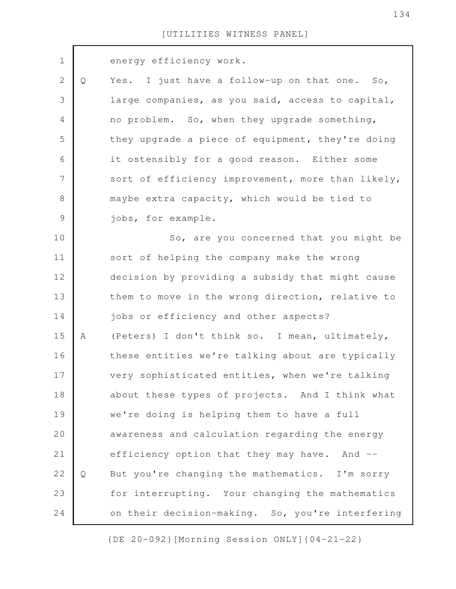| $\mathbf 1$    |              | energy efficiency work.                           |
|----------------|--------------|---------------------------------------------------|
| $\mathbf{2}$   | Q            | Yes. I just have a follow-up on that one. So,     |
| 3              |              | large companies, as you said, access to capital,  |
| 4              |              | no problem. So, when they upgrade something,      |
| 5              |              | they upgrade a piece of equipment, they're doing  |
| 6              |              | it ostensibly for a good reason. Either some      |
| $\overline{7}$ |              | sort of efficiency improvement, more than likely, |
| $8\,$          |              | maybe extra capacity, which would be tied to      |
| $\mathcal{G}$  |              | jobs, for example.                                |
| 10             |              | So, are you concerned that you might be           |
| 11             |              | sort of helping the company make the wrong        |
| 12             |              | decision by providing a subsidy that might cause  |
| 13             |              | them to move in the wrong direction, relative to  |
| 14             |              | jobs or efficiency and other aspects?             |
| 15             | A            | (Peters) I don't think so. I mean, ultimately,    |
| 16             |              | these entities we're talking about are typically  |
| 17             |              | very sophisticated entities, when we're talking   |
| 18             |              | about these types of projects. And I think what   |
| 19             |              | we're doing is helping them to have a full        |
| 20             |              | awareness and calculation regarding the energy    |
| 21             |              | efficiency option that they may have. And --      |
| 22             | $\mathsf{Q}$ | But you're changing the mathematics. I'm sorry    |
| 23             |              | for interrupting. Your changing the mathematics   |
| 24             |              | on their decision-making. So, you're interfering  |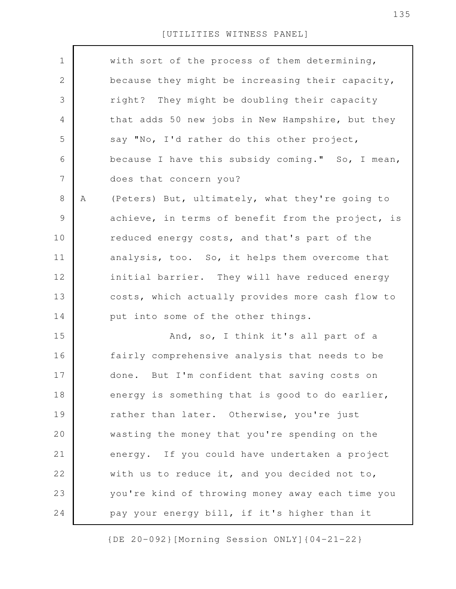| $\mathbf 1$  |   | with sort of the process of them determining,     |
|--------------|---|---------------------------------------------------|
| $\mathbf{2}$ |   | because they might be increasing their capacity,  |
|              |   |                                                   |
| 3            |   | right? They might be doubling their capacity      |
| 4            |   | that adds 50 new jobs in New Hampshire, but they  |
| 5            |   | say "No, I'd rather do this other project,        |
| 6            |   | because I have this subsidy coming." So, I mean,  |
| 7            |   | does that concern you?                            |
| 8            | Α | (Peters) But, ultimately, what they're going to   |
| 9            |   | achieve, in terms of benefit from the project, is |
| 10           |   | reduced energy costs, and that's part of the      |
| 11           |   | analysis, too. So, it helps them overcome that    |
| 12           |   | initial barrier. They will have reduced energy    |
| 13           |   | costs, which actually provides more cash flow to  |
| 14           |   | put into some of the other things.                |
| 15           |   | And, so, I think it's all part of a               |
| 16           |   | fairly comprehensive analysis that needs to be    |
| 17           |   | done. But I'm confident that saving costs on      |
| 18           |   | energy is something that is good to do earlier,   |
| 19           |   | rather than later. Otherwise, you're just         |
| 20           |   | wasting the money that you're spending on the     |
| 21           |   | energy. If you could have undertaken a project    |
| 22           |   | with us to reduce it, and you decided not to,     |
| 23           |   | you're kind of throwing money away each time you  |
| 24           |   | pay your energy bill, if it's higher than it      |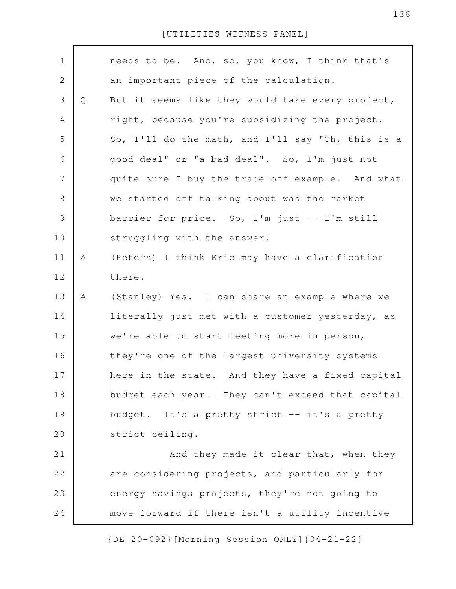| $\mathbf 1$    |   | needs to be. And, so, you know, I think that's    |
|----------------|---|---------------------------------------------------|
| $\mathbf{2}$   |   | an important piece of the calculation.            |
| 3              | Q | But it seems like they would take every project,  |
| 4              |   | right, because you're subsidizing the project.    |
| 5              |   | So, I'll do the math, and I'll say "Oh, this is a |
| 6              |   | good deal" or "a bad deal". So, I'm just not      |
| $\overline{7}$ |   | quite sure I buy the trade-off example. And what  |
| $\,8\,$        |   | we started off talking about was the market       |
| $\mathcal{G}$  |   | barrier for price. So, I'm just -- I'm still      |
| 10             |   | struggling with the answer.                       |
| 11             | Α | (Peters) I think Eric may have a clarification    |
| 12             |   | there.                                            |
| 13             | Α | (Stanley) Yes. I can share an example where we    |
| 14             |   | literally just met with a customer yesterday, as  |
| 15             |   | we're able to start meeting more in person,       |
| 16             |   | they're one of the largest university systems     |
| 17             |   | here in the state. And they have a fixed capital  |
| 18             |   | budget each year. They can't exceed that capital  |
| 19             |   | budget. It's a pretty strict -- it's a pretty     |
| 20             |   | strict ceiling.                                   |
| 21             |   | And they made it clear that, when they            |
| 22             |   | are considering projects, and particularly for    |
| 23             |   | energy savings projects, they're not going to     |
| 24             |   | move forward if there isn't a utility incentive   |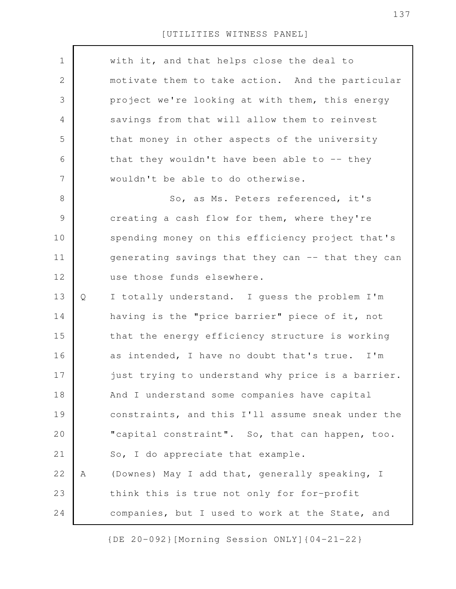| $\mathbf 1$  |   | with it, and that helps close the deal to         |
|--------------|---|---------------------------------------------------|
| $\mathbf{2}$ |   | motivate them to take action. And the particular  |
| 3            |   | project we're looking at with them, this energy   |
| 4            |   | savings from that will allow them to reinvest     |
| 5            |   | that money in other aspects of the university     |
| 6            |   | that they wouldn't have been able to $-$ - they   |
| 7            |   | wouldn't be able to do otherwise.                 |
| 8            |   | So, as Ms. Peters referenced, it's                |
| $\mathsf 9$  |   | creating a cash flow for them, where they're      |
| 10           |   | spending money on this efficiency project that's  |
| 11           |   | generating savings that they can -- that they can |
| 12           |   | use those funds elsewhere.                        |
| 13           | Q | I totally understand. I guess the problem I'm     |
| 14           |   | having is the "price barrier" piece of it, not    |
| 15           |   | that the energy efficiency structure is working   |
| 16           |   | as intended, I have no doubt that's true. I'm     |
| 17           |   | just trying to understand why price is a barrier. |
| 18           |   | And I understand some companies have capital      |
| 19           |   | constraints, and this I'll assume sneak under the |
| 20           |   | "capital constraint". So, that can happen, too.   |
| 21           |   | So, I do appreciate that example.                 |
| 22           | Α | (Downes) May I add that, generally speaking, I    |
| 23           |   | think this is true not only for for-profit        |
| 24           |   | companies, but I used to work at the State, and   |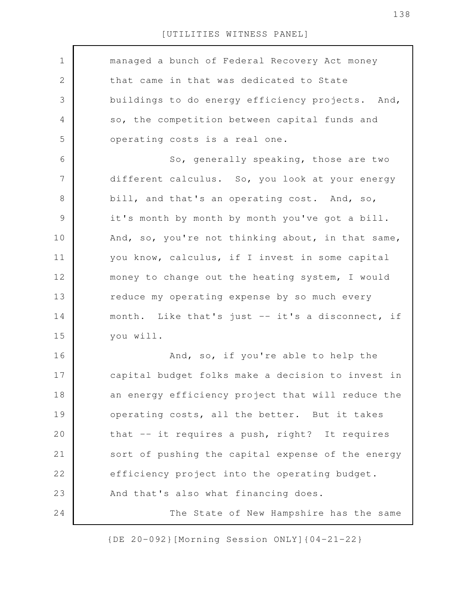| $\mathbf 1$  | managed a bunch of Federal Recovery Act money     |
|--------------|---------------------------------------------------|
|              |                                                   |
| $\mathbf{2}$ | that came in that was dedicated to State          |
| 3            | buildings to do energy efficiency projects. And,  |
| 4            | so, the competition between capital funds and     |
| 5            | operating costs is a real one.                    |
| 6            | So, generally speaking, those are two             |
| 7            | different calculus. So, you look at your energy   |
| $8\,$        | bill, and that's an operating cost. And, so,      |
| $\mathsf 9$  | it's month by month by month you've got a bill.   |
| 10           | And, so, you're not thinking about, in that same, |
| 11           | you know, calculus, if I invest in some capital   |
| 12           | money to change out the heating system, I would   |
| 13           | reduce my operating expense by so much every      |
| 14           | month. Like that's just -- it's a disconnect, if  |
| 15           | you will.                                         |
| 16           | And, so, if you're able to help the               |
| 17           | capital budget folks make a decision to invest in |
| 18           | an energy efficiency project that will reduce the |
| 19           | operating costs, all the better. But it takes     |
| 20           | that -- it requires a push, right? It requires    |
| 21           | sort of pushing the capital expense of the energy |
| 22           | efficiency project into the operating budget.     |
| 23           | And that's also what financing does.              |
| 24           | The State of New Hampshire has the same           |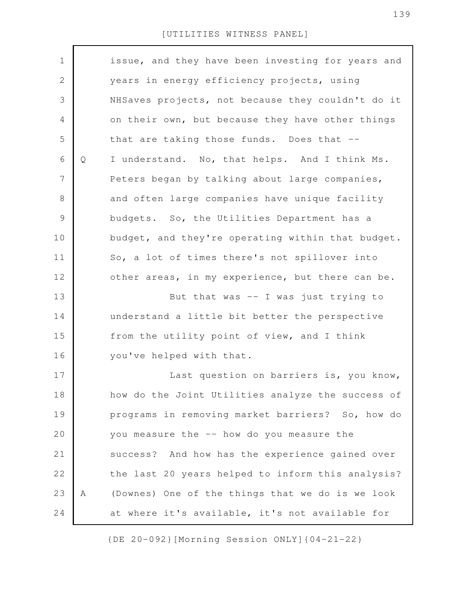| $\mathbf 1$    |   | issue, and they have been investing for years and |
|----------------|---|---------------------------------------------------|
| $\mathbf{2}$   |   | years in energy efficiency projects, using        |
| 3              |   | NHSaves projects, not because they couldn't do it |
| 4              |   | on their own, but because they have other things  |
| 5              |   | that are taking those funds. Does that --         |
| 6              | Q | I understand. No, that helps. And I think Ms.     |
| $\overline{7}$ |   | Peters began by talking about large companies,    |
| 8              |   | and often large companies have unique facility    |
| $\mathcal{G}$  |   | budgets. So, the Utilities Department has a       |
| 10             |   | budget, and they're operating within that budget. |
| 11             |   | So, a lot of times there's not spillover into     |
| 12             |   | other areas, in my experience, but there can be.  |
| 13             |   | But that was $-$ I was just trying to             |
| 14             |   | understand a little bit better the perspective    |
| 15             |   | from the utility point of view, and I think       |
| 16             |   | you've helped with that.                          |
| 17             |   | Last question on barriers is, you know,           |
| 18             |   | how do the Joint Utilities analyze the success of |
| 19             |   | programs in removing market barriers? So, how do  |
| 20             |   | you measure the -- how do you measure the         |
| 21             |   | success? And how has the experience gained over   |
| 22             |   | the last 20 years helped to inform this analysis? |
| 23             | Α | (Downes) One of the things that we do is we look  |
| 24             |   | at where it's available, it's not available for   |
|                |   |                                                   |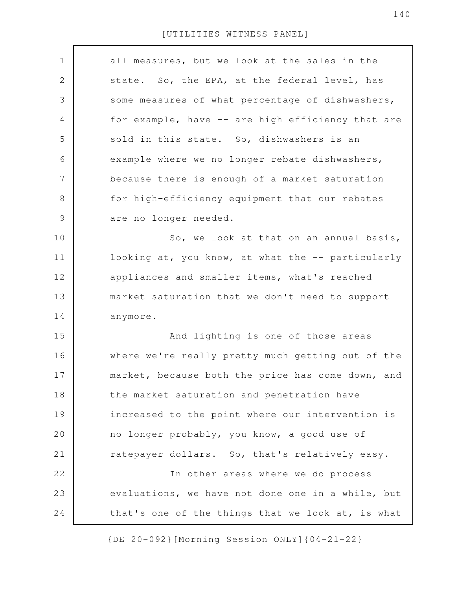| $\mathbf 1$    | all measures, but we look at the sales in the     |
|----------------|---------------------------------------------------|
| $\mathbf{2}$   | state. So, the EPA, at the federal level, has     |
| 3              | some measures of what percentage of dishwashers,  |
| $\overline{4}$ | for example, have -- are high efficiency that are |
| 5              | sold in this state. So, dishwashers is an         |
| 6              | example where we no longer rebate dishwashers,    |
| $\overline{7}$ | because there is enough of a market saturation    |
| $\,8\,$        | for high-efficiency equipment that our rebates    |
| $\mathcal{G}$  | are no longer needed.                             |
| 10             | So, we look at that on an annual basis,           |
| 11             | looking at, you know, at what the -- particularly |
| 12             | appliances and smaller items, what's reached      |
| 13             | market saturation that we don't need to support   |
| 14             | anymore.                                          |
| 15             | And lighting is one of those areas                |
| 16             | where we're really pretty much getting out of the |
| 17             | market, because both the price has come down, and |
| 18             | the market saturation and penetration have        |
| 19             | increased to the point where our intervention is  |
| 20             | no longer probably, you know, a good use of       |
| 21             | ratepayer dollars. So, that's relatively easy.    |
| 22             | In other areas where we do process                |
| 23             | evaluations, we have not done one in a while, but |
| 24             | that's one of the things that we look at, is what |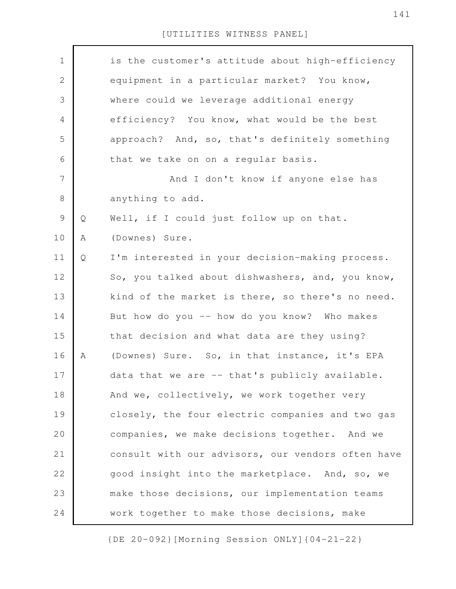| $\mathbf 1$    |   | is the customer's attitude about high-efficiency  |
|----------------|---|---------------------------------------------------|
| $\sqrt{2}$     |   | equipment in a particular market? You know,       |
| $\mathfrak{Z}$ |   | where could we leverage additional energy         |
| $\overline{4}$ |   | efficiency? You know, what would be the best      |
| 5              |   | approach? And, so, that's definitely something    |
| 6              |   | that we take on on a regular basis.               |
| $\overline{7}$ |   | And I don't know if anyone else has               |
| $\,8\,$        |   | anything to add.                                  |
| $\mathsf 9$    | Q | Well, if I could just follow up on that.          |
| 10             | Α | (Downes) Sure.                                    |
| 11             | Q | I'm interested in your decision-making process.   |
| 12             |   | So, you talked about dishwashers, and, you know,  |
| 13             |   | kind of the market is there, so there's no need.  |
| 14             |   | But how do you -- how do you know? Who makes      |
| 15             |   | that decision and what data are they using?       |
| 16             | Α | (Downes) Sure. So, in that instance, it's EPA     |
| 17             |   | data that we are -- that's publicly available.    |
| 18             |   | And we, collectively, we work together very       |
| 19             |   | closely, the four electric companies and two gas  |
| 20             |   | companies, we make decisions together. And we     |
| 21             |   | consult with our advisors, our vendors often have |
| 22             |   | good insight into the marketplace. And, so, we    |
| 23             |   | make those decisions, our implementation teams    |
| 24             |   | work together to make those decisions, make       |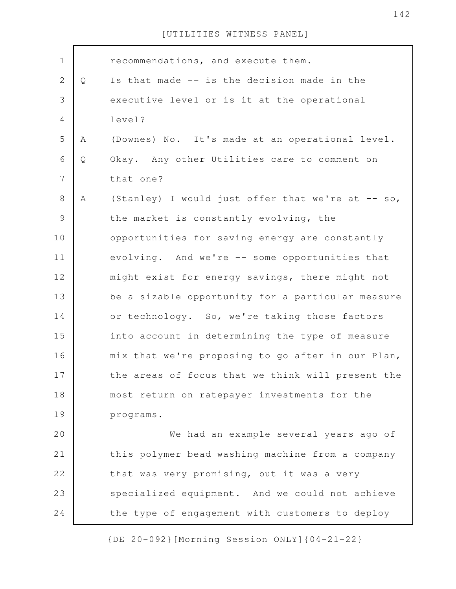|   | recommendations, and execute them.                |
|---|---------------------------------------------------|
| Q | Is that made -- is the decision made in the       |
|   | executive level or is it at the operational       |
|   | level?                                            |
| Α | (Downes) No. It's made at an operational level.   |
| Q | Okay. Any other Utilities care to comment on      |
|   | that one?                                         |
| A | (Stanley) I would just offer that we're at -- so, |
|   | the market is constantly evolving, the            |
|   | opportunities for saving energy are constantly    |
|   | evolving. And we're -- some opportunities that    |
|   | might exist for energy savings, there might not   |
|   | be a sizable opportunity for a particular measure |
|   | or technology. So, we're taking those factors     |
|   | into account in determining the type of measure   |
|   | mix that we're proposing to go after in our Plan, |
|   | the areas of focus that we think will present the |
|   | most return on ratepayer investments for the      |
|   | programs.                                         |
|   | We had an example several years ago of            |
|   | this polymer bead washing machine from a company  |
|   | that was very promising, but it was a very        |
|   | specialized equipment. And we could not achieve   |
|   | the type of engagement with customers to deploy   |
|   |                                                   |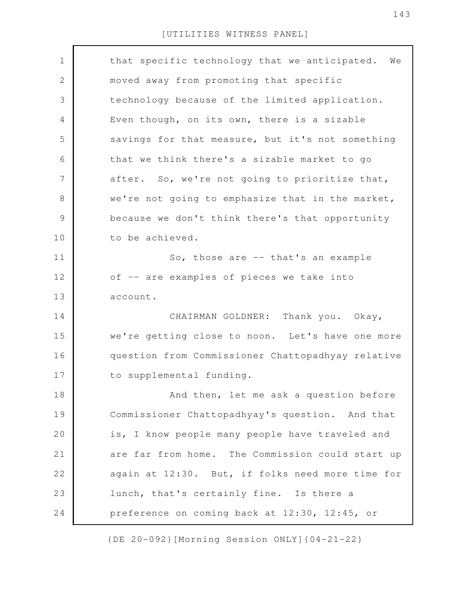| $\mathbf 1$    | that specific technology that we anticipated.<br>We |
|----------------|-----------------------------------------------------|
| $\mathbf{2}$   | moved away from promoting that specific             |
| 3              | technology because of the limited application.      |
| 4              | Even though, on its own, there is a sizable         |
| 5              | savings for that measure, but it's not something    |
| 6              | that we think there's a sizable market to go        |
| $\overline{7}$ | after. So, we're not going to prioritize that,      |
| $8\,$          | we're not going to emphasize that in the market,    |
| $\mathcal{G}$  | because we don't think there's that opportunity     |
| 10             | to be achieved.                                     |
| 11             | So, those are -- that's an example                  |
| 12             | of -- are examples of pieces we take into           |
| 13             | account.                                            |
| 14             | CHAIRMAN GOLDNER: Thank you. Okay,                  |
| 15             | we're getting close to noon. Let's have one more    |
| 16             | question from Commissioner Chattopadhyay relative   |
| 17             | to supplemental funding.                            |
| 18             | And then, let me ask a question before              |
| 19             | Commissioner Chattopadhyay's question. And that     |
| 20             | is, I know people many people have traveled and     |
| 21             | are far from home. The Commission could start up    |
| 22             | again at 12:30. But, if folks need more time for    |
| 23             | lunch, that's certainly fine. Is there a            |
| 24             | preference on coming back at 12:30, 12:45, or       |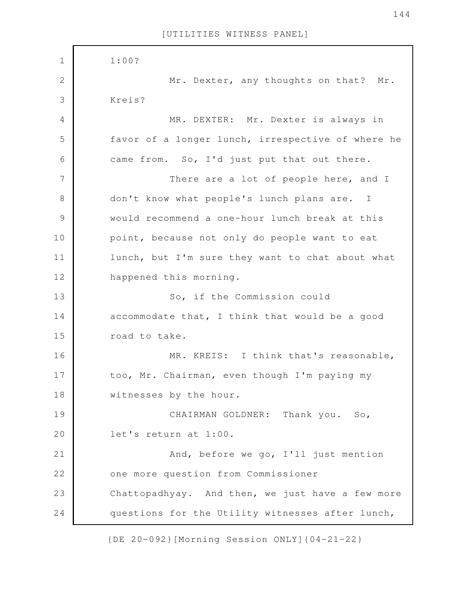| $\mathbf 1$   | 1:00?                                             |
|---------------|---------------------------------------------------|
| $\mathbf 2$   | Mr. Dexter, any thoughts on that? Mr.             |
| 3             | Kreis?                                            |
| 4             | MR. DEXTER: Mr. Dexter is always in               |
| 5             | favor of a longer lunch, irrespective of where he |
| 6             | came from. So, I'd just put that out there.       |
| 7             | There are a lot of people here, and I             |
| $8\,$         | don't know what people's lunch plans are. I       |
| $\mathcal{G}$ | would recommend a one-hour lunch break at this    |
| 10            | point, because not only do people want to eat     |
| 11            | lunch, but I'm sure they want to chat about what  |
| 12            | happened this morning.                            |
| 13            | So, if the Commission could                       |
| 14            | accommodate that, I think that would be a good    |
| 15            | road to take.                                     |
| 16            | MR. KREIS: I think that's reasonable,             |
| 17            | too, Mr. Chairman, even though I'm paying my      |
| 18            | witnesses by the hour.                            |
| 19            | CHAIRMAN GOLDNER: Thank you. So,                  |
| 20            | let's return at 1:00.                             |
| 21            | And, before we go, I'll just mention              |
| 22            | one more question from Commissioner               |
| 23            | Chattopadhyay. And then, we just have a few more  |
| 24            | questions for the Utility witnesses after lunch,  |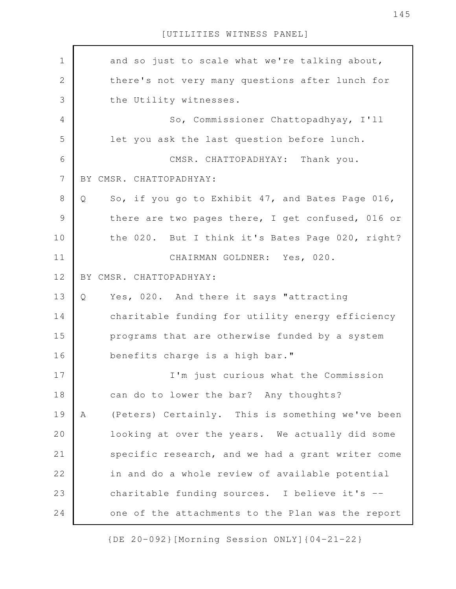[UTILITIES WITNESS PANEL]

and so just to scale what we're talking about, there's not very many questions after lunch for the Utility witnesses. So, Commissioner Chattopadhyay, I'll let you ask the last question before lunch. CMSR. CHATTOPADHYAY: Thank you. BY CMSR. CHATTOPADHYAY: Q So, if you go to Exhibit 47, and Bates Page 016, there are two pages there, I get confused, 016 or the 020. But I think it's Bates Page 020, right? CHAIRMAN GOLDNER: Yes, 020. BY CMSR. CHATTOPADHYAY: Q Yes, 020. And there it says "attracting charitable funding for utility energy efficiency programs that are otherwise funded by a system benefits charge is a high bar." I'm just curious what the Commission can do to lower the bar? Any thoughts? A (Peters) Certainly. This is something we've been looking at over the years. We actually did some specific research, and we had a grant writer come in and do a whole review of available potential charitable funding sources. I believe it's - one of the attachments to the Plan was the report 1 2 3 4 5 6 7 8 9 10 11 12 13 14 15 16 17 18 19 20 21 22 23 24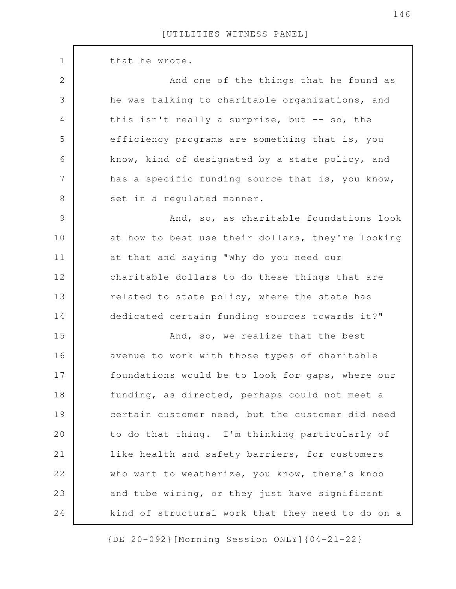| $\mathbf 1$    | that he wrote.                                    |
|----------------|---------------------------------------------------|
| $\mathbf{2}$   | And one of the things that he found as            |
| $\mathfrak{Z}$ | he was talking to charitable organizations, and   |
| 4              | this isn't really a surprise, but -- so, the      |
| 5              | efficiency programs are something that is, you    |
| 6              | know, kind of designated by a state policy, and   |
| $\overline{7}$ | has a specific funding source that is, you know,  |
| $8\,$          | set in a regulated manner.                        |
| $\mathsf 9$    | And, so, as charitable foundations look           |
| 10             | at how to best use their dollars, they're looking |
| 11             | at that and saying "Why do you need our           |
| 12             | charitable dollars to do these things that are    |
| 13             | related to state policy, where the state has      |
| 14             | dedicated certain funding sources towards it?"    |
| 15             | And, so, we realize that the best                 |
| 16             | avenue to work with those types of charitable     |
| 17             | foundations would be to look for gaps, where our  |
| 18             | funding, as directed, perhaps could not meet a    |
| 19             | certain customer need, but the customer did need  |
| 20             | to do that thing. I'm thinking particularly of    |
| 21             | like health and safety barriers, for customers    |
| 22             | who want to weatherize, you know, there's knob    |
| 23             | and tube wiring, or they just have significant    |
| 24             | kind of structural work that they need to do on a |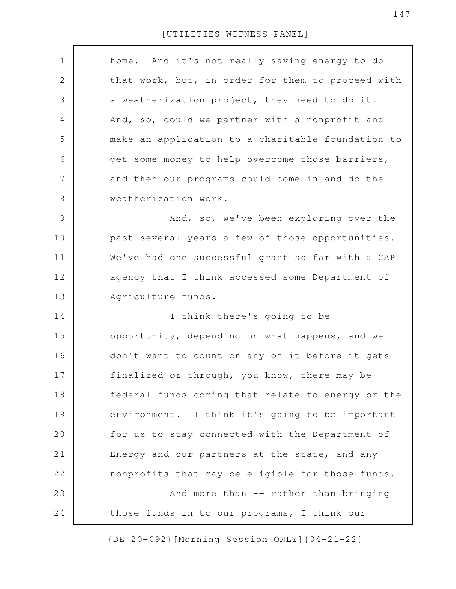| $\mathbf 1$ | home. And it's not really saving energy to do     |
|-------------|---------------------------------------------------|
| 2           | that work, but, in order for them to proceed with |
| 3           | a weatherization project, they need to do it.     |
| 4           | And, so, could we partner with a nonprofit and    |
| 5           | make an application to a charitable foundation to |
| 6           | get some money to help overcome those barriers,   |
| 7           | and then our programs could come in and do the    |
| 8           | weatherization work.                              |
| 9           | And, so, we've been exploring over the            |
| 10          | past several years a few of those opportunities.  |
| 11          | We've had one successful grant so far with a CAP  |
| 12          | agency that I think accessed some Department of   |
| 13          | Agriculture funds.                                |
|             |                                                   |
| 14          | I think there's going to be                       |
| 15          | opportunity, depending on what happens, and we    |
| 16          | don't want to count on any of it before it gets   |
| 17          | finalized or through, you know, there may be      |
| 18          | federal funds coming that relate to energy or the |
| 19          | environment. I think it's going to be important   |
| 20          | for us to stay connected with the Department of   |
| 21          | Energy and our partners at the state, and any     |
| 22          | nonprofits that may be eligible for those funds.  |
| 23          | And more than -- rather than bringing             |

[UTILITIES WITNESS PANEL]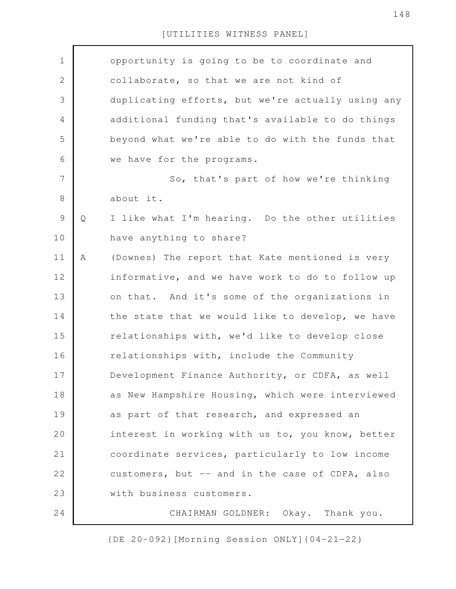## [UTILITIES WITNESS PANEL]

| $\mathbf 1$    |              | opportunity is going to be to coordinate and      |
|----------------|--------------|---------------------------------------------------|
|                |              |                                                   |
| $\mathbf{2}$   |              | collaborate, so that we are not kind of           |
| 3              |              | duplicating efforts, but we're actually using any |
| 4              |              | additional funding that's available to do things  |
| 5              |              | beyond what we're able to do with the funds that  |
| 6              |              | we have for the programs.                         |
| $\overline{7}$ |              | So, that's part of how we're thinking             |
| $8\,$          |              | about it.                                         |
| $\mathcal{G}$  | $\mathsf{Q}$ | I like what I'm hearing. Do the other utilities   |
| 10             |              | have anything to share?                           |
| 11             | Α            | (Downes) The report that Kate mentioned is very   |
| 12             |              | informative, and we have work to do to follow up  |
| 13             |              | on that. And it's some of the organizations in    |
| 14             |              | the state that we would like to develop, we have  |
| 15             |              | relationships with, we'd like to develop close    |
| 16             |              | relationships with, include the Community         |
| 17             |              | Development Finance Authority, or CDFA, as well   |
| 18             |              | as New Hampshire Housing, which were interviewed  |
| 19             |              | as part of that research, and expressed an        |
| 20             |              | interest in working with us to, you know, better  |
| 21             |              | coordinate services, particularly to low income   |
| 22             |              | customers, but -- and in the case of CDFA, also   |
| 23             |              | with business customers.                          |
| 24             |              | CHAIRMAN GOLDNER: Okay. Thank you.                |